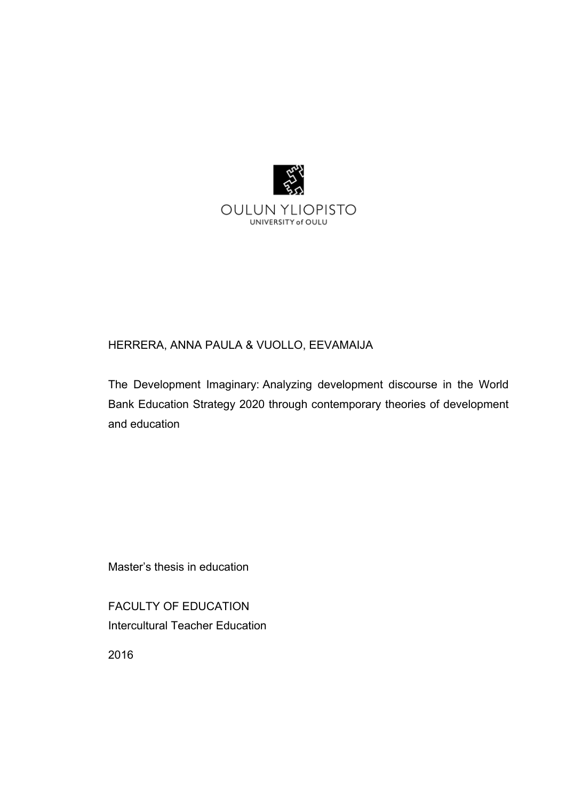

## HERRERA, ANNA PAULA & VUOLLO, EEVAMAIJA

The Development Imaginary: Analyzing development discourse in the World Bank Education Strategy 2020 through contemporary theories of development and education

Master's thesis in education

FACULTY OF EDUCATION Intercultural Teacher Education

2016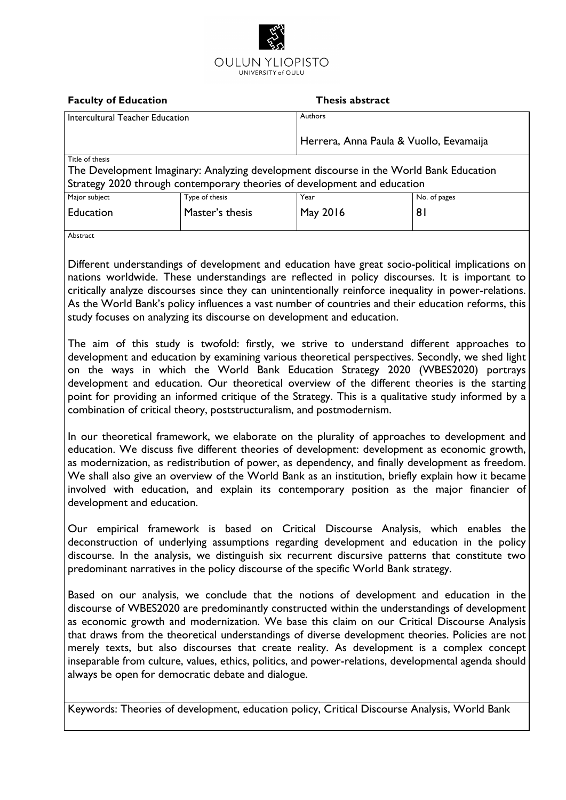

#### **Faculty of Education Thesis abstract** Intercultural Teacher Education Authors Herrera, Anna Paula & Vuollo, Eevamaija Title of thesis The Development Imaginary: Analyzing development discourse in the World Bank Education Strategy 2020 through contemporary theories of development and education Major subject Education Type of thesis Master's thesis Year May 2016 No. of pages 81 Abstract

Different understandings of development and education have great socio-political implications on nations worldwide. These understandings are reflected in policy discourses. It is important to critically analyze discourses since they can unintentionally reinforce inequality in power-relations. As the World Bank's policy influences a vast number of countries and their education reforms, this study focuses on analyzing its discourse on development and education.

The aim of this study is twofold: firstly, we strive to understand different approaches to development and education by examining various theoretical perspectives. Secondly, we shed light on the ways in which the World Bank Education Strategy 2020 (WBES2020) portrays development and education. Our theoretical overview of the different theories is the starting point for providing an informed critique of the Strategy. This is a qualitative study informed by a combination of critical theory, poststructuralism, and postmodernism.

In our theoretical framework, we elaborate on the plurality of approaches to development and education. We discuss five different theories of development: development as economic growth, as modernization, as redistribution of power, as dependency, and finally development as freedom. We shall also give an overview of the World Bank as an institution, briefly explain how it became involved with education, and explain its contemporary position as the major financier of development and education.

Our empirical framework is based on Critical Discourse Analysis, which enables the deconstruction of underlying assumptions regarding development and education in the policy discourse. In the analysis, we distinguish six recurrent discursive patterns that constitute two predominant narratives in the policy discourse of the specific World Bank strategy.

Based on our analysis, we conclude that the notions of development and education in the discourse of WBES2020 are predominantly constructed within the understandings of development as economic growth and modernization. We base this claim on our Critical Discourse Analysis that draws from the theoretical understandings of diverse development theories. Policies are not merely texts, but also discourses that create reality. As development is a complex concept inseparable from culture, values, ethics, politics, and power-relations, developmental agenda should always be open for democratic debate and dialogue.

Keywords: Theories of development, education policy, Critical Discourse Analysis, World Bank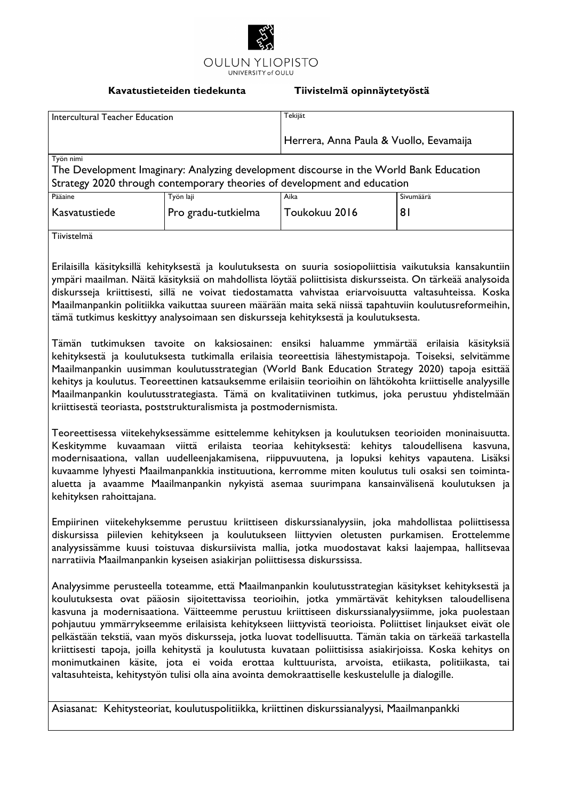

#### **Kavatustieteiden tiedekunta Tiivistelmä opinnäytetyöstä**

| Intercultural Teacher Education                                                                                                                                                 |                     | Tekijät                                 |                |  |  |
|---------------------------------------------------------------------------------------------------------------------------------------------------------------------------------|---------------------|-----------------------------------------|----------------|--|--|
|                                                                                                                                                                                 |                     | Herrera, Anna Paula & Vuollo, Eevamaija |                |  |  |
| Työn nimi<br>The Development Imaginary: Analyzing development discourse in the World Bank Education<br>Strategy 2020 through contemporary theories of development and education |                     |                                         |                |  |  |
| Pääaine                                                                                                                                                                         | Työn laji           | Aika                                    | Sivumäärä      |  |  |
| Kasvatustiede                                                                                                                                                                   | Pro gradu-tutkielma | Toukokuu 2016                           | 8 <sub>l</sub> |  |  |
| Tiivistelmä                                                                                                                                                                     |                     |                                         |                |  |  |

Erilaisilla käsityksillä kehityksestä ja koulutuksesta on suuria sosiopoliittisia vaikutuksia kansakuntiin ympäri maailman. Näitä käsityksiä on mahdollista löytää poliittisista diskursseista. On tärkeää analysoida diskursseja kriittisesti, sillä ne voivat tiedostamatta vahvistaa eriarvoisuutta valtasuhteissa. Koska Maailmanpankin politiikka vaikuttaa suureen määrään maita sekä niissä tapahtuviin koulutusreformeihin, tämä tutkimus keskittyy analysoimaan sen diskursseja kehityksestä ja koulutuksesta.

Tämän tutkimuksen tavoite on kaksiosainen: ensiksi haluamme ymmärtää erilaisia käsityksiä kehityksestä ja koulutuksesta tutkimalla erilaisia teoreettisia lähestymistapoja. Toiseksi, selvitämme Maailmanpankin uusimman koulutusstrategian (World Bank Education Strategy 2020) tapoja esittää kehitys ja koulutus. Teoreettinen katsauksemme erilaisiin teorioihin on lähtökohta kriittiselle analyysille Maailmanpankin koulutusstrategiasta. Tämä on kvalitatiivinen tutkimus, joka perustuu yhdistelmään kriittisestä teoriasta, poststrukturalismista ja postmodernismista.

Teoreettisessa viitekehyksessämme esittelemme kehityksen ja koulutuksen teorioiden moninaisuutta. Keskitymme kuvaamaan viittä erilaista teoriaa kehityksestä: kehitys taloudellisena kasvuna, modernisaationa, vallan uudelleenjakamisena, riippuvuutena, ja lopuksi kehitys vapautena. Lisäksi kuvaamme lyhyesti Maailmanpankkia instituutiona, kerromme miten koulutus tuli osaksi sen toimintaaluetta ja avaamme Maailmanpankin nykyistä asemaa suurimpana kansainvälisenä koulutuksen ja kehityksen rahoittajana.

Empiirinen viitekehyksemme perustuu kriittiseen diskurssianalyysiin, joka mahdollistaa poliittisessa diskursissa piilevien kehitykseen ja koulutukseen liittyvien oletusten purkamisen. Erottelemme analyysissämme kuusi toistuvaa diskursiivista mallia, jotka muodostavat kaksi laajempaa, hallitsevaa narratiivia Maailmanpankin kyseisen asiakirjan poliittisessa diskurssissa.

Analyysimme perusteella toteamme, että Maailmanpankin koulutusstrategian käsitykset kehityksestä ja koulutuksesta ovat pääosin sijoitettavissa teorioihin, jotka ymmärtävät kehityksen taloudellisena kasvuna ja modernisaationa. Väitteemme perustuu kriittiseen diskurssianalyysiimme, joka puolestaan pohjautuu ymmärrykseemme erilaisista kehitykseen liittyvistä teorioista. Poliittiset linjaukset eivät ole pelkästään tekstiä, vaan myös diskursseja, jotka luovat todellisuutta. Tämän takia on tärkeää tarkastella kriittisesti tapoja, joilla kehitystä ja koulutusta kuvataan poliittisissa asiakirjoissa. Koska kehitys on monimutkainen käsite, jota ei voida erottaa kulttuurista, arvoista, etiikasta, politiikasta, tai valtasuhteista, kehitystyön tulisi olla aina avointa demokraattiselle keskustelulle ja dialogille.

Asiasanat: Kehitysteoriat, koulutuspolitiikka, kriittinen diskurssianalyysi, Maailmanpankki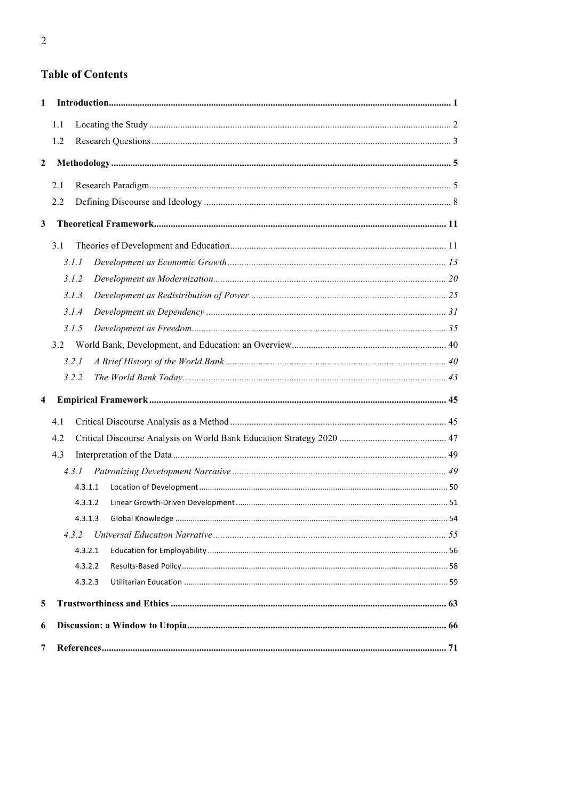# **Table of Contents**

| $\mathbf{1}$            |         |  |
|-------------------------|---------|--|
|                         | 1.1     |  |
|                         | 1.2     |  |
| $\boldsymbol{2}$        |         |  |
|                         | 2.1     |  |
|                         | 2.2     |  |
| $\mathbf{3}$            |         |  |
|                         |         |  |
|                         | 3.1     |  |
|                         | 3.1.1   |  |
|                         | 3.1.2   |  |
|                         | 3.1.3   |  |
|                         | 3.1.4   |  |
|                         | 3.1.5   |  |
|                         | 3.2     |  |
|                         | 3.2.1   |  |
|                         | 3.2.2   |  |
| $\overline{\mathbf{4}}$ |         |  |
|                         | 4.1     |  |
|                         | 4.2     |  |
|                         | 4.3     |  |
|                         | 4.3.1   |  |
|                         | 4.3.1.1 |  |
|                         | 4.3.1.2 |  |
|                         | 4.3.1.3 |  |
|                         | 4.3.2   |  |
|                         | 4.3.2.1 |  |
|                         | 4.3.2.2 |  |
|                         | 4.3.2.3 |  |
| 5                       |         |  |
| 6                       |         |  |
| 7                       |         |  |
|                         |         |  |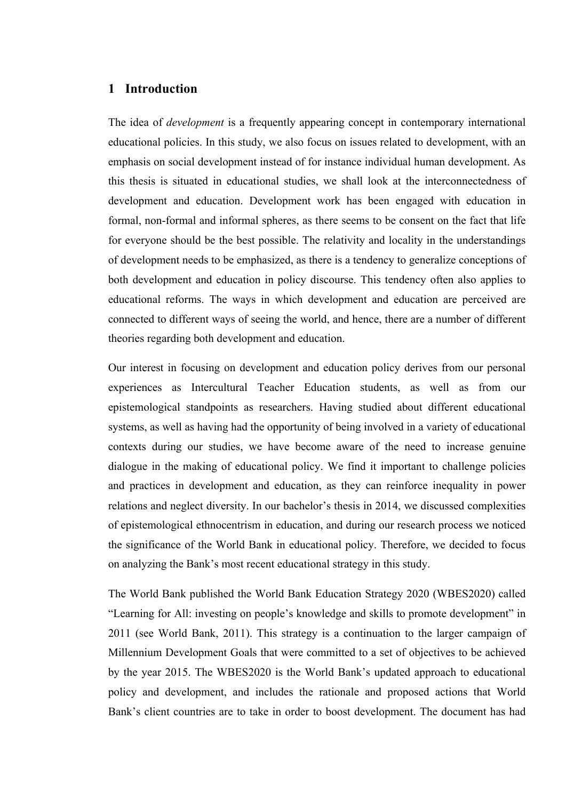### **1 Introduction**

The idea of *development* is a frequently appearing concept in contemporary international educational policies. In this study, we also focus on issues related to development, with an emphasis on social development instead of for instance individual human development. As this thesis is situated in educational studies, we shall look at the interconnectedness of development and education. Development work has been engaged with education in formal, non-formal and informal spheres, as there seems to be consent on the fact that life for everyone should be the best possible. The relativity and locality in the understandings of development needs to be emphasized, as there is a tendency to generalize conceptions of both development and education in policy discourse. This tendency often also applies to educational reforms. The ways in which development and education are perceived are connected to different ways of seeing the world, and hence, there are a number of different theories regarding both development and education.

Our interest in focusing on development and education policy derives from our personal experiences as Intercultural Teacher Education students, as well as from our epistemological standpoints as researchers. Having studied about different educational systems, as well as having had the opportunity of being involved in a variety of educational contexts during our studies, we have become aware of the need to increase genuine dialogue in the making of educational policy. We find it important to challenge policies and practices in development and education, as they can reinforce inequality in power relations and neglect diversity. In our bachelor's thesis in 2014, we discussed complexities of epistemological ethnocentrism in education, and during our research process we noticed the significance of the World Bank in educational policy. Therefore, we decided to focus on analyzing the Bank's most recent educational strategy in this study.

The World Bank published the World Bank Education Strategy 2020 (WBES2020) called "Learning for All: investing on people's knowledge and skills to promote development" in 2011 (see World Bank, 2011). This strategy is a continuation to the larger campaign of Millennium Development Goals that were committed to a set of objectives to be achieved by the year 2015. The WBES2020 is the World Bank's updated approach to educational policy and development, and includes the rationale and proposed actions that World Bank's client countries are to take in order to boost development. The document has had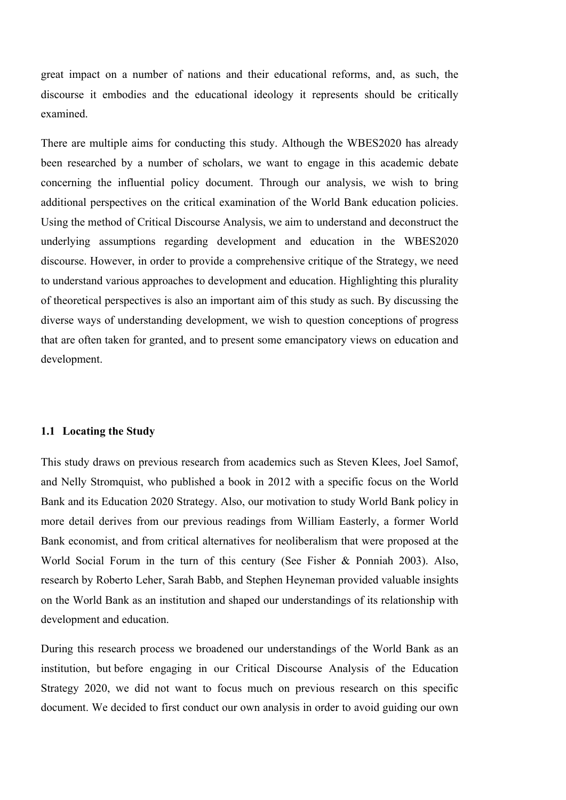great impact on a number of nations and their educational reforms, and, as such, the discourse it embodies and the educational ideology it represents should be critically examined.

There are multiple aims for conducting this study. Although the WBES2020 has already been researched by a number of scholars, we want to engage in this academic debate concerning the influential policy document. Through our analysis, we wish to bring additional perspectives on the critical examination of the World Bank education policies. Using the method of Critical Discourse Analysis, we aim to understand and deconstruct the underlying assumptions regarding development and education in the WBES2020 discourse. However, in order to provide a comprehensive critique of the Strategy, we need to understand various approaches to development and education. Highlighting this plurality of theoretical perspectives is also an important aim of this study as such. By discussing the diverse ways of understanding development, we wish to question conceptions of progress that are often taken for granted, and to present some emancipatory views on education and development.

### **1.1 Locating the Study**

This study draws on previous research from academics such as Steven Klees, Joel Samof, and Nelly Stromquist, who published a book in 2012 with a specific focus on the World Bank and its Education 2020 Strategy. Also, our motivation to study World Bank policy in more detail derives from our previous readings from William Easterly, a former World Bank economist, and from critical alternatives for neoliberalism that were proposed at the World Social Forum in the turn of this century (See Fisher & Ponniah 2003). Also, research by Roberto Leher, Sarah Babb, and Stephen Heyneman provided valuable insights on the World Bank as an institution and shaped our understandings of its relationship with development and education.

During this research process we broadened our understandings of the World Bank as an institution, but before engaging in our Critical Discourse Analysis of the Education Strategy 2020, we did not want to focus much on previous research on this specific document. We decided to first conduct our own analysis in order to avoid guiding our own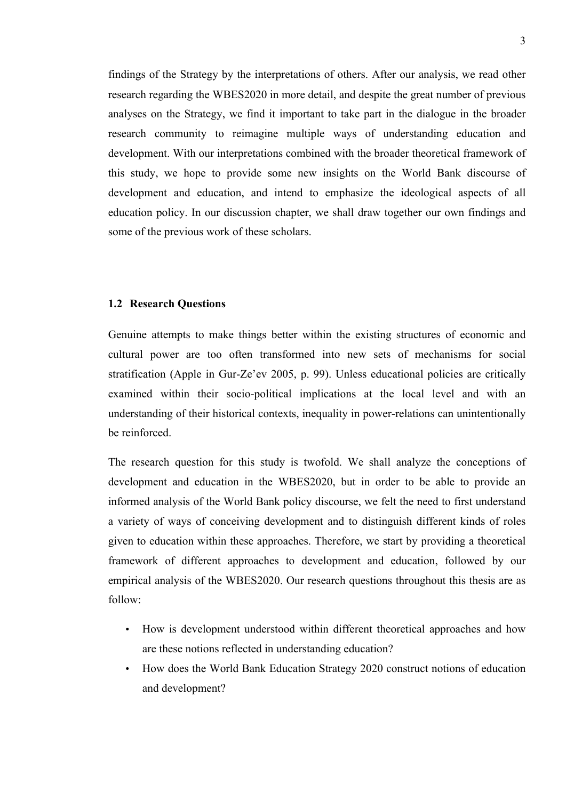findings of the Strategy by the interpretations of others. After our analysis, we read other research regarding the WBES2020 in more detail, and despite the great number of previous analyses on the Strategy, we find it important to take part in the dialogue in the broader research community to reimagine multiple ways of understanding education and development. With our interpretations combined with the broader theoretical framework of this study, we hope to provide some new insights on the World Bank discourse of development and education, and intend to emphasize the ideological aspects of all education policy. In our discussion chapter, we shall draw together our own findings and some of the previous work of these scholars.

### **1.2 Research Questions**

Genuine attempts to make things better within the existing structures of economic and cultural power are too often transformed into new sets of mechanisms for social stratification (Apple in Gur-Ze'ev 2005, p. 99). Unless educational policies are critically examined within their socio-political implications at the local level and with an understanding of their historical contexts, inequality in power-relations can unintentionally be reinforced.

The research question for this study is twofold. We shall analyze the conceptions of development and education in the WBES2020, but in order to be able to provide an informed analysis of the World Bank policy discourse, we felt the need to first understand a variety of ways of conceiving development and to distinguish different kinds of roles given to education within these approaches. Therefore, we start by providing a theoretical framework of different approaches to development and education, followed by our empirical analysis of the WBES2020. Our research questions throughout this thesis are as follow:

- How is development understood within different theoretical approaches and how are these notions reflected in understanding education?
- How does the World Bank Education Strategy 2020 construct notions of education and development?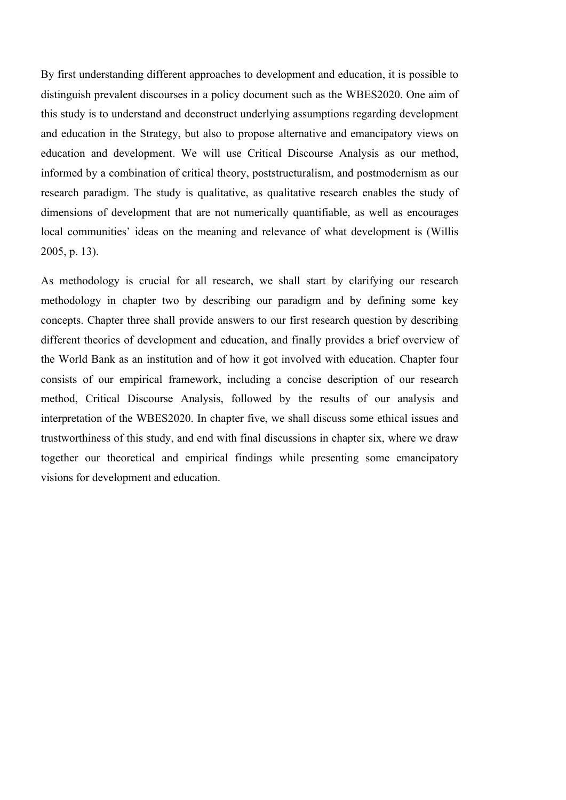By first understanding different approaches to development and education, it is possible to distinguish prevalent discourses in a policy document such as the WBES2020. One aim of this study is to understand and deconstruct underlying assumptions regarding development and education in the Strategy, but also to propose alternative and emancipatory views on education and development. We will use Critical Discourse Analysis as our method, informed by a combination of critical theory, poststructuralism, and postmodernism as our research paradigm. The study is qualitative, as qualitative research enables the study of dimensions of development that are not numerically quantifiable, as well as encourages local communities' ideas on the meaning and relevance of what development is (Willis 2005, p. 13).

As methodology is crucial for all research, we shall start by clarifying our research methodology in chapter two by describing our paradigm and by defining some key concepts. Chapter three shall provide answers to our first research question by describing different theories of development and education, and finally provides a brief overview of the World Bank as an institution and of how it got involved with education. Chapter four consists of our empirical framework, including a concise description of our research method, Critical Discourse Analysis, followed by the results of our analysis and interpretation of the WBES2020. In chapter five, we shall discuss some ethical issues and trustworthiness of this study, and end with final discussions in chapter six, where we draw together our theoretical and empirical findings while presenting some emancipatory visions for development and education.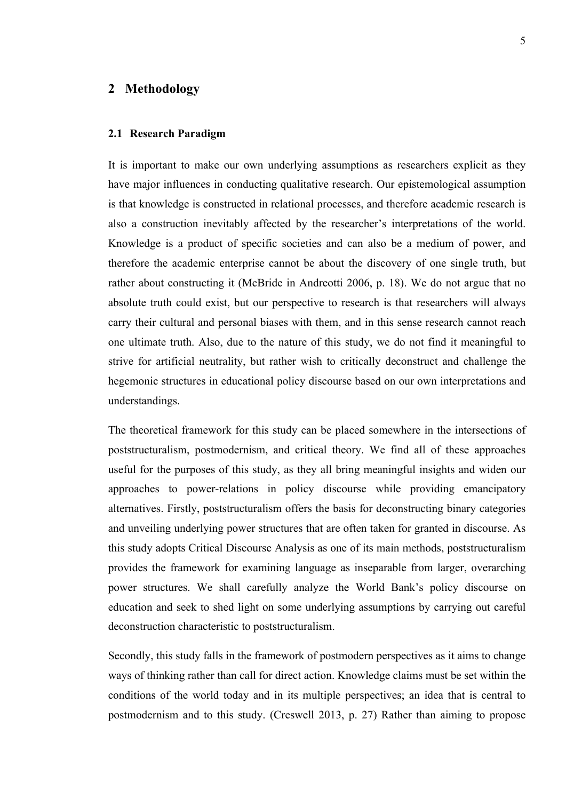## **2 Methodology**

#### **2.1 Research Paradigm**

It is important to make our own underlying assumptions as researchers explicit as they have major influences in conducting qualitative research. Our epistemological assumption is that knowledge is constructed in relational processes, and therefore academic research is also a construction inevitably affected by the researcher's interpretations of the world. Knowledge is a product of specific societies and can also be a medium of power, and therefore the academic enterprise cannot be about the discovery of one single truth, but rather about constructing it (McBride in Andreotti 2006, p. 18). We do not argue that no absolute truth could exist, but our perspective to research is that researchers will always carry their cultural and personal biases with them, and in this sense research cannot reach one ultimate truth. Also, due to the nature of this study, we do not find it meaningful to strive for artificial neutrality, but rather wish to critically deconstruct and challenge the hegemonic structures in educational policy discourse based on our own interpretations and understandings.

The theoretical framework for this study can be placed somewhere in the intersections of poststructuralism, postmodernism, and critical theory. We find all of these approaches useful for the purposes of this study, as they all bring meaningful insights and widen our approaches to power-relations in policy discourse while providing emancipatory alternatives. Firstly, poststructuralism offers the basis for deconstructing binary categories and unveiling underlying power structures that are often taken for granted in discourse. As this study adopts Critical Discourse Analysis as one of its main methods, poststructuralism provides the framework for examining language as inseparable from larger, overarching power structures. We shall carefully analyze the World Bank's policy discourse on education and seek to shed light on some underlying assumptions by carrying out careful deconstruction characteristic to poststructuralism.

Secondly, this study falls in the framework of postmodern perspectives as it aims to change ways of thinking rather than call for direct action. Knowledge claims must be set within the conditions of the world today and in its multiple perspectives; an idea that is central to postmodernism and to this study. (Creswell 2013, p. 27) Rather than aiming to propose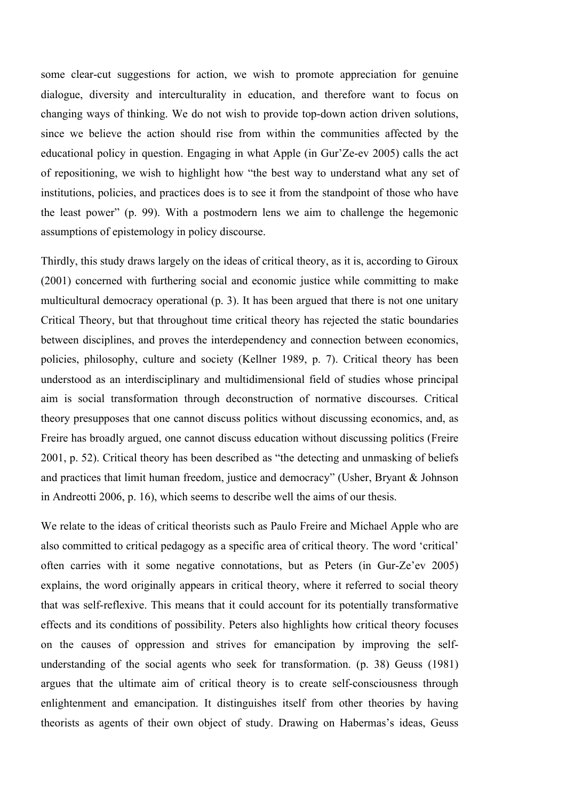some clear-cut suggestions for action, we wish to promote appreciation for genuine dialogue, diversity and interculturality in education, and therefore want to focus on changing ways of thinking. We do not wish to provide top-down action driven solutions, since we believe the action should rise from within the communities affected by the educational policy in question. Engaging in what Apple (in Gur'Ze-ev 2005) calls the act of repositioning, we wish to highlight how "the best way to understand what any set of institutions, policies, and practices does is to see it from the standpoint of those who have the least power" (p. 99). With a postmodern lens we aim to challenge the hegemonic assumptions of epistemology in policy discourse.

Thirdly, this study draws largely on the ideas of critical theory, as it is, according to Giroux (2001) concerned with furthering social and economic justice while committing to make multicultural democracy operational (p. 3). It has been argued that there is not one unitary Critical Theory, but that throughout time critical theory has rejected the static boundaries between disciplines, and proves the interdependency and connection between economics, policies, philosophy, culture and society (Kellner 1989, p. 7). Critical theory has been understood as an interdisciplinary and multidimensional field of studies whose principal aim is social transformation through deconstruction of normative discourses. Critical theory presupposes that one cannot discuss politics without discussing economics, and, as Freire has broadly argued, one cannot discuss education without discussing politics (Freire 2001, p. 52). Critical theory has been described as "the detecting and unmasking of beliefs and practices that limit human freedom, justice and democracy" (Usher, Bryant & Johnson in Andreotti 2006, p. 16), which seems to describe well the aims of our thesis.

We relate to the ideas of critical theorists such as Paulo Freire and Michael Apple who are also committed to critical pedagogy as a specific area of critical theory. The word 'critical' often carries with it some negative connotations, but as Peters (in Gur-Ze'ev 2005) explains, the word originally appears in critical theory, where it referred to social theory that was self-reflexive. This means that it could account for its potentially transformative effects and its conditions of possibility. Peters also highlights how critical theory focuses on the causes of oppression and strives for emancipation by improving the selfunderstanding of the social agents who seek for transformation. (p. 38) Geuss (1981) argues that the ultimate aim of critical theory is to create self-consciousness through enlightenment and emancipation. It distinguishes itself from other theories by having theorists as agents of their own object of study. Drawing on Habermas's ideas, Geuss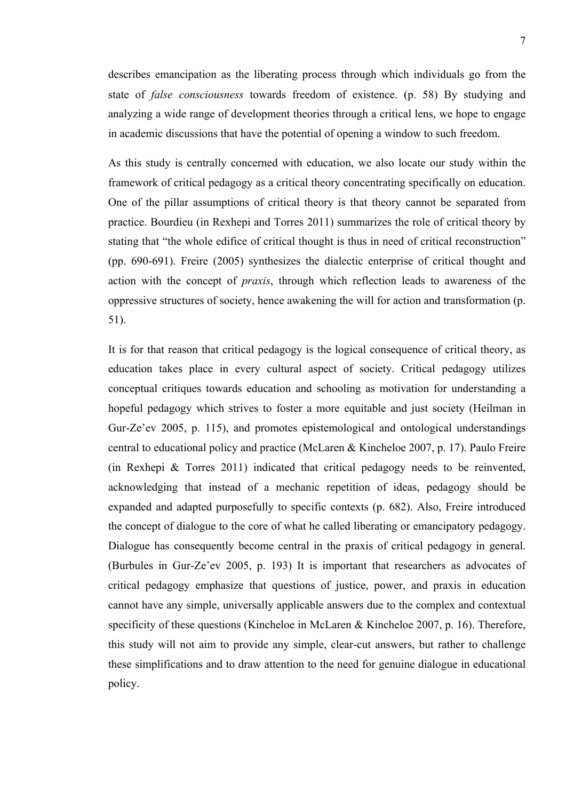describes emancipation as the liberating process through which individuals go from the state of *false consciousness* towards freedom of existence. (p. 58) By studying and analyzing a wide range of development theories through a critical lens, we hope to engage in academic discussions that have the potential of opening a window to such freedom.

As this study is centrally concerned with education, we also locate our study within the framework of critical pedagogy as a critical theory concentrating specifically on education. One of the pillar assumptions of critical theory is that theory cannot be separated from practice. Bourdieu (in Rexhepi and Torres 2011) summarizes the role of critical theory by stating that "the whole edifice of critical thought is thus in need of critical reconstruction" (pp. 690-691). Freire (2005) synthesizes the dialectic enterprise of critical thought and action with the concept of *praxis*, through which reflection leads to awareness of the oppressive structures of society, hence awakening the will for action and transformation (p. 51).

It is for that reason that critical pedagogy is the logical consequence of critical theory, as education takes place in every cultural aspect of society. Critical pedagogy utilizes conceptual critiques towards education and schooling as motivation for understanding a hopeful pedagogy which strives to foster a more equitable and just society (Heilman in Gur-Ze'ev 2005, p. 115), and promotes epistemological and ontological understandings central to educational policy and practice (McLaren & Kincheloe 2007, p. 17). Paulo Freire (in Rexhepi & Torres 2011) indicated that critical pedagogy needs to be reinvented, acknowledging that instead of a mechanic repetition of ideas, pedagogy should be expanded and adapted purposefully to specific contexts (p. 682). Also, Freire introduced the concept of dialogue to the core of what he called liberating or emancipatory pedagogy. Dialogue has consequently become central in the praxis of critical pedagogy in general. (Burbules in Gur-Ze'ev 2005, p. 193) It is important that researchers as advocates of critical pedagogy emphasize that questions of justice, power, and praxis in education cannot have any simple, universally applicable answers due to the complex and contextual specificity of these questions (Kincheloe in McLaren & Kincheloe 2007, p. 16). Therefore, this study will not aim to provide any simple, clear-cut answers, but rather to challenge these simplifications and to draw attention to the need for genuine dialogue in educational policy.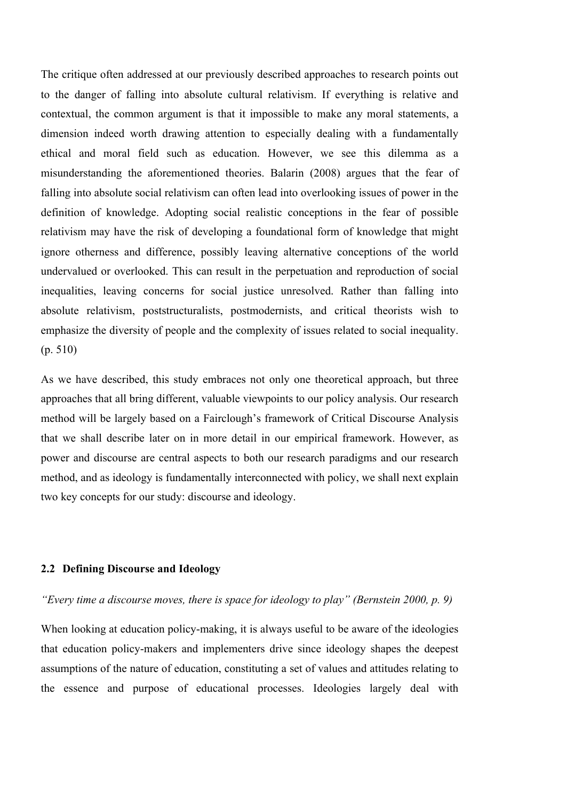The critique often addressed at our previously described approaches to research points out to the danger of falling into absolute cultural relativism. If everything is relative and contextual, the common argument is that it impossible to make any moral statements, a dimension indeed worth drawing attention to especially dealing with a fundamentally ethical and moral field such as education. However, we see this dilemma as a misunderstanding the aforementioned theories. Balarin (2008) argues that the fear of falling into absolute social relativism can often lead into overlooking issues of power in the definition of knowledge. Adopting social realistic conceptions in the fear of possible relativism may have the risk of developing a foundational form of knowledge that might ignore otherness and difference, possibly leaving alternative conceptions of the world undervalued or overlooked. This can result in the perpetuation and reproduction of social inequalities, leaving concerns for social justice unresolved. Rather than falling into absolute relativism, poststructuralists, postmodernists, and critical theorists wish to emphasize the diversity of people and the complexity of issues related to social inequality. (p. 510)

As we have described, this study embraces not only one theoretical approach, but three approaches that all bring different, valuable viewpoints to our policy analysis. Our research method will be largely based on a Fairclough's framework of Critical Discourse Analysis that we shall describe later on in more detail in our empirical framework. However, as power and discourse are central aspects to both our research paradigms and our research method, and as ideology is fundamentally interconnected with policy, we shall next explain two key concepts for our study: discourse and ideology.

### **2.2 Defining Discourse and Ideology**

### *"Every time a discourse moves, there is space for ideology to play" (Bernstein 2000, p. 9)*

When looking at education policy-making, it is always useful to be aware of the ideologies that education policy-makers and implementers drive since ideology shapes the deepest assumptions of the nature of education, constituting a set of values and attitudes relating to the essence and purpose of educational processes. Ideologies largely deal with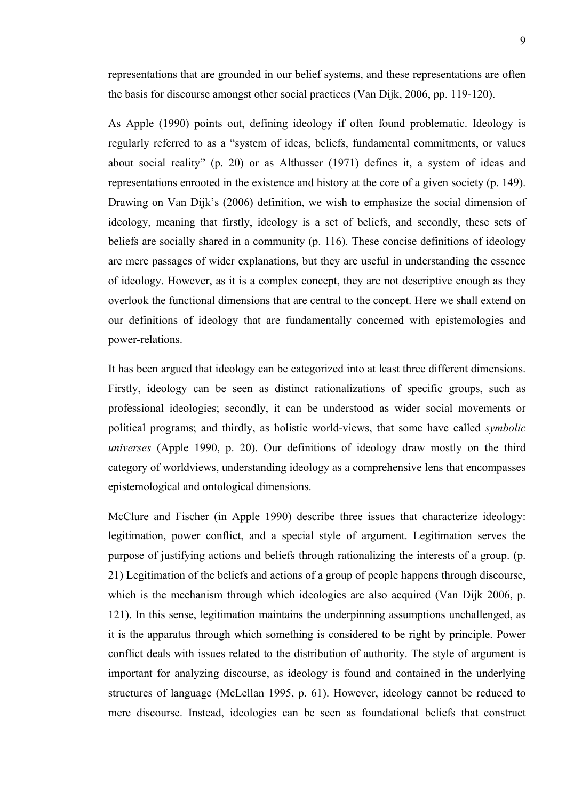representations that are grounded in our belief systems, and these representations are often the basis for discourse amongst other social practices (Van Dijk, 2006, pp. 119-120).

As Apple (1990) points out, defining ideology if often found problematic. Ideology is regularly referred to as a "system of ideas, beliefs, fundamental commitments, or values about social reality" (p. 20) or as Althusser (1971) defines it, a system of ideas and representations enrooted in the existence and history at the core of a given society (p. 149). Drawing on Van Dijk's (2006) definition, we wish to emphasize the social dimension of ideology, meaning that firstly, ideology is a set of beliefs, and secondly, these sets of beliefs are socially shared in a community (p. 116). These concise definitions of ideology are mere passages of wider explanations, but they are useful in understanding the essence of ideology. However, as it is a complex concept, they are not descriptive enough as they overlook the functional dimensions that are central to the concept. Here we shall extend on our definitions of ideology that are fundamentally concerned with epistemologies and power-relations.

It has been argued that ideology can be categorized into at least three different dimensions. Firstly, ideology can be seen as distinct rationalizations of specific groups, such as professional ideologies; secondly, it can be understood as wider social movements or political programs; and thirdly, as holistic world-views, that some have called *symbolic universes* (Apple 1990, p. 20). Our definitions of ideology draw mostly on the third category of worldviews, understanding ideology as a comprehensive lens that encompasses epistemological and ontological dimensions.

McClure and Fischer (in Apple 1990) describe three issues that characterize ideology: legitimation, power conflict, and a special style of argument. Legitimation serves the purpose of justifying actions and beliefs through rationalizing the interests of a group. (p. 21) Legitimation of the beliefs and actions of a group of people happens through discourse, which is the mechanism through which ideologies are also acquired (Van Dijk 2006, p. 121). In this sense, legitimation maintains the underpinning assumptions unchallenged, as it is the apparatus through which something is considered to be right by principle. Power conflict deals with issues related to the distribution of authority. The style of argument is important for analyzing discourse, as ideology is found and contained in the underlying structures of language (McLellan 1995, p. 61). However, ideology cannot be reduced to mere discourse. Instead, ideologies can be seen as foundational beliefs that construct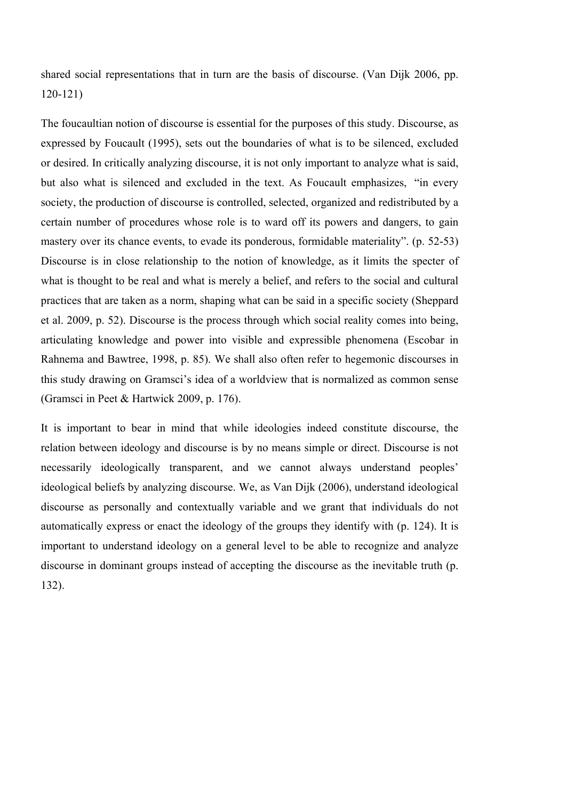shared social representations that in turn are the basis of discourse. (Van Dijk 2006, pp. 120-121)

The foucaultian notion of discourse is essential for the purposes of this study. Discourse, as expressed by Foucault (1995), sets out the boundaries of what is to be silenced, excluded or desired. In critically analyzing discourse, it is not only important to analyze what is said, but also what is silenced and excluded in the text. As Foucault emphasizes, "in every society, the production of discourse is controlled, selected, organized and redistributed by a certain number of procedures whose role is to ward off its powers and dangers, to gain mastery over its chance events, to evade its ponderous, formidable materiality". (p. 52-53) Discourse is in close relationship to the notion of knowledge, as it limits the specter of what is thought to be real and what is merely a belief, and refers to the social and cultural practices that are taken as a norm, shaping what can be said in a specific society (Sheppard et al. 2009, p. 52). Discourse is the process through which social reality comes into being, articulating knowledge and power into visible and expressible phenomena (Escobar in Rahnema and Bawtree, 1998, p. 85). We shall also often refer to hegemonic discourses in this study drawing on Gramsci's idea of a worldview that is normalized as common sense (Gramsci in Peet & Hartwick 2009, p. 176).

It is important to bear in mind that while ideologies indeed constitute discourse, the relation between ideology and discourse is by no means simple or direct. Discourse is not necessarily ideologically transparent, and we cannot always understand peoples' ideological beliefs by analyzing discourse. We, as Van Dijk (2006), understand ideological discourse as personally and contextually variable and we grant that individuals do not automatically express or enact the ideology of the groups they identify with (p. 124). It is important to understand ideology on a general level to be able to recognize and analyze discourse in dominant groups instead of accepting the discourse as the inevitable truth (p. 132).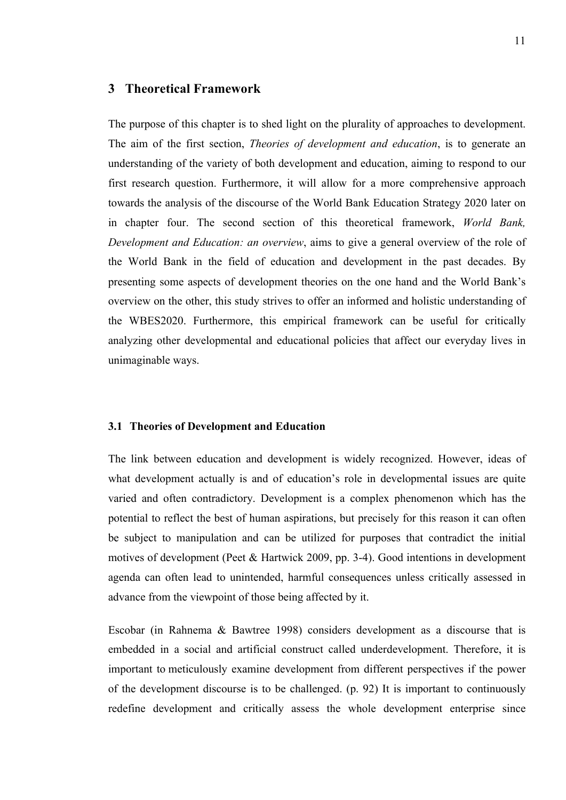### **3 Theoretical Framework**

The purpose of this chapter is to shed light on the plurality of approaches to development. The aim of the first section, *Theories of development and education*, is to generate an understanding of the variety of both development and education, aiming to respond to our first research question. Furthermore, it will allow for a more comprehensive approach towards the analysis of the discourse of the World Bank Education Strategy 2020 later on in chapter four. The second section of this theoretical framework, *World Bank, Development and Education: an overview*, aims to give a general overview of the role of the World Bank in the field of education and development in the past decades. By presenting some aspects of development theories on the one hand and the World Bank's overview on the other, this study strives to offer an informed and holistic understanding of the WBES2020. Furthermore, this empirical framework can be useful for critically analyzing other developmental and educational policies that affect our everyday lives in unimaginable ways.

### **3.1 Theories of Development and Education**

The link between education and development is widely recognized. However, ideas of what development actually is and of education's role in developmental issues are quite varied and often contradictory. Development is a complex phenomenon which has the potential to reflect the best of human aspirations, but precisely for this reason it can often be subject to manipulation and can be utilized for purposes that contradict the initial motives of development (Peet & Hartwick 2009, pp. 3-4). Good intentions in development agenda can often lead to unintended, harmful consequences unless critically assessed in advance from the viewpoint of those being affected by it.

Escobar (in Rahnema & Bawtree 1998) considers development as a discourse that is embedded in a social and artificial construct called underdevelopment. Therefore, it is important to meticulously examine development from different perspectives if the power of the development discourse is to be challenged. (p. 92) It is important to continuously redefine development and critically assess the whole development enterprise since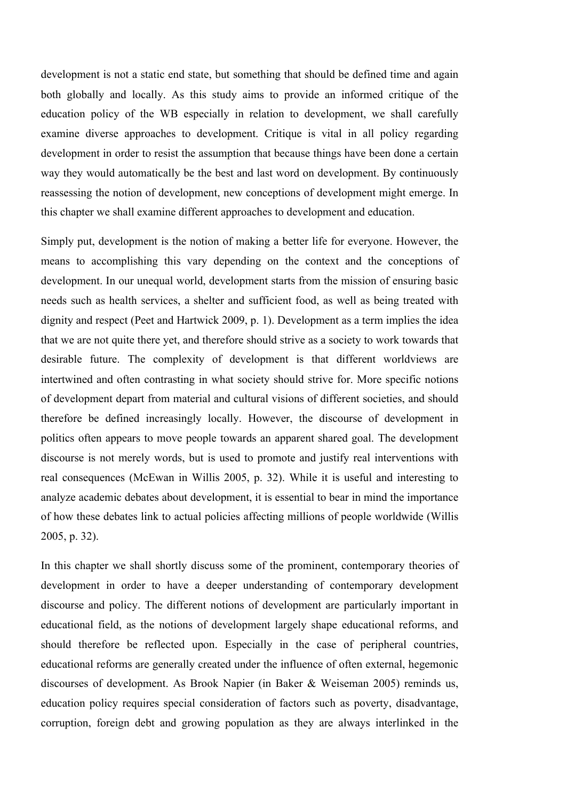development is not a static end state, but something that should be defined time and again both globally and locally. As this study aims to provide an informed critique of the education policy of the WB especially in relation to development, we shall carefully examine diverse approaches to development. Critique is vital in all policy regarding development in order to resist the assumption that because things have been done a certain way they would automatically be the best and last word on development. By continuously reassessing the notion of development, new conceptions of development might emerge. In this chapter we shall examine different approaches to development and education.

Simply put, development is the notion of making a better life for everyone. However, the means to accomplishing this vary depending on the context and the conceptions of development. In our unequal world, development starts from the mission of ensuring basic needs such as health services, a shelter and sufficient food, as well as being treated with dignity and respect (Peet and Hartwick 2009, p. 1). Development as a term implies the idea that we are not quite there yet, and therefore should strive as a society to work towards that desirable future. The complexity of development is that different worldviews are intertwined and often contrasting in what society should strive for. More specific notions of development depart from material and cultural visions of different societies, and should therefore be defined increasingly locally. However, the discourse of development in politics often appears to move people towards an apparent shared goal. The development discourse is not merely words, but is used to promote and justify real interventions with real consequences (McEwan in Willis 2005, p. 32). While it is useful and interesting to analyze academic debates about development, it is essential to bear in mind the importance of how these debates link to actual policies affecting millions of people worldwide (Willis 2005, p. 32).

In this chapter we shall shortly discuss some of the prominent, contemporary theories of development in order to have a deeper understanding of contemporary development discourse and policy. The different notions of development are particularly important in educational field, as the notions of development largely shape educational reforms, and should therefore be reflected upon. Especially in the case of peripheral countries, educational reforms are generally created under the influence of often external, hegemonic discourses of development. As Brook Napier (in Baker & Weiseman 2005) reminds us, education policy requires special consideration of factors such as poverty, disadvantage, corruption, foreign debt and growing population as they are always interlinked in the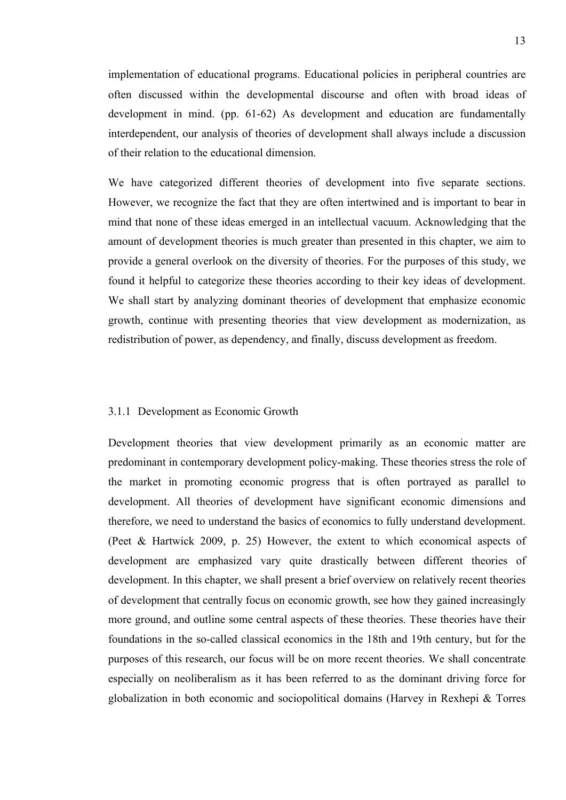implementation of educational programs. Educational policies in peripheral countries are often discussed within the developmental discourse and often with broad ideas of development in mind. (pp. 61-62) As development and education are fundamentally interdependent, our analysis of theories of development shall always include a discussion of their relation to the educational dimension.

We have categorized different theories of development into five separate sections. However, we recognize the fact that they are often intertwined and is important to bear in mind that none of these ideas emerged in an intellectual vacuum. Acknowledging that the amount of development theories is much greater than presented in this chapter, we aim to provide a general overlook on the diversity of theories. For the purposes of this study, we found it helpful to categorize these theories according to their key ideas of development. We shall start by analyzing dominant theories of development that emphasize economic growth, continue with presenting theories that view development as modernization, as redistribution of power, as dependency, and finally, discuss development as freedom.

### 3.1.1 Development as Economic Growth

Development theories that view development primarily as an economic matter are predominant in contemporary development policy-making. These theories stress the role of the market in promoting economic progress that is often portrayed as parallel to development. All theories of development have significant economic dimensions and therefore, we need to understand the basics of economics to fully understand development. (Peet & Hartwick 2009, p. 25) However, the extent to which economical aspects of development are emphasized vary quite drastically between different theories of development. In this chapter, we shall present a brief overview on relatively recent theories of development that centrally focus on economic growth, see how they gained increasingly more ground, and outline some central aspects of these theories. These theories have their foundations in the so-called classical economics in the 18th and 19th century, but for the purposes of this research, our focus will be on more recent theories. We shall concentrate especially on neoliberalism as it has been referred to as the dominant driving force for globalization in both economic and sociopolitical domains (Harvey in Rexhepi & Torres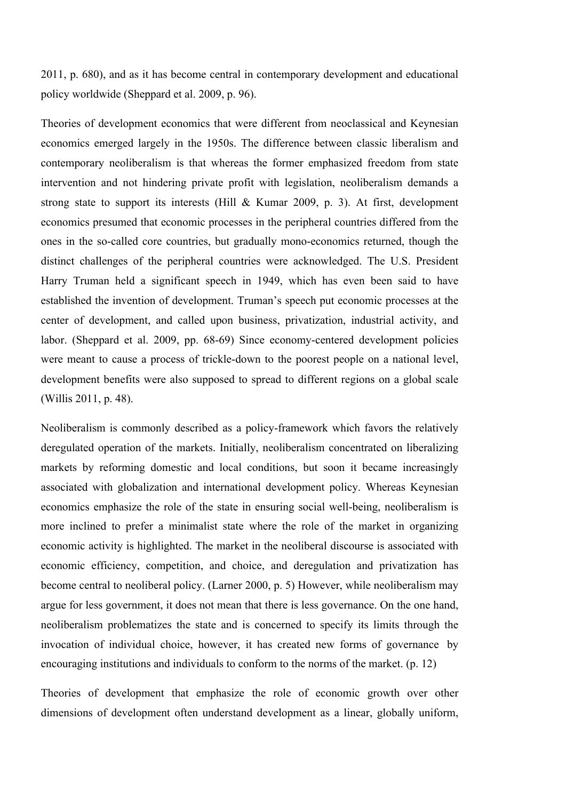2011, p. 680), and as it has become central in contemporary development and educational policy worldwide (Sheppard et al. 2009, p. 96).

Theories of development economics that were different from neoclassical and Keynesian economics emerged largely in the 1950s. The difference between classic liberalism and contemporary neoliberalism is that whereas the former emphasized freedom from state intervention and not hindering private profit with legislation, neoliberalism demands a strong state to support its interests (Hill & Kumar 2009, p. 3). At first, development economics presumed that economic processes in the peripheral countries differed from the ones in the so-called core countries, but gradually mono-economics returned, though the distinct challenges of the peripheral countries were acknowledged. The U.S. President Harry Truman held a significant speech in 1949, which has even been said to have established the invention of development. Truman's speech put economic processes at the center of development, and called upon business, privatization, industrial activity, and labor. (Sheppard et al. 2009, pp. 68-69) Since economy-centered development policies were meant to cause a process of trickle-down to the poorest people on a national level, development benefits were also supposed to spread to different regions on a global scale (Willis 2011, p. 48).

Neoliberalism is commonly described as a policy-framework which favors the relatively deregulated operation of the markets. Initially, neoliberalism concentrated on liberalizing markets by reforming domestic and local conditions, but soon it became increasingly associated with globalization and international development policy. Whereas Keynesian economics emphasize the role of the state in ensuring social well-being, neoliberalism is more inclined to prefer a minimalist state where the role of the market in organizing economic activity is highlighted. The market in the neoliberal discourse is associated with economic efficiency, competition, and choice, and deregulation and privatization has become central to neoliberal policy. (Larner 2000, p. 5) However, while neoliberalism may argue for less government, it does not mean that there is less governance. On the one hand, neoliberalism problematizes the state and is concerned to specify its limits through the invocation of individual choice, however, it has created new forms of governance by encouraging institutions and individuals to conform to the norms of the market. (p. 12)

Theories of development that emphasize the role of economic growth over other dimensions of development often understand development as a linear, globally uniform,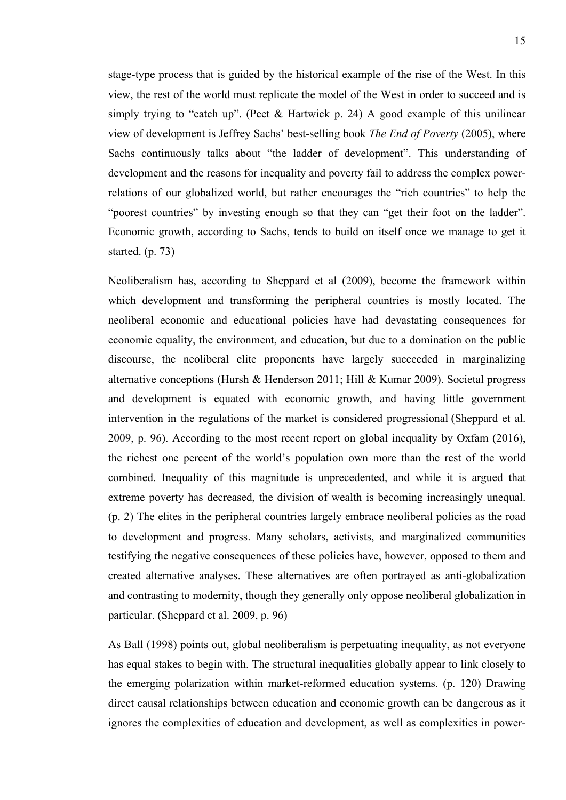stage-type process that is guided by the historical example of the rise of the West. In this view, the rest of the world must replicate the model of the West in order to succeed and is simply trying to "catch up". (Peet & Hartwick p. 24) A good example of this unilinear view of development is Jeffrey Sachs' best-selling book *The End of Poverty* (2005), where Sachs continuously talks about "the ladder of development". This understanding of development and the reasons for inequality and poverty fail to address the complex powerrelations of our globalized world, but rather encourages the "rich countries" to help the "poorest countries" by investing enough so that they can "get their foot on the ladder". Economic growth, according to Sachs, tends to build on itself once we manage to get it started. (p. 73)

Neoliberalism has, according to Sheppard et al (2009), become the framework within which development and transforming the peripheral countries is mostly located. The neoliberal economic and educational policies have had devastating consequences for economic equality, the environment, and education, but due to a domination on the public discourse, the neoliberal elite proponents have largely succeeded in marginalizing alternative conceptions (Hursh & Henderson 2011; Hill & Kumar 2009). Societal progress and development is equated with economic growth, and having little government intervention in the regulations of the market is considered progressional (Sheppard et al. 2009, p. 96). According to the most recent report on global inequality by Oxfam (2016), the richest one percent of the world's population own more than the rest of the world combined. Inequality of this magnitude is unprecedented, and while it is argued that extreme poverty has decreased, the division of wealth is becoming increasingly unequal. (p. 2) The elites in the peripheral countries largely embrace neoliberal policies as the road to development and progress. Many scholars, activists, and marginalized communities testifying the negative consequences of these policies have, however, opposed to them and created alternative analyses. These alternatives are often portrayed as anti-globalization and contrasting to modernity, though they generally only oppose neoliberal globalization in particular. (Sheppard et al. 2009, p. 96)

As Ball (1998) points out, global neoliberalism is perpetuating inequality, as not everyone has equal stakes to begin with. The structural inequalities globally appear to link closely to the emerging polarization within market-reformed education systems. (p. 120) Drawing direct causal relationships between education and economic growth can be dangerous as it ignores the complexities of education and development, as well as complexities in power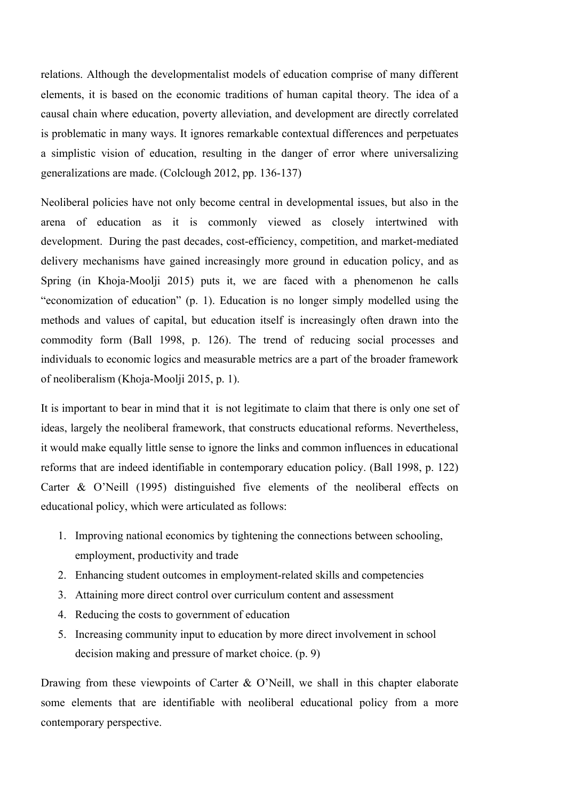relations. Although the developmentalist models of education comprise of many different elements, it is based on the economic traditions of human capital theory. The idea of a causal chain where education, poverty alleviation, and development are directly correlated is problematic in many ways. It ignores remarkable contextual differences and perpetuates a simplistic vision of education, resulting in the danger of error where universalizing generalizations are made. (Colclough 2012, pp. 136-137)

Neoliberal policies have not only become central in developmental issues, but also in the arena of education as it is commonly viewed as closely intertwined with development. During the past decades, cost-efficiency, competition, and market-mediated delivery mechanisms have gained increasingly more ground in education policy, and as Spring (in Khoja-Moolji 2015) puts it, we are faced with a phenomenon he calls "economization of education" (p. 1). Education is no longer simply modelled using the methods and values of capital, but education itself is increasingly often drawn into the commodity form (Ball 1998, p. 126). The trend of reducing social processes and individuals to economic logics and measurable metrics are a part of the broader framework of neoliberalism (Khoja-Moolji 2015, p. 1).

It is important to bear in mind that it is not legitimate to claim that there is only one set of ideas, largely the neoliberal framework, that constructs educational reforms. Nevertheless, it would make equally little sense to ignore the links and common influences in educational reforms that are indeed identifiable in contemporary education policy. (Ball 1998, p. 122) Carter & O'Neill (1995) distinguished five elements of the neoliberal effects on educational policy, which were articulated as follows:

- 1. Improving national economics by tightening the connections between schooling, employment, productivity and trade
- 2. Enhancing student outcomes in employment-related skills and competencies
- 3. Attaining more direct control over curriculum content and assessment
- 4. Reducing the costs to government of education
- 5. Increasing community input to education by more direct involvement in school decision making and pressure of market choice. (p. 9)

Drawing from these viewpoints of Carter & O'Neill, we shall in this chapter elaborate some elements that are identifiable with neoliberal educational policy from a more contemporary perspective.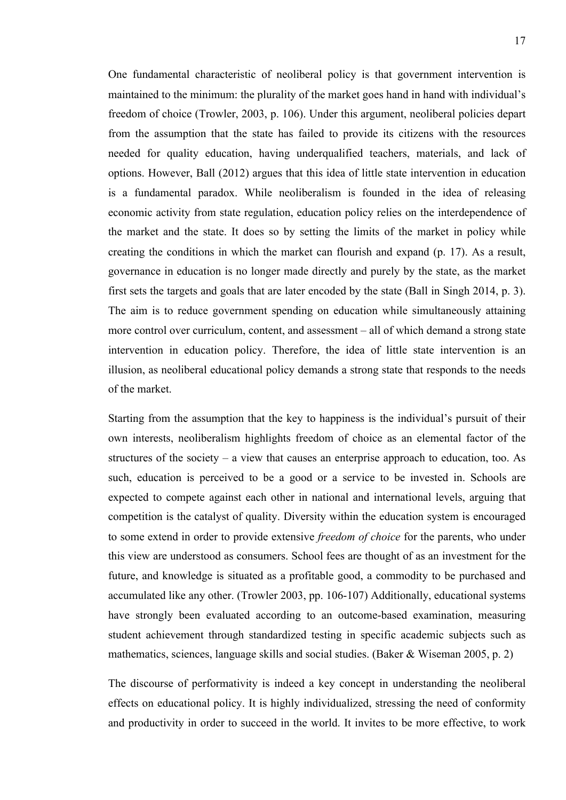One fundamental characteristic of neoliberal policy is that government intervention is maintained to the minimum: the plurality of the market goes hand in hand with individual's freedom of choice (Trowler, 2003, p. 106). Under this argument, neoliberal policies depart from the assumption that the state has failed to provide its citizens with the resources needed for quality education, having underqualified teachers, materials, and lack of options. However, Ball (2012) argues that this idea of little state intervention in education is a fundamental paradox. While neoliberalism is founded in the idea of releasing economic activity from state regulation, education policy relies on the interdependence of the market and the state. It does so by setting the limits of the market in policy while creating the conditions in which the market can flourish and expand (p. 17). As a result, governance in education is no longer made directly and purely by the state, as the market first sets the targets and goals that are later encoded by the state (Ball in Singh 2014, p. 3). The aim is to reduce government spending on education while simultaneously attaining more control over curriculum, content, and assessment – all of which demand a strong state intervention in education policy. Therefore, the idea of little state intervention is an illusion, as neoliberal educational policy demands a strong state that responds to the needs of the market.

Starting from the assumption that the key to happiness is the individual's pursuit of their own interests, neoliberalism highlights freedom of choice as an elemental factor of the structures of the society – a view that causes an enterprise approach to education, too. As such, education is perceived to be a good or a service to be invested in. Schools are expected to compete against each other in national and international levels, arguing that competition is the catalyst of quality. Diversity within the education system is encouraged to some extend in order to provide extensive *freedom of choice* for the parents, who under this view are understood as consumers. School fees are thought of as an investment for the future, and knowledge is situated as a profitable good, a commodity to be purchased and accumulated like any other. (Trowler 2003, pp. 106-107) Additionally, educational systems have strongly been evaluated according to an outcome-based examination, measuring student achievement through standardized testing in specific academic subjects such as mathematics, sciences, language skills and social studies. (Baker & Wiseman 2005, p. 2)

The discourse of performativity is indeed a key concept in understanding the neoliberal effects on educational policy. It is highly individualized, stressing the need of conformity and productivity in order to succeed in the world. It invites to be more effective, to work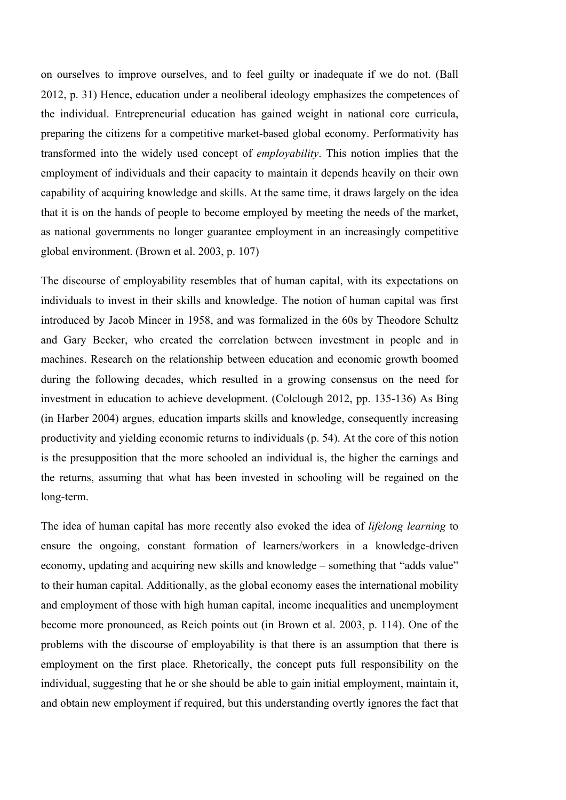on ourselves to improve ourselves, and to feel guilty or inadequate if we do not. (Ball 2012, p. 31) Hence, education under a neoliberal ideology emphasizes the competences of the individual. Entrepreneurial education has gained weight in national core curricula, preparing the citizens for a competitive market-based global economy. Performativity has transformed into the widely used concept of *employability*. This notion implies that the employment of individuals and their capacity to maintain it depends heavily on their own capability of acquiring knowledge and skills. At the same time, it draws largely on the idea that it is on the hands of people to become employed by meeting the needs of the market, as national governments no longer guarantee employment in an increasingly competitive global environment. (Brown et al. 2003, p. 107)

The discourse of employability resembles that of human capital, with its expectations on individuals to invest in their skills and knowledge. The notion of human capital was first introduced by Jacob Mincer in 1958, and was formalized in the 60s by Theodore Schultz and Gary Becker, who created the correlation between investment in people and in machines. Research on the relationship between education and economic growth boomed during the following decades, which resulted in a growing consensus on the need for investment in education to achieve development. (Colclough 2012, pp. 135-136) As Bing (in Harber 2004) argues, education imparts skills and knowledge, consequently increasing productivity and yielding economic returns to individuals (p. 54). At the core of this notion is the presupposition that the more schooled an individual is, the higher the earnings and the returns, assuming that what has been invested in schooling will be regained on the long-term.

The idea of human capital has more recently also evoked the idea of *lifelong learning* to ensure the ongoing, constant formation of learners/workers in a knowledge-driven economy, updating and acquiring new skills and knowledge – something that "adds value" to their human capital. Additionally, as the global economy eases the international mobility and employment of those with high human capital, income inequalities and unemployment become more pronounced, as Reich points out (in Brown et al. 2003, p. 114). One of the problems with the discourse of employability is that there is an assumption that there is employment on the first place. Rhetorically, the concept puts full responsibility on the individual, suggesting that he or she should be able to gain initial employment, maintain it, and obtain new employment if required, but this understanding overtly ignores the fact that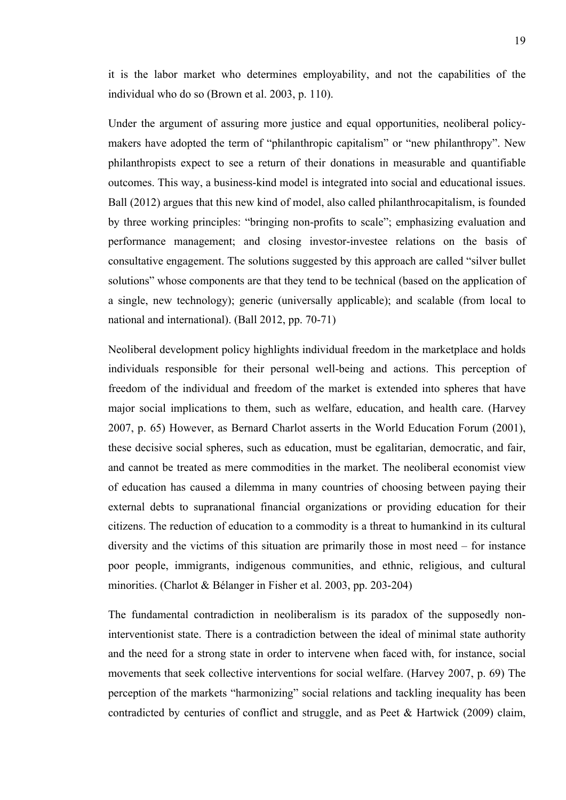it is the labor market who determines employability, and not the capabilities of the individual who do so (Brown et al. 2003, p. 110).

Under the argument of assuring more justice and equal opportunities, neoliberal policymakers have adopted the term of "philanthropic capitalism" or "new philanthropy". New philanthropists expect to see a return of their donations in measurable and quantifiable outcomes. This way, a business-kind model is integrated into social and educational issues. Ball (2012) argues that this new kind of model, also called philanthrocapitalism, is founded by three working principles: "bringing non-profits to scale"; emphasizing evaluation and performance management; and closing investor-investee relations on the basis of consultative engagement. The solutions suggested by this approach are called "silver bullet solutions" whose components are that they tend to be technical (based on the application of a single, new technology); generic (universally applicable); and scalable (from local to national and international). (Ball 2012, pp. 70-71)

Neoliberal development policy highlights individual freedom in the marketplace and holds individuals responsible for their personal well-being and actions. This perception of freedom of the individual and freedom of the market is extended into spheres that have major social implications to them, such as welfare, education, and health care. (Harvey 2007, p. 65) However, as Bernard Charlot asserts in the World Education Forum (2001), these decisive social spheres, such as education, must be egalitarian, democratic, and fair, and cannot be treated as mere commodities in the market. The neoliberal economist view of education has caused a dilemma in many countries of choosing between paying their external debts to supranational financial organizations or providing education for their citizens. The reduction of education to a commodity is a threat to humankind in its cultural diversity and the victims of this situation are primarily those in most need – for instance poor people, immigrants, indigenous communities, and ethnic, religious, and cultural minorities. (Charlot & Bélanger in Fisher et al. 2003, pp. 203-204)

The fundamental contradiction in neoliberalism is its paradox of the supposedly noninterventionist state. There is a contradiction between the ideal of minimal state authority and the need for a strong state in order to intervene when faced with, for instance, social movements that seek collective interventions for social welfare. (Harvey 2007, p. 69) The perception of the markets "harmonizing" social relations and tackling inequality has been contradicted by centuries of conflict and struggle, and as Peet & Hartwick (2009) claim,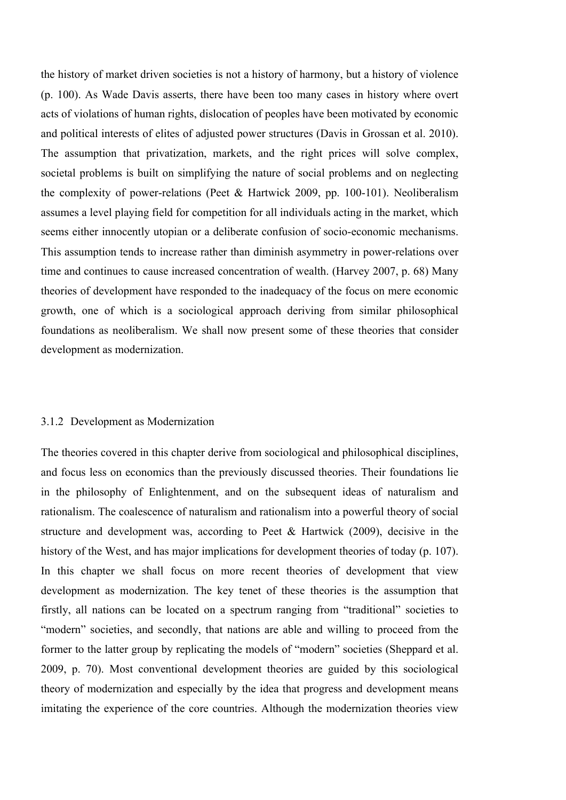the history of market driven societies is not a history of harmony, but a history of violence (p. 100). As Wade Davis asserts, there have been too many cases in history where overt acts of violations of human rights, dislocation of peoples have been motivated by economic and political interests of elites of adjusted power structures (Davis in Grossan et al. 2010). The assumption that privatization, markets, and the right prices will solve complex, societal problems is built on simplifying the nature of social problems and on neglecting the complexity of power-relations (Peet & Hartwick 2009, pp. 100-101). Neoliberalism assumes a level playing field for competition for all individuals acting in the market, which seems either innocently utopian or a deliberate confusion of socio-economic mechanisms. This assumption tends to increase rather than diminish asymmetry in power-relations over time and continues to cause increased concentration of wealth. (Harvey 2007, p. 68) Many theories of development have responded to the inadequacy of the focus on mere economic growth, one of which is a sociological approach deriving from similar philosophical foundations as neoliberalism. We shall now present some of these theories that consider development as modernization.

#### 3.1.2 Development as Modernization

The theories covered in this chapter derive from sociological and philosophical disciplines, and focus less on economics than the previously discussed theories. Their foundations lie in the philosophy of Enlightenment, and on the subsequent ideas of naturalism and rationalism. The coalescence of naturalism and rationalism into a powerful theory of social structure and development was, according to Peet & Hartwick (2009), decisive in the history of the West, and has major implications for development theories of today (p. 107). In this chapter we shall focus on more recent theories of development that view development as modernization. The key tenet of these theories is the assumption that firstly, all nations can be located on a spectrum ranging from "traditional" societies to "modern" societies, and secondly, that nations are able and willing to proceed from the former to the latter group by replicating the models of "modern" societies (Sheppard et al. 2009, p. 70). Most conventional development theories are guided by this sociological theory of modernization and especially by the idea that progress and development means imitating the experience of the core countries. Although the modernization theories view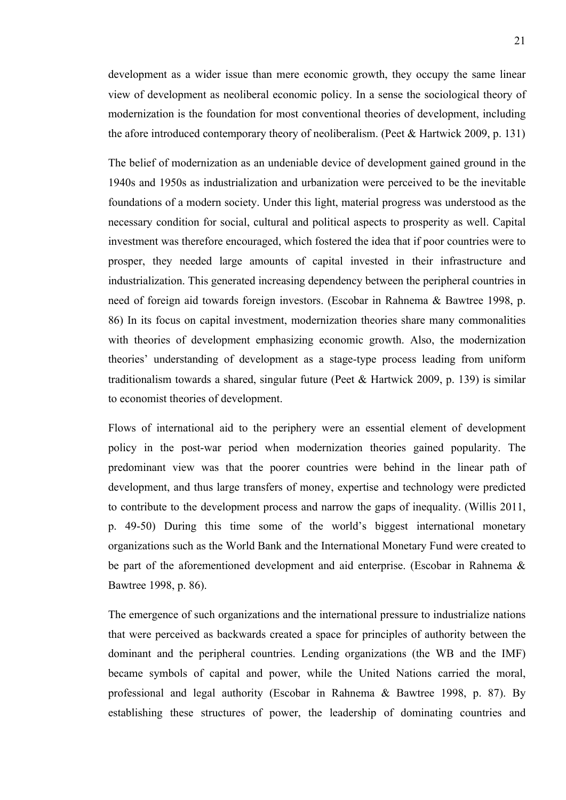development as a wider issue than mere economic growth, they occupy the same linear view of development as neoliberal economic policy. In a sense the sociological theory of modernization is the foundation for most conventional theories of development, including the afore introduced contemporary theory of neoliberalism. (Peet & Hartwick 2009, p. 131)

The belief of modernization as an undeniable device of development gained ground in the 1940s and 1950s as industrialization and urbanization were perceived to be the inevitable foundations of a modern society. Under this light, material progress was understood as the necessary condition for social, cultural and political aspects to prosperity as well. Capital investment was therefore encouraged, which fostered the idea that if poor countries were to prosper, they needed large amounts of capital invested in their infrastructure and industrialization. This generated increasing dependency between the peripheral countries in need of foreign aid towards foreign investors. (Escobar in Rahnema & Bawtree 1998, p. 86) In its focus on capital investment, modernization theories share many commonalities with theories of development emphasizing economic growth. Also, the modernization theories' understanding of development as a stage-type process leading from uniform traditionalism towards a shared, singular future (Peet & Hartwick 2009, p. 139) is similar to economist theories of development.

Flows of international aid to the periphery were an essential element of development policy in the post-war period when modernization theories gained popularity. The predominant view was that the poorer countries were behind in the linear path of development, and thus large transfers of money, expertise and technology were predicted to contribute to the development process and narrow the gaps of inequality. (Willis 2011, p. 49-50) During this time some of the world's biggest international monetary organizations such as the World Bank and the International Monetary Fund were created to be part of the aforementioned development and aid enterprise. (Escobar in Rahnema & Bawtree 1998, p. 86).

The emergence of such organizations and the international pressure to industrialize nations that were perceived as backwards created a space for principles of authority between the dominant and the peripheral countries. Lending organizations (the WB and the IMF) became symbols of capital and power, while the United Nations carried the moral, professional and legal authority (Escobar in Rahnema & Bawtree 1998, p. 87). By establishing these structures of power, the leadership of dominating countries and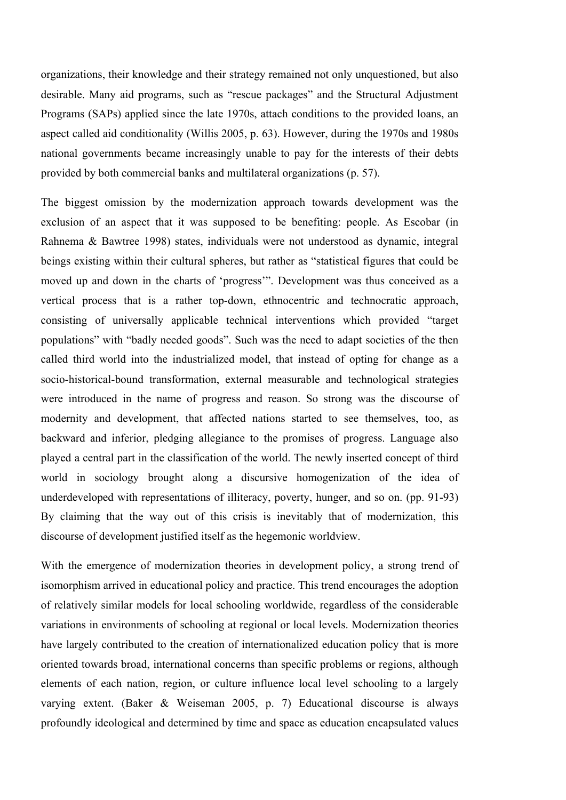organizations, their knowledge and their strategy remained not only unquestioned, but also desirable. Many aid programs, such as "rescue packages" and the Structural Adjustment Programs (SAPs) applied since the late 1970s, attach conditions to the provided loans, an aspect called aid conditionality (Willis 2005, p. 63). However, during the 1970s and 1980s national governments became increasingly unable to pay for the interests of their debts provided by both commercial banks and multilateral organizations (p. 57).

The biggest omission by the modernization approach towards development was the exclusion of an aspect that it was supposed to be benefiting: people. As Escobar (in Rahnema & Bawtree 1998) states, individuals were not understood as dynamic, integral beings existing within their cultural spheres, but rather as "statistical figures that could be moved up and down in the charts of 'progress'". Development was thus conceived as a vertical process that is a rather top-down, ethnocentric and technocratic approach, consisting of universally applicable technical interventions which provided "target populations" with "badly needed goods". Such was the need to adapt societies of the then called third world into the industrialized model, that instead of opting for change as a socio-historical-bound transformation, external measurable and technological strategies were introduced in the name of progress and reason. So strong was the discourse of modernity and development, that affected nations started to see themselves, too, as backward and inferior, pledging allegiance to the promises of progress. Language also played a central part in the classification of the world. The newly inserted concept of third world in sociology brought along a discursive homogenization of the idea of underdeveloped with representations of illiteracy, poverty, hunger, and so on. (pp. 91-93) By claiming that the way out of this crisis is inevitably that of modernization, this discourse of development justified itself as the hegemonic worldview.

With the emergence of modernization theories in development policy, a strong trend of isomorphism arrived in educational policy and practice. This trend encourages the adoption of relatively similar models for local schooling worldwide, regardless of the considerable variations in environments of schooling at regional or local levels. Modernization theories have largely contributed to the creation of internationalized education policy that is more oriented towards broad, international concerns than specific problems or regions, although elements of each nation, region, or culture influence local level schooling to a largely varying extent. (Baker & Weiseman 2005, p. 7) Educational discourse is always profoundly ideological and determined by time and space as education encapsulated values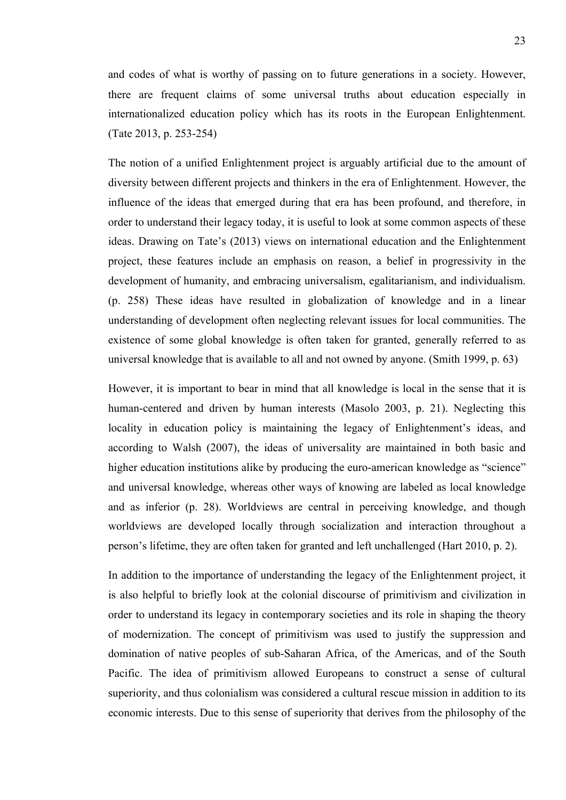and codes of what is worthy of passing on to future generations in a society. However, there are frequent claims of some universal truths about education especially in internationalized education policy which has its roots in the European Enlightenment. (Tate 2013, p. 253-254)

The notion of a unified Enlightenment project is arguably artificial due to the amount of diversity between different projects and thinkers in the era of Enlightenment. However, the influence of the ideas that emerged during that era has been profound, and therefore, in order to understand their legacy today, it is useful to look at some common aspects of these ideas. Drawing on Tate's (2013) views on international education and the Enlightenment project, these features include an emphasis on reason, a belief in progressivity in the development of humanity, and embracing universalism, egalitarianism, and individualism. (p. 258) These ideas have resulted in globalization of knowledge and in a linear understanding of development often neglecting relevant issues for local communities. The existence of some global knowledge is often taken for granted, generally referred to as universal knowledge that is available to all and not owned by anyone. (Smith 1999, p. 63)

However, it is important to bear in mind that all knowledge is local in the sense that it is human-centered and driven by human interests (Masolo 2003, p. 21). Neglecting this locality in education policy is maintaining the legacy of Enlightenment's ideas, and according to Walsh (2007), the ideas of universality are maintained in both basic and higher education institutions alike by producing the euro-american knowledge as "science" and universal knowledge, whereas other ways of knowing are labeled as local knowledge and as inferior (p. 28). Worldviews are central in perceiving knowledge, and though worldviews are developed locally through socialization and interaction throughout a person's lifetime, they are often taken for granted and left unchallenged (Hart 2010, p. 2).

In addition to the importance of understanding the legacy of the Enlightenment project, it is also helpful to briefly look at the colonial discourse of primitivism and civilization in order to understand its legacy in contemporary societies and its role in shaping the theory of modernization. The concept of primitivism was used to justify the suppression and domination of native peoples of sub-Saharan Africa, of the Americas, and of the South Pacific. The idea of primitivism allowed Europeans to construct a sense of cultural superiority, and thus colonialism was considered a cultural rescue mission in addition to its economic interests. Due to this sense of superiority that derives from the philosophy of the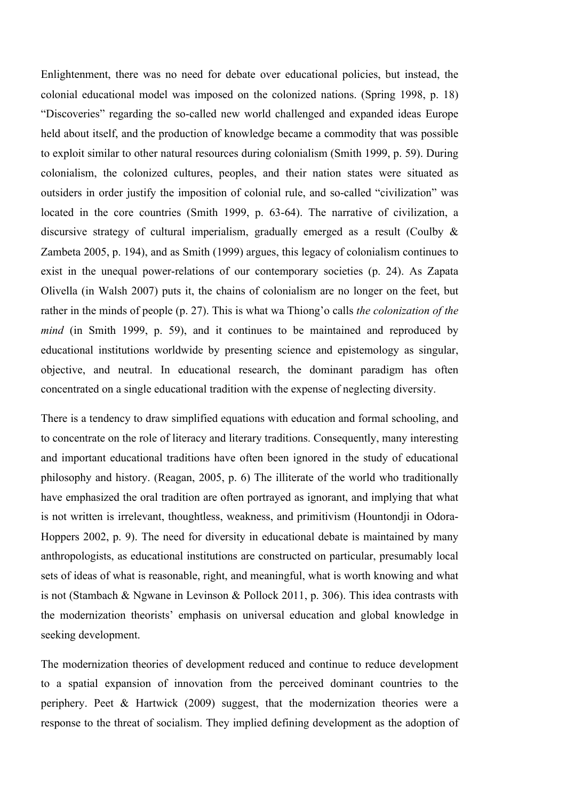Enlightenment, there was no need for debate over educational policies, but instead, the colonial educational model was imposed on the colonized nations. (Spring 1998, p. 18) "Discoveries" regarding the so-called new world challenged and expanded ideas Europe held about itself, and the production of knowledge became a commodity that was possible to exploit similar to other natural resources during colonialism (Smith 1999, p. 59). During colonialism, the colonized cultures, peoples, and their nation states were situated as outsiders in order justify the imposition of colonial rule, and so-called "civilization" was located in the core countries (Smith 1999, p. 63-64). The narrative of civilization, a discursive strategy of cultural imperialism, gradually emerged as a result (Coulby & Zambeta 2005, p. 194), and as Smith (1999) argues, this legacy of colonialism continues to exist in the unequal power-relations of our contemporary societies (p. 24). As Zapata Olivella (in Walsh 2007) puts it, the chains of colonialism are no longer on the feet, but rather in the minds of people (p. 27). This is what wa Thiong'o calls *the colonization of the mind* (in Smith 1999, p. 59), and it continues to be maintained and reproduced by educational institutions worldwide by presenting science and epistemology as singular, objective, and neutral. In educational research, the dominant paradigm has often concentrated on a single educational tradition with the expense of neglecting diversity.

There is a tendency to draw simplified equations with education and formal schooling, and to concentrate on the role of literacy and literary traditions. Consequently, many interesting and important educational traditions have often been ignored in the study of educational philosophy and history. (Reagan, 2005, p. 6) The illiterate of the world who traditionally have emphasized the oral tradition are often portrayed as ignorant, and implying that what is not written is irrelevant, thoughtless, weakness, and primitivism (Hountondji in Odora-Hoppers 2002, p. 9). The need for diversity in educational debate is maintained by many anthropologists, as educational institutions are constructed on particular, presumably local sets of ideas of what is reasonable, right, and meaningful, what is worth knowing and what is not (Stambach & Ngwane in Levinson & Pollock 2011, p. 306). This idea contrasts with the modernization theorists' emphasis on universal education and global knowledge in seeking development.

The modernization theories of development reduced and continue to reduce development to a spatial expansion of innovation from the perceived dominant countries to the periphery. Peet & Hartwick (2009) suggest, that the modernization theories were a response to the threat of socialism. They implied defining development as the adoption of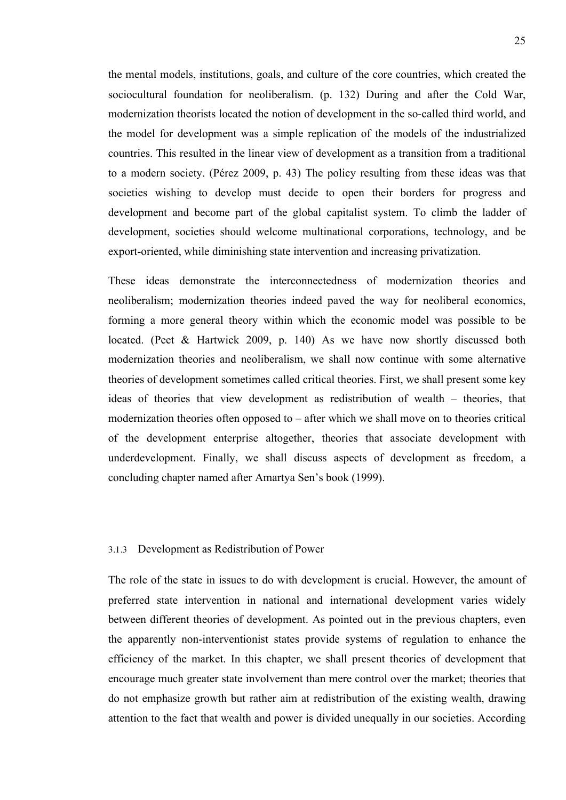the mental models, institutions, goals, and culture of the core countries, which created the sociocultural foundation for neoliberalism. (p. 132) During and after the Cold War, modernization theorists located the notion of development in the so-called third world, and the model for development was a simple replication of the models of the industrialized countries. This resulted in the linear view of development as a transition from a traditional to a modern society. (Pérez 2009, p. 43) The policy resulting from these ideas was that societies wishing to develop must decide to open their borders for progress and development and become part of the global capitalist system. To climb the ladder of development, societies should welcome multinational corporations, technology, and be export-oriented, while diminishing state intervention and increasing privatization.

These ideas demonstrate the interconnectedness of modernization theories and neoliberalism; modernization theories indeed paved the way for neoliberal economics, forming a more general theory within which the economic model was possible to be located. (Peet & Hartwick 2009, p. 140) As we have now shortly discussed both modernization theories and neoliberalism, we shall now continue with some alternative theories of development sometimes called critical theories. First, we shall present some key ideas of theories that view development as redistribution of wealth – theories, that modernization theories often opposed to – after which we shall move on to theories critical of the development enterprise altogether, theories that associate development with underdevelopment. Finally, we shall discuss aspects of development as freedom, a concluding chapter named after Amartya Sen's book (1999).

#### 3.1.3 Development as Redistribution of Power

The role of the state in issues to do with development is crucial. However, the amount of preferred state intervention in national and international development varies widely between different theories of development. As pointed out in the previous chapters, even the apparently non-interventionist states provide systems of regulation to enhance the efficiency of the market. In this chapter, we shall present theories of development that encourage much greater state involvement than mere control over the market; theories that do not emphasize growth but rather aim at redistribution of the existing wealth, drawing attention to the fact that wealth and power is divided unequally in our societies. According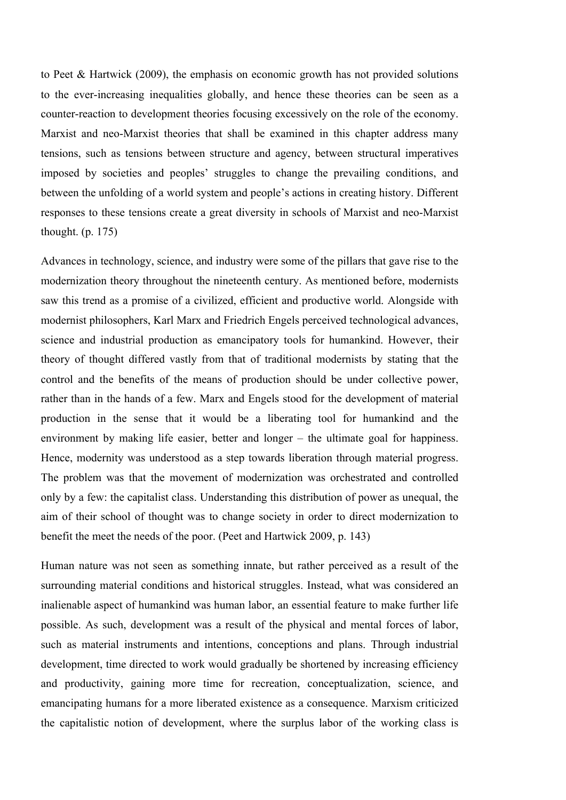to Peet & Hartwick (2009), the emphasis on economic growth has not provided solutions to the ever-increasing inequalities globally, and hence these theories can be seen as a counter-reaction to development theories focusing excessively on the role of the economy. Marxist and neo-Marxist theories that shall be examined in this chapter address many tensions, such as tensions between structure and agency, between structural imperatives imposed by societies and peoples' struggles to change the prevailing conditions, and between the unfolding of a world system and people's actions in creating history. Different responses to these tensions create a great diversity in schools of Marxist and neo-Marxist thought. (p. 175)

Advances in technology, science, and industry were some of the pillars that gave rise to the modernization theory throughout the nineteenth century. As mentioned before, modernists saw this trend as a promise of a civilized, efficient and productive world. Alongside with modernist philosophers, Karl Marx and Friedrich Engels perceived technological advances, science and industrial production as emancipatory tools for humankind. However, their theory of thought differed vastly from that of traditional modernists by stating that the control and the benefits of the means of production should be under collective power, rather than in the hands of a few. Marx and Engels stood for the development of material production in the sense that it would be a liberating tool for humankind and the environment by making life easier, better and longer – the ultimate goal for happiness. Hence, modernity was understood as a step towards liberation through material progress. The problem was that the movement of modernization was orchestrated and controlled only by a few: the capitalist class. Understanding this distribution of power as unequal, the aim of their school of thought was to change society in order to direct modernization to benefit the meet the needs of the poor. (Peet and Hartwick 2009, p. 143)

Human nature was not seen as something innate, but rather perceived as a result of the surrounding material conditions and historical struggles. Instead, what was considered an inalienable aspect of humankind was human labor, an essential feature to make further life possible. As such, development was a result of the physical and mental forces of labor, such as material instruments and intentions, conceptions and plans. Through industrial development, time directed to work would gradually be shortened by increasing efficiency and productivity, gaining more time for recreation, conceptualization, science, and emancipating humans for a more liberated existence as a consequence. Marxism criticized the capitalistic notion of development, where the surplus labor of the working class is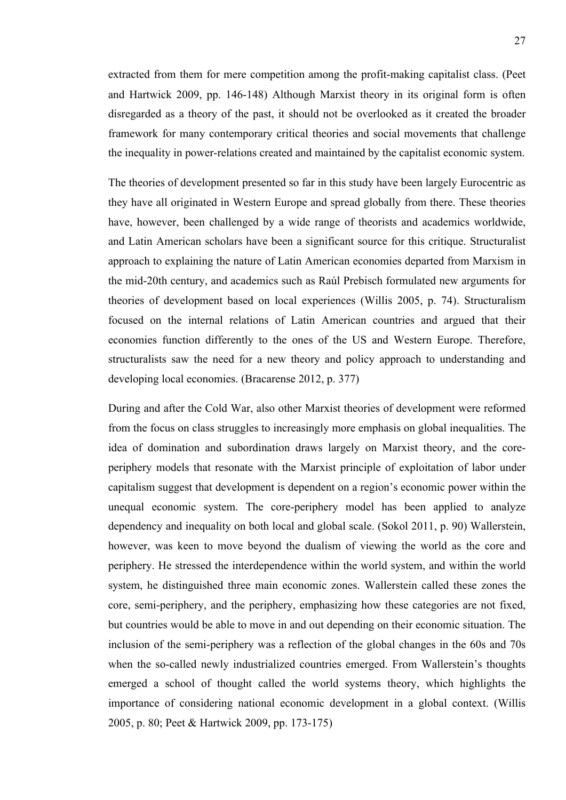extracted from them for mere competition among the profit-making capitalist class. (Peet and Hartwick 2009, pp. 146-148) Although Marxist theory in its original form is often disregarded as a theory of the past, it should not be overlooked as it created the broader framework for many contemporary critical theories and social movements that challenge the inequality in power-relations created and maintained by the capitalist economic system.

The theories of development presented so far in this study have been largely Eurocentric as they have all originated in Western Europe and spread globally from there. These theories have, however, been challenged by a wide range of theorists and academics worldwide, and Latin American scholars have been a significant source for this critique. Structuralist approach to explaining the nature of Latin American economies departed from Marxism in the mid-20th century, and academics such as Raúl Prebisch formulated new arguments for theories of development based on local experiences (Willis 2005, p. 74). Structuralism focused on the internal relations of Latin American countries and argued that their economies function differently to the ones of the US and Western Europe. Therefore, structuralists saw the need for a new theory and policy approach to understanding and developing local economies. (Bracarense 2012, p. 377)

During and after the Cold War, also other Marxist theories of development were reformed from the focus on class struggles to increasingly more emphasis on global inequalities. The idea of domination and subordination draws largely on Marxist theory, and the coreperiphery models that resonate with the Marxist principle of exploitation of labor under capitalism suggest that development is dependent on a region's economic power within the unequal economic system. The core-periphery model has been applied to analyze dependency and inequality on both local and global scale. (Sokol 2011, p. 90) Wallerstein, however, was keen to move beyond the dualism of viewing the world as the core and periphery. He stressed the interdependence within the world system, and within the world system, he distinguished three main economic zones. Wallerstein called these zones the core, semi-periphery, and the periphery, emphasizing how these categories are not fixed, but countries would be able to move in and out depending on their economic situation. The inclusion of the semi-periphery was a reflection of the global changes in the 60s and 70s when the so-called newly industrialized countries emerged. From Wallerstein's thoughts emerged a school of thought called the world systems theory, which highlights the importance of considering national economic development in a global context. (Willis 2005, p. 80; Peet & Hartwick 2009, pp. 173-175)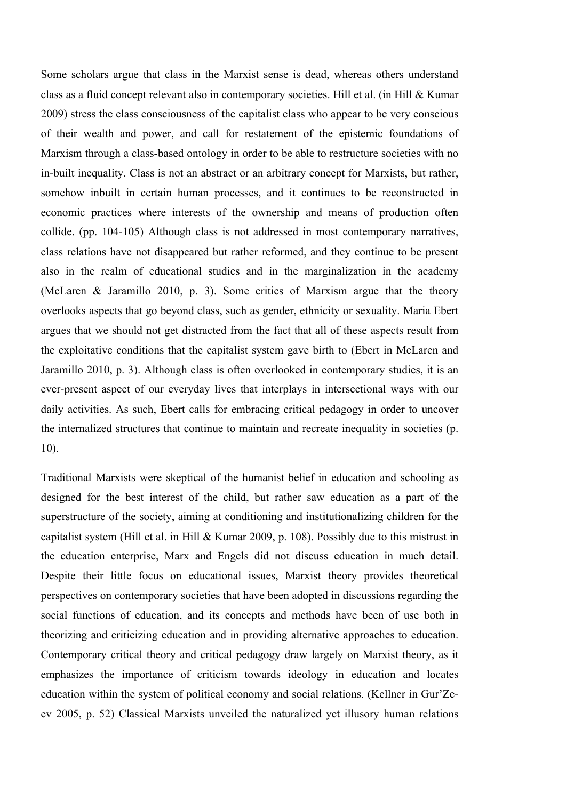Some scholars argue that class in the Marxist sense is dead, whereas others understand class as a fluid concept relevant also in contemporary societies. Hill et al. (in Hill & Kumar 2009) stress the class consciousness of the capitalist class who appear to be very conscious of their wealth and power, and call for restatement of the epistemic foundations of Marxism through a class-based ontology in order to be able to restructure societies with no in-built inequality. Class is not an abstract or an arbitrary concept for Marxists, but rather, somehow inbuilt in certain human processes, and it continues to be reconstructed in economic practices where interests of the ownership and means of production often collide. (pp. 104-105) Although class is not addressed in most contemporary narratives, class relations have not disappeared but rather reformed, and they continue to be present also in the realm of educational studies and in the marginalization in the academy (McLaren & Jaramillo 2010, p. 3). Some critics of Marxism argue that the theory overlooks aspects that go beyond class, such as gender, ethnicity or sexuality. Maria Ebert argues that we should not get distracted from the fact that all of these aspects result from the exploitative conditions that the capitalist system gave birth to (Ebert in McLaren and Jaramillo 2010, p. 3). Although class is often overlooked in contemporary studies, it is an ever-present aspect of our everyday lives that interplays in intersectional ways with our daily activities. As such, Ebert calls for embracing critical pedagogy in order to uncover the internalized structures that continue to maintain and recreate inequality in societies (p. 10).

Traditional Marxists were skeptical of the humanist belief in education and schooling as designed for the best interest of the child, but rather saw education as a part of the superstructure of the society, aiming at conditioning and institutionalizing children for the capitalist system (Hill et al. in Hill & Kumar 2009, p. 108). Possibly due to this mistrust in the education enterprise, Marx and Engels did not discuss education in much detail. Despite their little focus on educational issues, Marxist theory provides theoretical perspectives on contemporary societies that have been adopted in discussions regarding the social functions of education, and its concepts and methods have been of use both in theorizing and criticizing education and in providing alternative approaches to education. Contemporary critical theory and critical pedagogy draw largely on Marxist theory, as it emphasizes the importance of criticism towards ideology in education and locates education within the system of political economy and social relations. (Kellner in Gur'Zeev 2005, p. 52) Classical Marxists unveiled the naturalized yet illusory human relations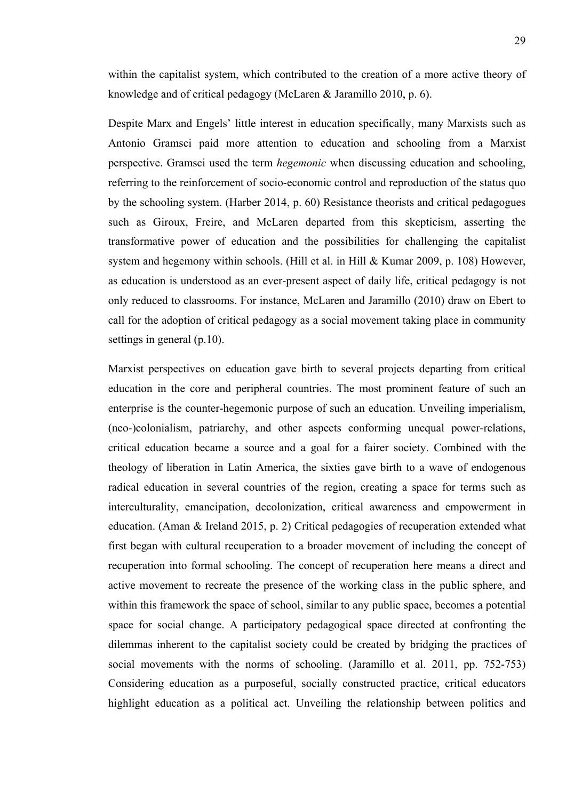within the capitalist system, which contributed to the creation of a more active theory of knowledge and of critical pedagogy (McLaren & Jaramillo 2010, p. 6).

Despite Marx and Engels' little interest in education specifically, many Marxists such as Antonio Gramsci paid more attention to education and schooling from a Marxist perspective. Gramsci used the term *hegemonic* when discussing education and schooling, referring to the reinforcement of socio-economic control and reproduction of the status quo by the schooling system. (Harber 2014, p. 60) Resistance theorists and critical pedagogues such as Giroux, Freire, and McLaren departed from this skepticism, asserting the transformative power of education and the possibilities for challenging the capitalist system and hegemony within schools. (Hill et al. in Hill & Kumar 2009, p. 108) However, as education is understood as an ever-present aspect of daily life, critical pedagogy is not only reduced to classrooms. For instance, McLaren and Jaramillo (2010) draw on Ebert to call for the adoption of critical pedagogy as a social movement taking place in community settings in general (p.10).

Marxist perspectives on education gave birth to several projects departing from critical education in the core and peripheral countries. The most prominent feature of such an enterprise is the counter-hegemonic purpose of such an education. Unveiling imperialism, (neo-)colonialism, patriarchy, and other aspects conforming unequal power-relations, critical education became a source and a goal for a fairer society. Combined with the theology of liberation in Latin America, the sixties gave birth to a wave of endogenous radical education in several countries of the region, creating a space for terms such as interculturality, emancipation, decolonization, critical awareness and empowerment in education. (Aman & Ireland 2015, p. 2) Critical pedagogies of recuperation extended what first began with cultural recuperation to a broader movement of including the concept of recuperation into formal schooling. The concept of recuperation here means a direct and active movement to recreate the presence of the working class in the public sphere, and within this framework the space of school, similar to any public space, becomes a potential space for social change. A participatory pedagogical space directed at confronting the dilemmas inherent to the capitalist society could be created by bridging the practices of social movements with the norms of schooling. (Jaramillo et al. 2011, pp. 752-753) Considering education as a purposeful, socially constructed practice, critical educators highlight education as a political act. Unveiling the relationship between politics and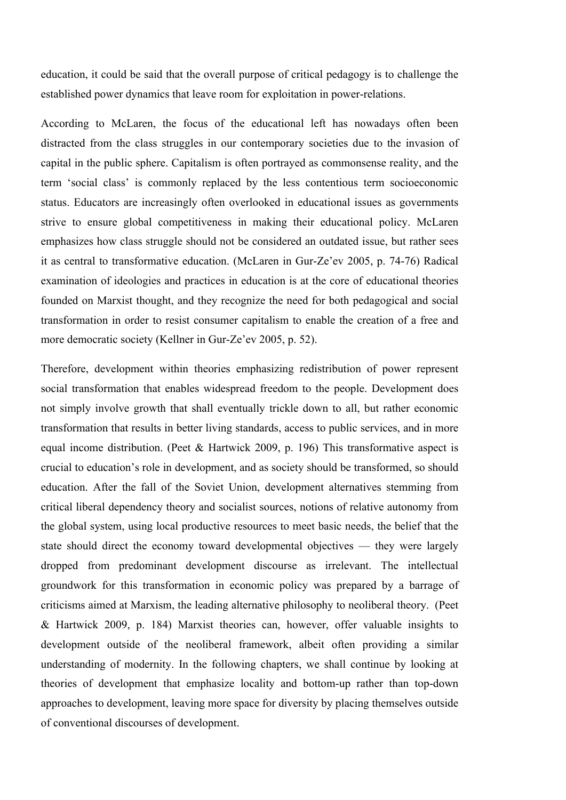education, it could be said that the overall purpose of critical pedagogy is to challenge the established power dynamics that leave room for exploitation in power-relations.

According to McLaren, the focus of the educational left has nowadays often been distracted from the class struggles in our contemporary societies due to the invasion of capital in the public sphere. Capitalism is often portrayed as commonsense reality, and the term 'social class' is commonly replaced by the less contentious term socioeconomic status. Educators are increasingly often overlooked in educational issues as governments strive to ensure global competitiveness in making their educational policy. McLaren emphasizes how class struggle should not be considered an outdated issue, but rather sees it as central to transformative education. (McLaren in Gur-Ze'ev 2005, p. 74-76) Radical examination of ideologies and practices in education is at the core of educational theories founded on Marxist thought, and they recognize the need for both pedagogical and social transformation in order to resist consumer capitalism to enable the creation of a free and more democratic society (Kellner in Gur-Ze'ev 2005, p. 52).

Therefore, development within theories emphasizing redistribution of power represent social transformation that enables widespread freedom to the people. Development does not simply involve growth that shall eventually trickle down to all, but rather economic transformation that results in better living standards, access to public services, and in more equal income distribution. (Peet  $&$  Hartwick 2009, p. 196) This transformative aspect is crucial to education's role in development, and as society should be transformed, so should education. After the fall of the Soviet Union, development alternatives stemming from critical liberal dependency theory and socialist sources, notions of relative autonomy from the global system, using local productive resources to meet basic needs, the belief that the state should direct the economy toward developmental objectives — they were largely dropped from predominant development discourse as irrelevant. The intellectual groundwork for this transformation in economic policy was prepared by a barrage of criticisms aimed at Marxism, the leading alternative philosophy to neoliberal theory. (Peet & Hartwick 2009, p. 184) Marxist theories can, however, offer valuable insights to development outside of the neoliberal framework, albeit often providing a similar understanding of modernity. In the following chapters, we shall continue by looking at theories of development that emphasize locality and bottom-up rather than top-down approaches to development, leaving more space for diversity by placing themselves outside of conventional discourses of development.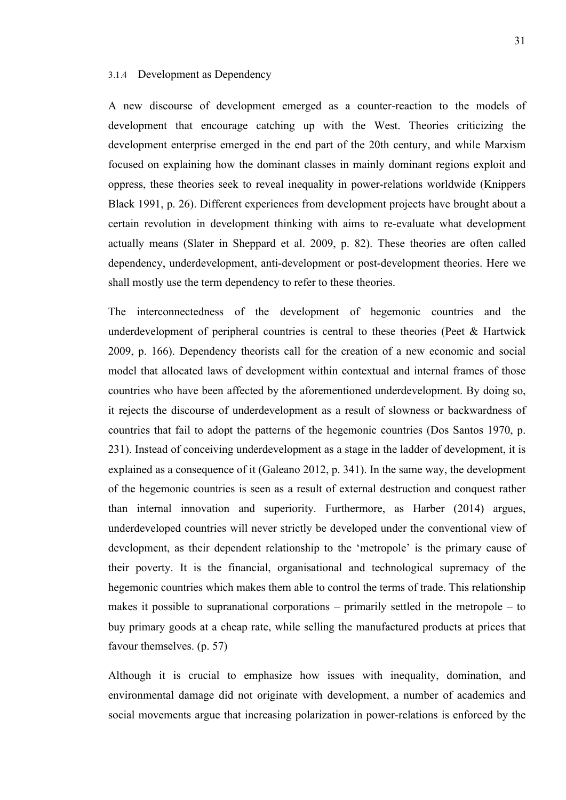#### 3.1.4 Development as Dependency

A new discourse of development emerged as a counter-reaction to the models of development that encourage catching up with the West. Theories criticizing the development enterprise emerged in the end part of the 20th century, and while Marxism focused on explaining how the dominant classes in mainly dominant regions exploit and oppress, these theories seek to reveal inequality in power-relations worldwide (Knippers Black 1991, p. 26). Different experiences from development projects have brought about a certain revolution in development thinking with aims to re-evaluate what development actually means (Slater in Sheppard et al. 2009, p. 82). These theories are often called dependency, underdevelopment, anti-development or post-development theories. Here we shall mostly use the term dependency to refer to these theories.

The interconnectedness of the development of hegemonic countries and the underdevelopment of peripheral countries is central to these theories (Peet & Hartwick 2009, p. 166). Dependency theorists call for the creation of a new economic and social model that allocated laws of development within contextual and internal frames of those countries who have been affected by the aforementioned underdevelopment. By doing so, it rejects the discourse of underdevelopment as a result of slowness or backwardness of countries that fail to adopt the patterns of the hegemonic countries (Dos Santos 1970, p. 231). Instead of conceiving underdevelopment as a stage in the ladder of development, it is explained as a consequence of it (Galeano 2012, p. 341). In the same way, the development of the hegemonic countries is seen as a result of external destruction and conquest rather than internal innovation and superiority. Furthermore, as Harber (2014) argues, underdeveloped countries will never strictly be developed under the conventional view of development, as their dependent relationship to the 'metropole' is the primary cause of their poverty. It is the financial, organisational and technological supremacy of the hegemonic countries which makes them able to control the terms of trade. This relationship makes it possible to supranational corporations – primarily settled in the metropole – to buy primary goods at a cheap rate, while selling the manufactured products at prices that favour themselves. (p. 57)

Although it is crucial to emphasize how issues with inequality, domination, and environmental damage did not originate with development, a number of academics and social movements argue that increasing polarization in power-relations is enforced by the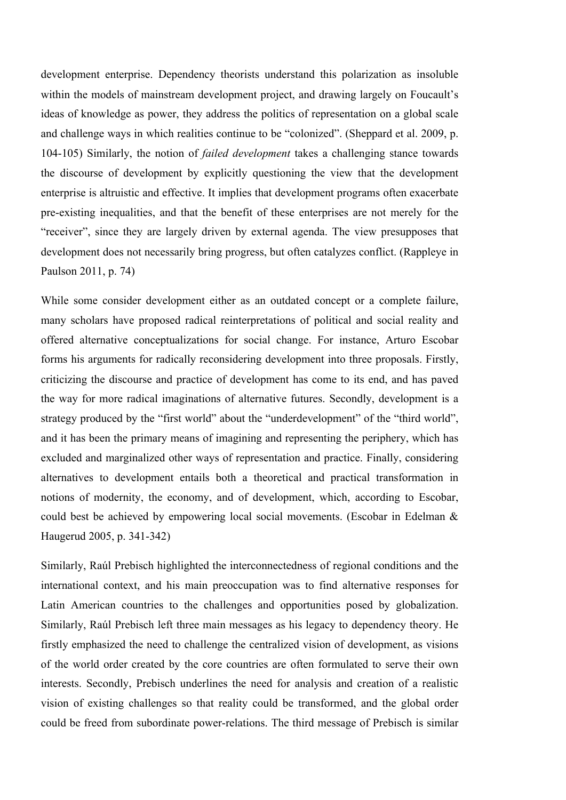development enterprise. Dependency theorists understand this polarization as insoluble within the models of mainstream development project, and drawing largely on Foucault's ideas of knowledge as power, they address the politics of representation on a global scale and challenge ways in which realities continue to be "colonized". (Sheppard et al. 2009, p. 104-105) Similarly, the notion of *failed development* takes a challenging stance towards the discourse of development by explicitly questioning the view that the development enterprise is altruistic and effective. It implies that development programs often exacerbate pre-existing inequalities, and that the benefit of these enterprises are not merely for the "receiver", since they are largely driven by external agenda. The view presupposes that development does not necessarily bring progress, but often catalyzes conflict. (Rappleye in Paulson 2011, p. 74)

While some consider development either as an outdated concept or a complete failure, many scholars have proposed radical reinterpretations of political and social reality and offered alternative conceptualizations for social change. For instance, Arturo Escobar forms his arguments for radically reconsidering development into three proposals. Firstly, criticizing the discourse and practice of development has come to its end, and has paved the way for more radical imaginations of alternative futures. Secondly, development is a strategy produced by the "first world" about the "underdevelopment" of the "third world", and it has been the primary means of imagining and representing the periphery, which has excluded and marginalized other ways of representation and practice. Finally, considering alternatives to development entails both a theoretical and practical transformation in notions of modernity, the economy, and of development, which, according to Escobar, could best be achieved by empowering local social movements. (Escobar in Edelman & Haugerud 2005, p. 341-342)

Similarly, Raúl Prebisch highlighted the interconnectedness of regional conditions and the international context, and his main preoccupation was to find alternative responses for Latin American countries to the challenges and opportunities posed by globalization. Similarly, Raúl Prebisch left three main messages as his legacy to dependency theory. He firstly emphasized the need to challenge the centralized vision of development, as visions of the world order created by the core countries are often formulated to serve their own interests. Secondly, Prebisch underlines the need for analysis and creation of a realistic vision of existing challenges so that reality could be transformed, and the global order could be freed from subordinate power-relations. The third message of Prebisch is similar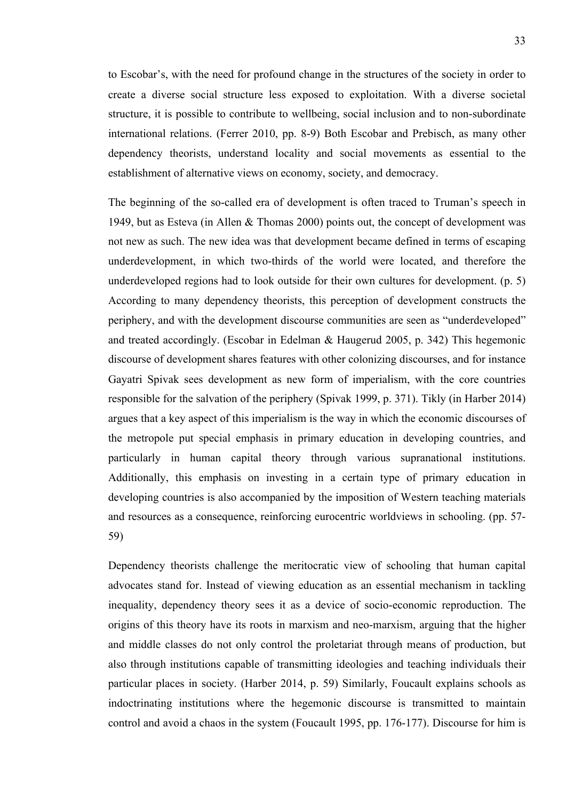to Escobar's, with the need for profound change in the structures of the society in order to create a diverse social structure less exposed to exploitation. With a diverse societal structure, it is possible to contribute to wellbeing, social inclusion and to non-subordinate international relations. (Ferrer 2010, pp. 8-9) Both Escobar and Prebisch, as many other dependency theorists, understand locality and social movements as essential to the establishment of alternative views on economy, society, and democracy.

The beginning of the so-called era of development is often traced to Truman's speech in 1949, but as Esteva (in Allen & Thomas 2000) points out, the concept of development was not new as such. The new idea was that development became defined in terms of escaping underdevelopment, in which two-thirds of the world were located, and therefore the underdeveloped regions had to look outside for their own cultures for development. (p. 5) According to many dependency theorists, this perception of development constructs the periphery, and with the development discourse communities are seen as "underdeveloped" and treated accordingly. (Escobar in Edelman & Haugerud 2005, p. 342) This hegemonic discourse of development shares features with other colonizing discourses, and for instance Gayatri Spivak sees development as new form of imperialism, with the core countries responsible for the salvation of the periphery (Spivak 1999, p. 371). Tikly (in Harber 2014) argues that a key aspect of this imperialism is the way in which the economic discourses of the metropole put special emphasis in primary education in developing countries, and particularly in human capital theory through various supranational institutions. Additionally, this emphasis on investing in a certain type of primary education in developing countries is also accompanied by the imposition of Western teaching materials and resources as a consequence, reinforcing eurocentric worldviews in schooling. (pp. 57- 59)

Dependency theorists challenge the meritocratic view of schooling that human capital advocates stand for. Instead of viewing education as an essential mechanism in tackling inequality, dependency theory sees it as a device of socio-economic reproduction. The origins of this theory have its roots in marxism and neo-marxism, arguing that the higher and middle classes do not only control the proletariat through means of production, but also through institutions capable of transmitting ideologies and teaching individuals their particular places in society. (Harber 2014, p. 59) Similarly, Foucault explains schools as indoctrinating institutions where the hegemonic discourse is transmitted to maintain control and avoid a chaos in the system (Foucault 1995, pp. 176-177). Discourse for him is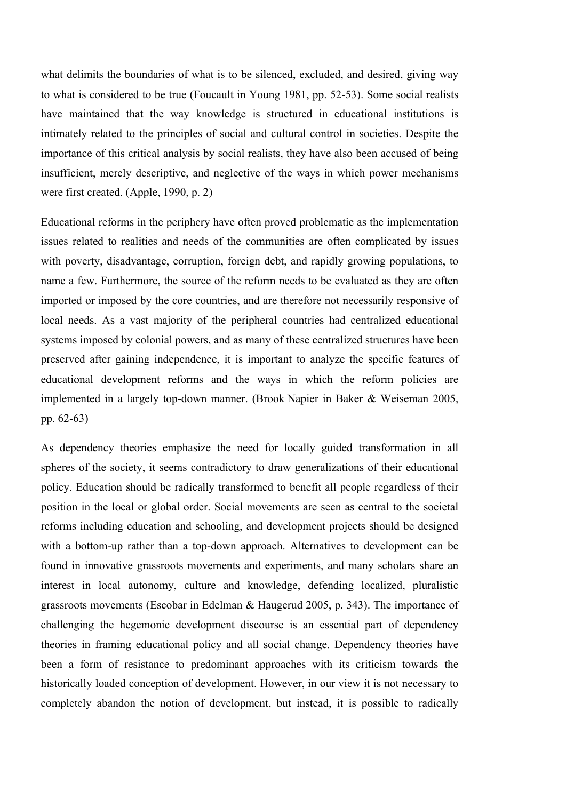what delimits the boundaries of what is to be silenced, excluded, and desired, giving way to what is considered to be true (Foucault in Young 1981, pp. 52-53). Some social realists have maintained that the way knowledge is structured in educational institutions is intimately related to the principles of social and cultural control in societies. Despite the importance of this critical analysis by social realists, they have also been accused of being insufficient, merely descriptive, and neglective of the ways in which power mechanisms were first created. (Apple, 1990, p. 2)

Educational reforms in the periphery have often proved problematic as the implementation issues related to realities and needs of the communities are often complicated by issues with poverty, disadvantage, corruption, foreign debt, and rapidly growing populations, to name a few. Furthermore, the source of the reform needs to be evaluated as they are often imported or imposed by the core countries, and are therefore not necessarily responsive of local needs. As a vast majority of the peripheral countries had centralized educational systems imposed by colonial powers, and as many of these centralized structures have been preserved after gaining independence, it is important to analyze the specific features of educational development reforms and the ways in which the reform policies are implemented in a largely top-down manner. (Brook Napier in Baker & Weiseman 2005, pp. 62-63)

As dependency theories emphasize the need for locally guided transformation in all spheres of the society, it seems contradictory to draw generalizations of their educational policy. Education should be radically transformed to benefit all people regardless of their position in the local or global order. Social movements are seen as central to the societal reforms including education and schooling, and development projects should be designed with a bottom-up rather than a top-down approach. Alternatives to development can be found in innovative grassroots movements and experiments, and many scholars share an interest in local autonomy, culture and knowledge, defending localized, pluralistic grassroots movements (Escobar in Edelman & Haugerud 2005, p. 343). The importance of challenging the hegemonic development discourse is an essential part of dependency theories in framing educational policy and all social change. Dependency theories have been a form of resistance to predominant approaches with its criticism towards the historically loaded conception of development. However, in our view it is not necessary to completely abandon the notion of development, but instead, it is possible to radically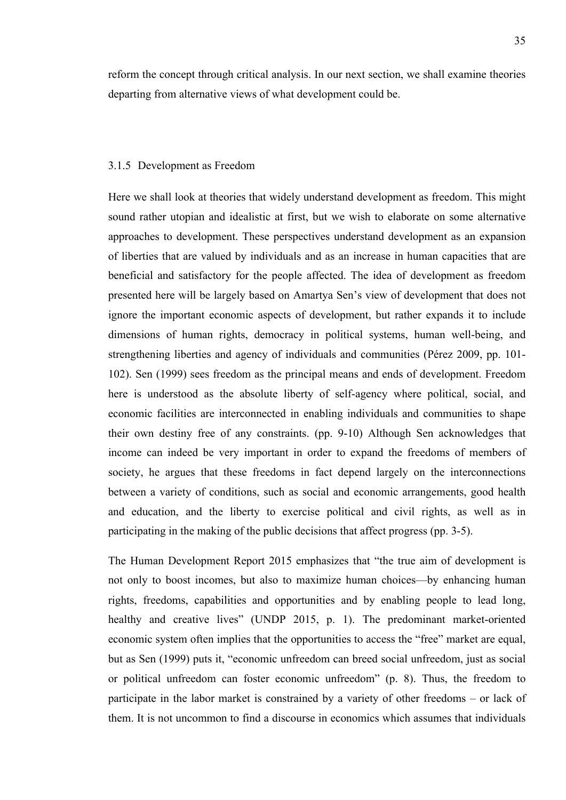reform the concept through critical analysis. In our next section, we shall examine theories departing from alternative views of what development could be.

### 3.1.5 Development as Freedom

Here we shall look at theories that widely understand development as freedom. This might sound rather utopian and idealistic at first, but we wish to elaborate on some alternative approaches to development. These perspectives understand development as an expansion of liberties that are valued by individuals and as an increase in human capacities that are beneficial and satisfactory for the people affected. The idea of development as freedom presented here will be largely based on Amartya Sen's view of development that does not ignore the important economic aspects of development, but rather expands it to include dimensions of human rights, democracy in political systems, human well-being, and strengthening liberties and agency of individuals and communities (Pérez 2009, pp. 101- 102). Sen (1999) sees freedom as the principal means and ends of development. Freedom here is understood as the absolute liberty of self-agency where political, social, and economic facilities are interconnected in enabling individuals and communities to shape their own destiny free of any constraints. (pp. 9-10) Although Sen acknowledges that income can indeed be very important in order to expand the freedoms of members of society, he argues that these freedoms in fact depend largely on the interconnections between a variety of conditions, such as social and economic arrangements, good health and education, and the liberty to exercise political and civil rights, as well as in participating in the making of the public decisions that affect progress (pp. 3-5).

The Human Development Report 2015 emphasizes that "the true aim of development is not only to boost incomes, but also to maximize human choices—by enhancing human rights, freedoms, capabilities and opportunities and by enabling people to lead long, healthy and creative lives" (UNDP 2015, p. 1). The predominant market-oriented economic system often implies that the opportunities to access the "free" market are equal, but as Sen (1999) puts it, "economic unfreedom can breed social unfreedom, just as social or political unfreedom can foster economic unfreedom" (p. 8). Thus, the freedom to participate in the labor market is constrained by a variety of other freedoms – or lack of them. It is not uncommon to find a discourse in economics which assumes that individuals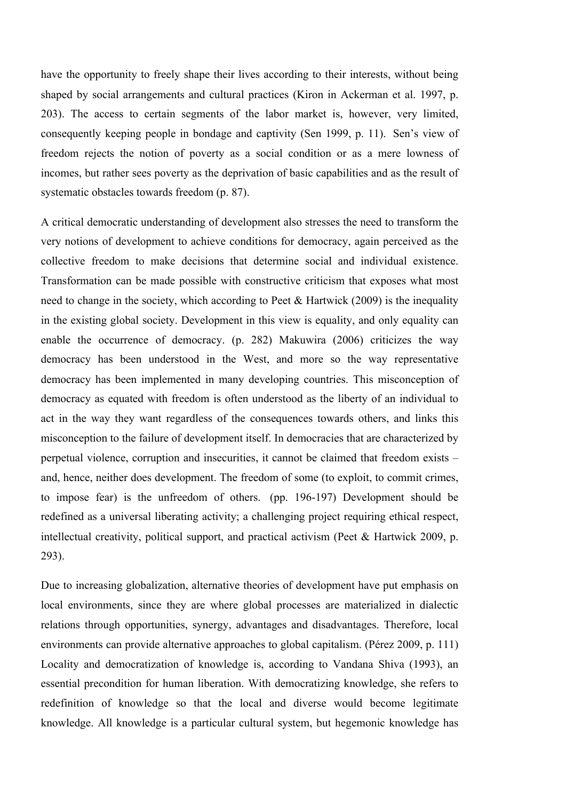have the opportunity to freely shape their lives according to their interests, without being shaped by social arrangements and cultural practices (Kiron in Ackerman et al. 1997, p. 203). The access to certain segments of the labor market is, however, very limited, consequently keeping people in bondage and captivity (Sen 1999, p. 11). Sen's view of freedom rejects the notion of poverty as a social condition or as a mere lowness of incomes, but rather sees poverty as the deprivation of basic capabilities and as the result of systematic obstacles towards freedom (p. 87).

A critical democratic understanding of development also stresses the need to transform the very notions of development to achieve conditions for democracy, again perceived as the collective freedom to make decisions that determine social and individual existence. Transformation can be made possible with constructive criticism that exposes what most need to change in the society, which according to Peet & Hartwick (2009) is the inequality in the existing global society. Development in this view is equality, and only equality can enable the occurrence of democracy. (p. 282) Makuwira (2006) criticizes the way democracy has been understood in the West, and more so the way representative democracy has been implemented in many developing countries. This misconception of democracy as equated with freedom is often understood as the liberty of an individual to act in the way they want regardless of the consequences towards others, and links this misconception to the failure of development itself. In democracies that are characterized by perpetual violence, corruption and insecurities, it cannot be claimed that freedom exists – and, hence, neither does development. The freedom of some (to exploit, to commit crimes, to impose fear) is the unfreedom of others. (pp. 196-197) Development should be redefined as a universal liberating activity; a challenging project requiring ethical respect, intellectual creativity, political support, and practical activism (Peet & Hartwick 2009, p. 293).

Due to increasing globalization, alternative theories of development have put emphasis on local environments, since they are where global processes are materialized in dialectic relations through opportunities, synergy, advantages and disadvantages. Therefore, local environments can provide alternative approaches to global capitalism. (Pérez 2009, p. 111) Locality and democratization of knowledge is, according to Vandana Shiva (1993), an essential precondition for human liberation. With democratizing knowledge, she refers to redefinition of knowledge so that the local and diverse would become legitimate knowledge. All knowledge is a particular cultural system, but hegemonic knowledge has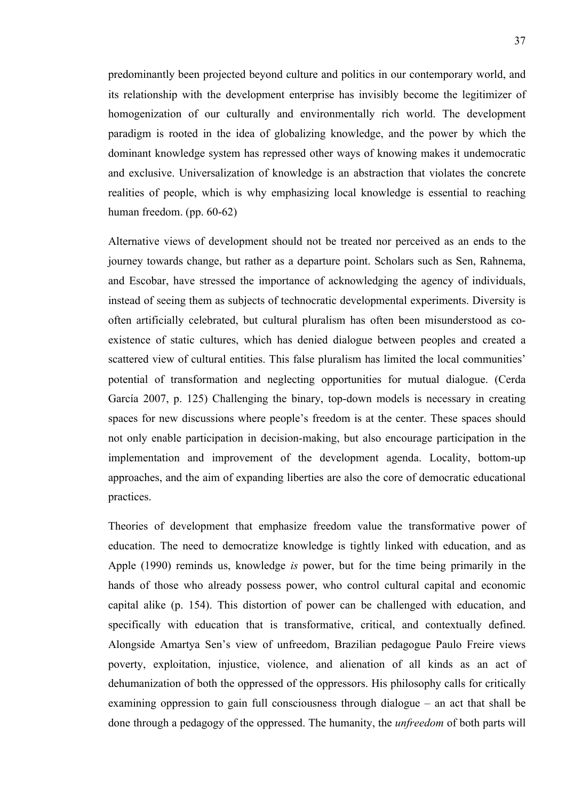predominantly been projected beyond culture and politics in our contemporary world, and its relationship with the development enterprise has invisibly become the legitimizer of homogenization of our culturally and environmentally rich world. The development paradigm is rooted in the idea of globalizing knowledge, and the power by which the dominant knowledge system has repressed other ways of knowing makes it undemocratic and exclusive. Universalization of knowledge is an abstraction that violates the concrete realities of people, which is why emphasizing local knowledge is essential to reaching human freedom. (pp. 60-62)

Alternative views of development should not be treated nor perceived as an ends to the journey towards change, but rather as a departure point. Scholars such as Sen, Rahnema, and Escobar, have stressed the importance of acknowledging the agency of individuals, instead of seeing them as subjects of technocratic developmental experiments. Diversity is often artificially celebrated, but cultural pluralism has often been misunderstood as coexistence of static cultures, which has denied dialogue between peoples and created a scattered view of cultural entities. This false pluralism has limited the local communities' potential of transformation and neglecting opportunities for mutual dialogue. (Cerda García 2007, p. 125) Challenging the binary, top-down models is necessary in creating spaces for new discussions where people's freedom is at the center. These spaces should not only enable participation in decision-making, but also encourage participation in the implementation and improvement of the development agenda. Locality, bottom-up approaches, and the aim of expanding liberties are also the core of democratic educational practices.

Theories of development that emphasize freedom value the transformative power of education. The need to democratize knowledge is tightly linked with education, and as Apple (1990) reminds us, knowledge *is* power, but for the time being primarily in the hands of those who already possess power, who control cultural capital and economic capital alike (p. 154). This distortion of power can be challenged with education, and specifically with education that is transformative, critical, and contextually defined. Alongside Amartya Sen's view of unfreedom, Brazilian pedagogue Paulo Freire views poverty, exploitation, injustice, violence, and alienation of all kinds as an act of dehumanization of both the oppressed of the oppressors. His philosophy calls for critically examining oppression to gain full consciousness through dialogue – an act that shall be done through a pedagogy of the oppressed. The humanity, the *unfreedom* of both parts will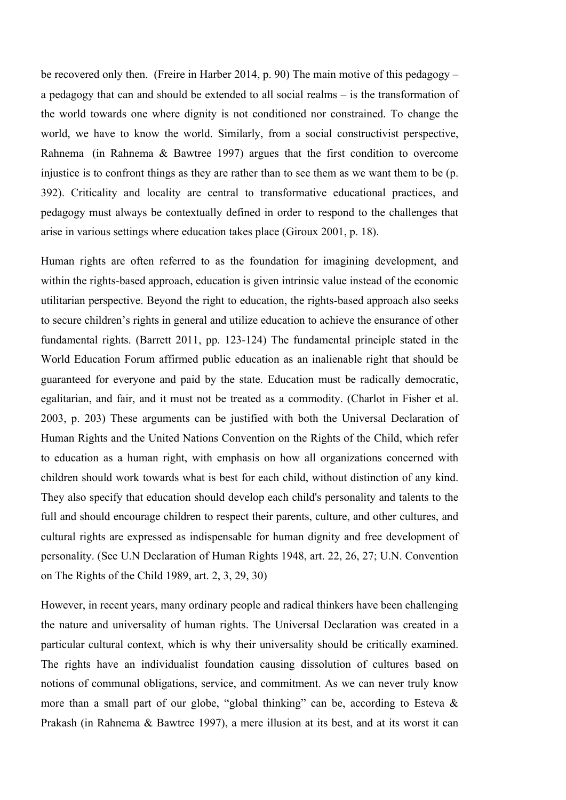be recovered only then. (Freire in Harber 2014, p. 90) The main motive of this pedagogy – a pedagogy that can and should be extended to all social realms – is the transformation of the world towards one where dignity is not conditioned nor constrained. To change the world, we have to know the world. Similarly, from a social constructivist perspective, Rahnema (in Rahnema & Bawtree 1997) argues that the first condition to overcome injustice is to confront things as they are rather than to see them as we want them to be (p. 392). Criticality and locality are central to transformative educational practices, and pedagogy must always be contextually defined in order to respond to the challenges that arise in various settings where education takes place (Giroux 2001, p. 18).

Human rights are often referred to as the foundation for imagining development, and within the rights-based approach, education is given intrinsic value instead of the economic utilitarian perspective. Beyond the right to education, the rights-based approach also seeks to secure children's rights in general and utilize education to achieve the ensurance of other fundamental rights. (Barrett 2011, pp. 123-124) The fundamental principle stated in the World Education Forum affirmed public education as an inalienable right that should be guaranteed for everyone and paid by the state. Education must be radically democratic, egalitarian, and fair, and it must not be treated as a commodity. (Charlot in Fisher et al. 2003, p. 203) These arguments can be justified with both the Universal Declaration of Human Rights and the United Nations Convention on the Rights of the Child, which refer to education as a human right, with emphasis on how all organizations concerned with children should work towards what is best for each child, without distinction of any kind. They also specify that education should develop each child's personality and talents to the full and should encourage children to respect their parents, culture, and other cultures, and cultural rights are expressed as indispensable for human dignity and free development of personality. (See U.N Declaration of Human Rights 1948, art. 22, 26, 27; U.N. Convention on The Rights of the Child 1989, art. 2, 3, 29, 30)

However, in recent years, many ordinary people and radical thinkers have been challenging the nature and universality of human rights. The Universal Declaration was created in a particular cultural context, which is why their universality should be critically examined. The rights have an individualist foundation causing dissolution of cultures based on notions of communal obligations, service, and commitment. As we can never truly know more than a small part of our globe, "global thinking" can be, according to Esteva  $\&$ Prakash (in Rahnema & Bawtree 1997), a mere illusion at its best, and at its worst it can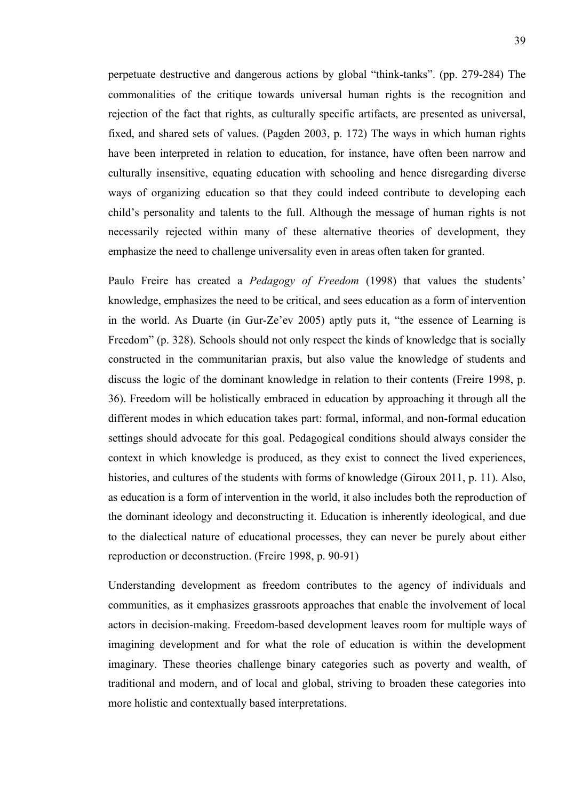perpetuate destructive and dangerous actions by global "think-tanks". (pp. 279-284) The commonalities of the critique towards universal human rights is the recognition and rejection of the fact that rights, as culturally specific artifacts, are presented as universal, fixed, and shared sets of values. (Pagden 2003, p. 172) The ways in which human rights have been interpreted in relation to education, for instance, have often been narrow and culturally insensitive, equating education with schooling and hence disregarding diverse ways of organizing education so that they could indeed contribute to developing each child's personality and talents to the full. Although the message of human rights is not necessarily rejected within many of these alternative theories of development, they emphasize the need to challenge universality even in areas often taken for granted.

Paulo Freire has created a *Pedagogy of Freedom* (1998) that values the students' knowledge, emphasizes the need to be critical, and sees education as a form of intervention in the world. As Duarte (in Gur-Ze'ev 2005) aptly puts it, "the essence of Learning is Freedom" (p. 328). Schools should not only respect the kinds of knowledge that is socially constructed in the communitarian praxis, but also value the knowledge of students and discuss the logic of the dominant knowledge in relation to their contents (Freire 1998, p. 36). Freedom will be holistically embraced in education by approaching it through all the different modes in which education takes part: formal, informal, and non-formal education settings should advocate for this goal. Pedagogical conditions should always consider the context in which knowledge is produced, as they exist to connect the lived experiences, histories, and cultures of the students with forms of knowledge (Giroux 2011, p. 11). Also, as education is a form of intervention in the world, it also includes both the reproduction of the dominant ideology and deconstructing it. Education is inherently ideological, and due to the dialectical nature of educational processes, they can never be purely about either reproduction or deconstruction. (Freire 1998, p. 90-91)

Understanding development as freedom contributes to the agency of individuals and communities, as it emphasizes grassroots approaches that enable the involvement of local actors in decision-making. Freedom-based development leaves room for multiple ways of imagining development and for what the role of education is within the development imaginary. These theories challenge binary categories such as poverty and wealth, of traditional and modern, and of local and global, striving to broaden these categories into more holistic and contextually based interpretations.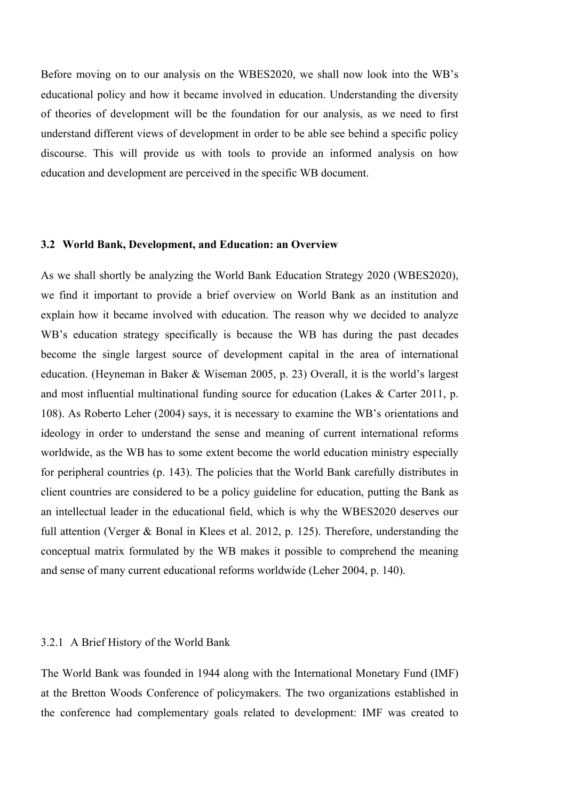Before moving on to our analysis on the WBES2020, we shall now look into the WB's educational policy and how it became involved in education. Understanding the diversity of theories of development will be the foundation for our analysis, as we need to first understand different views of development in order to be able see behind a specific policy discourse. This will provide us with tools to provide an informed analysis on how education and development are perceived in the specific WB document.

## **3.2 World Bank, Development, and Education: an Overview**

As we shall shortly be analyzing the World Bank Education Strategy 2020 (WBES2020), we find it important to provide a brief overview on World Bank as an institution and explain how it became involved with education. The reason why we decided to analyze WB's education strategy specifically is because the WB has during the past decades become the single largest source of development capital in the area of international education. (Heyneman in Baker & Wiseman 2005, p. 23) Overall, it is the world's largest and most influential multinational funding source for education (Lakes & Carter 2011, p. 108). As Roberto Leher (2004) says, it is necessary to examine the WB's orientations and ideology in order to understand the sense and meaning of current international reforms worldwide, as the WB has to some extent become the world education ministry especially for peripheral countries (p. 143). The policies that the World Bank carefully distributes in client countries are considered to be a policy guideline for education, putting the Bank as an intellectual leader in the educational field, which is why the WBES2020 deserves our full attention (Verger & Bonal in Klees et al. 2012, p. 125). Therefore, understanding the conceptual matrix formulated by the WB makes it possible to comprehend the meaning and sense of many current educational reforms worldwide (Leher 2004, p. 140).

#### 3.2.1 A Brief History of the World Bank

The World Bank was founded in 1944 along with the International Monetary Fund (IMF) at the Bretton Woods Conference of policymakers. The two organizations established in the conference had complementary goals related to development: IMF was created to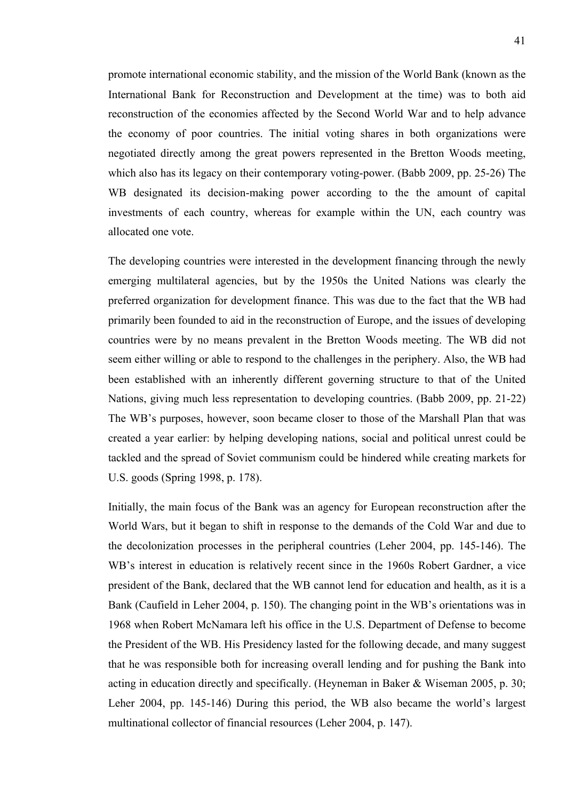promote international economic stability, and the mission of the World Bank (known as the International Bank for Reconstruction and Development at the time) was to both aid reconstruction of the economies affected by the Second World War and to help advance the economy of poor countries. The initial voting shares in both organizations were negotiated directly among the great powers represented in the Bretton Woods meeting, which also has its legacy on their contemporary voting-power. (Babb 2009, pp. 25-26) The WB designated its decision-making power according to the the amount of capital investments of each country, whereas for example within the UN, each country was allocated one vote.

The developing countries were interested in the development financing through the newly emerging multilateral agencies, but by the 1950s the United Nations was clearly the preferred organization for development finance. This was due to the fact that the WB had primarily been founded to aid in the reconstruction of Europe, and the issues of developing countries were by no means prevalent in the Bretton Woods meeting. The WB did not seem either willing or able to respond to the challenges in the periphery. Also, the WB had been established with an inherently different governing structure to that of the United Nations, giving much less representation to developing countries. (Babb 2009, pp. 21-22) The WB's purposes, however, soon became closer to those of the Marshall Plan that was created a year earlier: by helping developing nations, social and political unrest could be tackled and the spread of Soviet communism could be hindered while creating markets for U.S. goods (Spring 1998, p. 178).

Initially, the main focus of the Bank was an agency for European reconstruction after the World Wars, but it began to shift in response to the demands of the Cold War and due to the decolonization processes in the peripheral countries (Leher 2004, pp. 145-146). The WB's interest in education is relatively recent since in the 1960s Robert Gardner, a vice president of the Bank, declared that the WB cannot lend for education and health, as it is a Bank (Caufield in Leher 2004, p. 150). The changing point in the WB's orientations was in 1968 when Robert McNamara left his office in the U.S. Department of Defense to become the President of the WB. His Presidency lasted for the following decade, and many suggest that he was responsible both for increasing overall lending and for pushing the Bank into acting in education directly and specifically. (Heyneman in Baker & Wiseman 2005, p. 30; Leher 2004, pp. 145-146) During this period, the WB also became the world's largest multinational collector of financial resources (Leher 2004, p. 147).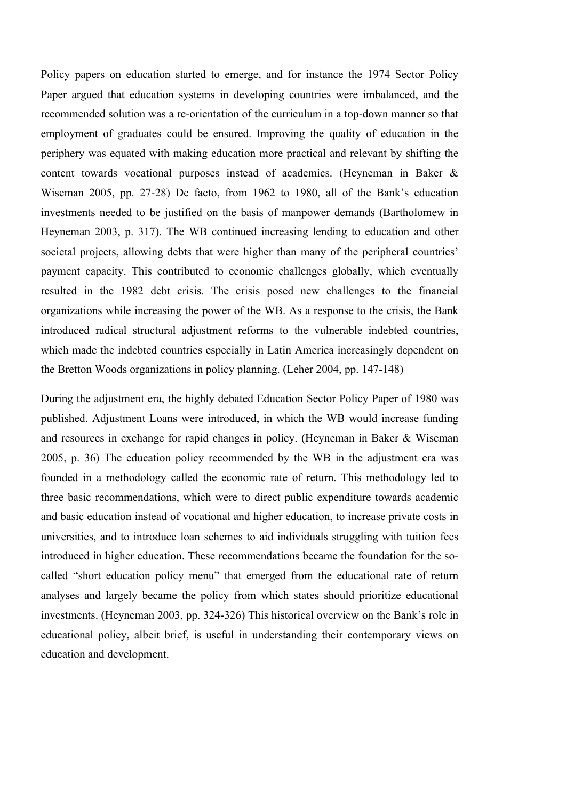Policy papers on education started to emerge, and for instance the 1974 Sector Policy Paper argued that education systems in developing countries were imbalanced, and the recommended solution was a re-orientation of the curriculum in a top-down manner so that employment of graduates could be ensured. Improving the quality of education in the periphery was equated with making education more practical and relevant by shifting the content towards vocational purposes instead of academics. (Heyneman in Baker & Wiseman 2005, pp. 27-28) De facto, from 1962 to 1980, all of the Bank's education investments needed to be justified on the basis of manpower demands (Bartholomew in Heyneman 2003, p. 317). The WB continued increasing lending to education and other societal projects, allowing debts that were higher than many of the peripheral countries' payment capacity. This contributed to economic challenges globally, which eventually resulted in the 1982 debt crisis. The crisis posed new challenges to the financial organizations while increasing the power of the WB. As a response to the crisis, the Bank introduced radical structural adjustment reforms to the vulnerable indebted countries, which made the indebted countries especially in Latin America increasingly dependent on the Bretton Woods organizations in policy planning. (Leher 2004, pp. 147-148)

During the adjustment era, the highly debated Education Sector Policy Paper of 1980 was published. Adjustment Loans were introduced, in which the WB would increase funding and resources in exchange for rapid changes in policy. (Heyneman in Baker & Wiseman 2005, p. 36) The education policy recommended by the WB in the adjustment era was founded in a methodology called the economic rate of return. This methodology led to three basic recommendations, which were to direct public expenditure towards academic and basic education instead of vocational and higher education, to increase private costs in universities, and to introduce loan schemes to aid individuals struggling with tuition fees introduced in higher education. These recommendations became the foundation for the socalled "short education policy menu" that emerged from the educational rate of return analyses and largely became the policy from which states should prioritize educational investments. (Heyneman 2003, pp. 324-326) This historical overview on the Bank's role in educational policy, albeit brief, is useful in understanding their contemporary views on education and development.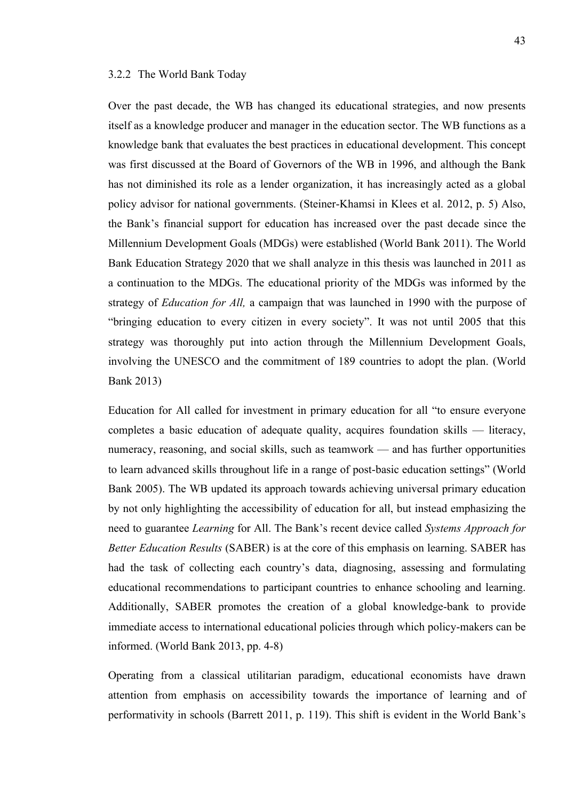### 3.2.2 The World Bank Today

Over the past decade, the WB has changed its educational strategies, and now presents itself as a knowledge producer and manager in the education sector. The WB functions as a knowledge bank that evaluates the best practices in educational development. This concept was first discussed at the Board of Governors of the WB in 1996, and although the Bank has not diminished its role as a lender organization, it has increasingly acted as a global policy advisor for national governments. (Steiner-Khamsi in Klees et al. 2012, p. 5) Also, the Bank's financial support for education has increased over the past decade since the Millennium Development Goals (MDGs) were established (World Bank 2011). The World Bank Education Strategy 2020 that we shall analyze in this thesis was launched in 2011 as a continuation to the MDGs. The educational priority of the MDGs was informed by the strategy of *Education for All,* a campaign that was launched in 1990 with the purpose of "bringing education to every citizen in every society". It was not until 2005 that this strategy was thoroughly put into action through the Millennium Development Goals, involving the UNESCO and the commitment of 189 countries to adopt the plan. (World Bank 2013)

Education for All called for investment in primary education for all "to ensure everyone completes a basic education of adequate quality, acquires foundation skills — literacy, numeracy, reasoning, and social skills, such as teamwork — and has further opportunities to learn advanced skills throughout life in a range of post-basic education settings" (World Bank 2005). The WB updated its approach towards achieving universal primary education by not only highlighting the accessibility of education for all, but instead emphasizing the need to guarantee *Learning* for All. The Bank's recent device called *Systems Approach for Better Education Results* (SABER) is at the core of this emphasis on learning. SABER has had the task of collecting each country's data, diagnosing, assessing and formulating educational recommendations to participant countries to enhance schooling and learning. Additionally, SABER promotes the creation of a global knowledge-bank to provide immediate access to international educational policies through which policy-makers can be informed. (World Bank 2013, pp. 4-8)

Operating from a classical utilitarian paradigm, educational economists have drawn attention from emphasis on accessibility towards the importance of learning and of performativity in schools (Barrett 2011, p. 119). This shift is evident in the World Bank's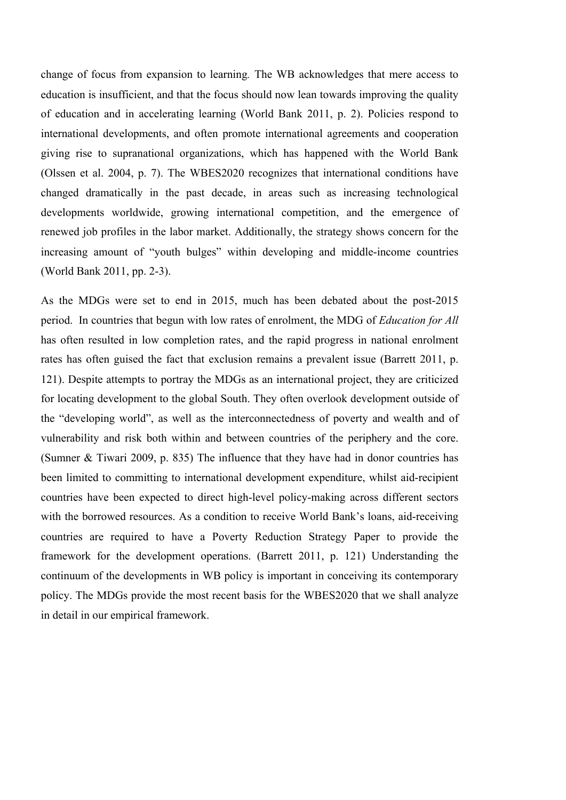change of focus from expansion to learning*.* The WB acknowledges that mere access to education is insufficient, and that the focus should now lean towards improving the quality of education and in accelerating learning (World Bank 2011, p. 2). Policies respond to international developments, and often promote international agreements and cooperation giving rise to supranational organizations, which has happened with the World Bank (Olssen et al. 2004, p. 7). The WBES2020 recognizes that international conditions have changed dramatically in the past decade, in areas such as increasing technological developments worldwide, growing international competition, and the emergence of renewed job profiles in the labor market. Additionally, the strategy shows concern for the increasing amount of "youth bulges" within developing and middle-income countries (World Bank 2011, pp. 2-3).

As the MDGs were set to end in 2015, much has been debated about the post-2015 period. In countries that begun with low rates of enrolment, the MDG of *Education for All* has often resulted in low completion rates, and the rapid progress in national enrolment rates has often guised the fact that exclusion remains a prevalent issue (Barrett 2011, p. 121). Despite attempts to portray the MDGs as an international project, they are criticized for locating development to the global South. They often overlook development outside of the "developing world", as well as the interconnectedness of poverty and wealth and of vulnerability and risk both within and between countries of the periphery and the core. (Sumner & Tiwari 2009, p. 835) The influence that they have had in donor countries has been limited to committing to international development expenditure, whilst aid-recipient countries have been expected to direct high-level policy-making across different sectors with the borrowed resources. As a condition to receive World Bank's loans, aid-receiving countries are required to have a Poverty Reduction Strategy Paper to provide the framework for the development operations. (Barrett 2011, p. 121) Understanding the continuum of the developments in WB policy is important in conceiving its contemporary policy. The MDGs provide the most recent basis for the WBES2020 that we shall analyze in detail in our empirical framework.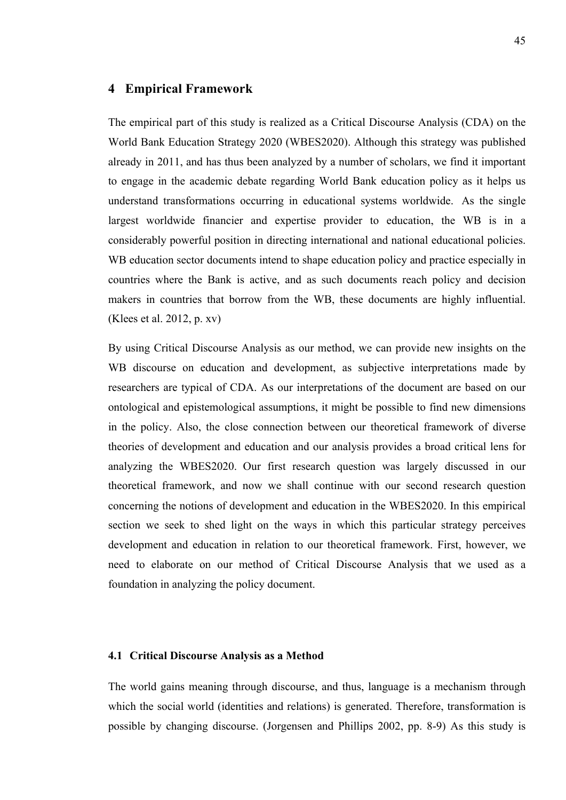# **4 Empirical Framework**

The empirical part of this study is realized as a Critical Discourse Analysis (CDA) on the World Bank Education Strategy 2020 (WBES2020). Although this strategy was published already in 2011, and has thus been analyzed by a number of scholars, we find it important to engage in the academic debate regarding World Bank education policy as it helps us understand transformations occurring in educational systems worldwide. As the single largest worldwide financier and expertise provider to education, the WB is in a considerably powerful position in directing international and national educational policies. WB education sector documents intend to shape education policy and practice especially in countries where the Bank is active, and as such documents reach policy and decision makers in countries that borrow from the WB, these documents are highly influential. (Klees et al. 2012, p. xv)

By using Critical Discourse Analysis as our method, we can provide new insights on the WB discourse on education and development, as subjective interpretations made by researchers are typical of CDA. As our interpretations of the document are based on our ontological and epistemological assumptions, it might be possible to find new dimensions in the policy. Also, the close connection between our theoretical framework of diverse theories of development and education and our analysis provides a broad critical lens for analyzing the WBES2020. Our first research question was largely discussed in our theoretical framework, and now we shall continue with our second research question concerning the notions of development and education in the WBES2020. In this empirical section we seek to shed light on the ways in which this particular strategy perceives development and education in relation to our theoretical framework. First, however, we need to elaborate on our method of Critical Discourse Analysis that we used as a foundation in analyzing the policy document.

#### **4.1 Critical Discourse Analysis as a Method**

The world gains meaning through discourse, and thus, language is a mechanism through which the social world (identities and relations) is generated. Therefore, transformation is possible by changing discourse. (Jorgensen and Phillips 2002, pp. 8-9) As this study is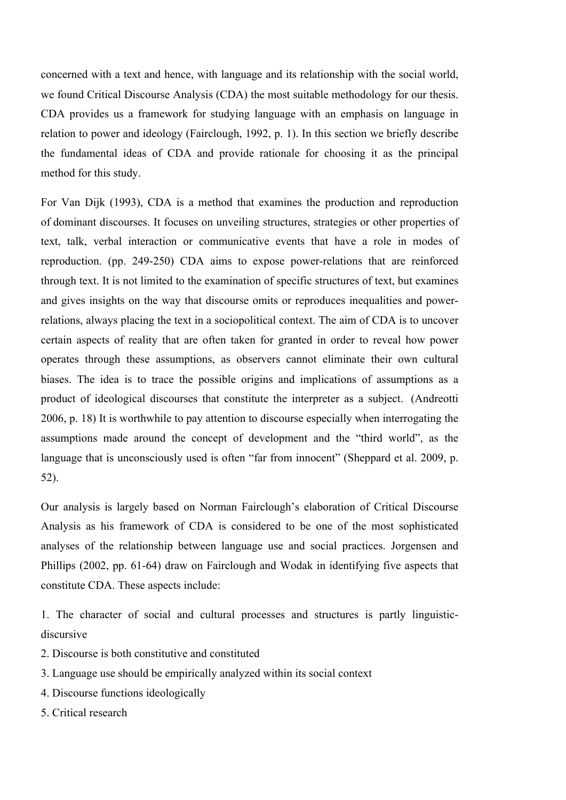concerned with a text and hence, with language and its relationship with the social world, we found Critical Discourse Analysis (CDA) the most suitable methodology for our thesis. CDA provides us a framework for studying language with an emphasis on language in relation to power and ideology (Fairclough, 1992, p. 1). In this section we briefly describe the fundamental ideas of CDA and provide rationale for choosing it as the principal method for this study.

For Van Dijk (1993), CDA is a method that examines the production and reproduction of dominant discourses. It focuses on unveiling structures, strategies or other properties of text, talk, verbal interaction or communicative events that have a role in modes of reproduction. (pp. 249-250) CDA aims to expose power-relations that are reinforced through text. It is not limited to the examination of specific structures of text, but examines and gives insights on the way that discourse omits or reproduces inequalities and powerrelations, always placing the text in a sociopolitical context. The aim of CDA is to uncover certain aspects of reality that are often taken for granted in order to reveal how power operates through these assumptions, as observers cannot eliminate their own cultural biases. The idea is to trace the possible origins and implications of assumptions as a product of ideological discourses that constitute the interpreter as a subject. (Andreotti 2006, p. 18) It is worthwhile to pay attention to discourse especially when interrogating the assumptions made around the concept of development and the "third world", as the language that is unconsciously used is often "far from innocent" (Sheppard et al. 2009, p. 52).

Our analysis is largely based on Norman Fairclough's elaboration of Critical Discourse Analysis as his framework of CDA is considered to be one of the most sophisticated analyses of the relationship between language use and social practices. Jorgensen and Phillips (2002, pp. 61-64) draw on Fairclough and Wodak in identifying five aspects that constitute CDA. These aspects include:

1. The character of social and cultural processes and structures is partly linguisticdiscursive

- 2. Discourse is both constitutive and constituted
- 3. Language use should be empirically analyzed within its social context
- 4. Discourse functions ideologically
- 5. Critical research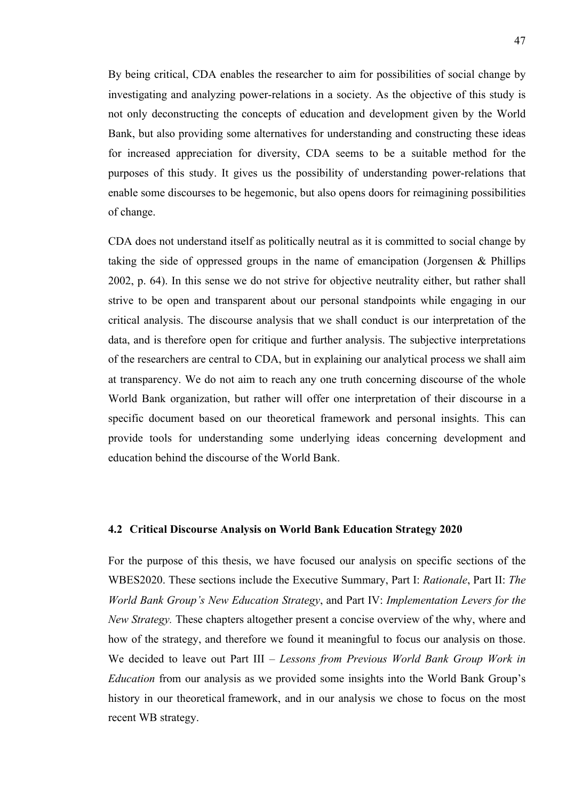By being critical, CDA enables the researcher to aim for possibilities of social change by investigating and analyzing power-relations in a society. As the objective of this study is not only deconstructing the concepts of education and development given by the World Bank, but also providing some alternatives for understanding and constructing these ideas for increased appreciation for diversity, CDA seems to be a suitable method for the purposes of this study. It gives us the possibility of understanding power-relations that enable some discourses to be hegemonic, but also opens doors for reimagining possibilities of change.

CDA does not understand itself as politically neutral as it is committed to social change by taking the side of oppressed groups in the name of emancipation (Jorgensen & Phillips 2002, p. 64). In this sense we do not strive for objective neutrality either, but rather shall strive to be open and transparent about our personal standpoints while engaging in our critical analysis. The discourse analysis that we shall conduct is our interpretation of the data, and is therefore open for critique and further analysis. The subjective interpretations of the researchers are central to CDA, but in explaining our analytical process we shall aim at transparency. We do not aim to reach any one truth concerning discourse of the whole World Bank organization, but rather will offer one interpretation of their discourse in a specific document based on our theoretical framework and personal insights. This can provide tools for understanding some underlying ideas concerning development and education behind the discourse of the World Bank.

## **4.2 Critical Discourse Analysis on World Bank Education Strategy 2020**

For the purpose of this thesis, we have focused our analysis on specific sections of the WBES2020. These sections include the Executive Summary, Part I: *Rationale*, Part II: *The World Bank Group's New Education Strategy*, and Part IV: *Implementation Levers for the New Strategy.* These chapters altogether present a concise overview of the why, where and how of the strategy, and therefore we found it meaningful to focus our analysis on those. We decided to leave out Part III – *Lessons from Previous World Bank Group Work in Education* from our analysis as we provided some insights into the World Bank Group's history in our theoretical framework, and in our analysis we chose to focus on the most recent WB strategy.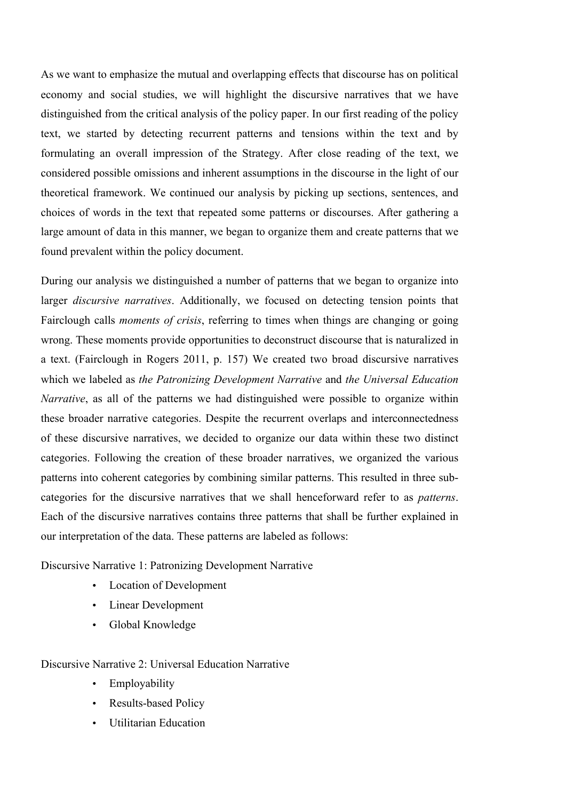As we want to emphasize the mutual and overlapping effects that discourse has on political economy and social studies, we will highlight the discursive narratives that we have distinguished from the critical analysis of the policy paper. In our first reading of the policy text, we started by detecting recurrent patterns and tensions within the text and by formulating an overall impression of the Strategy. After close reading of the text, we considered possible omissions and inherent assumptions in the discourse in the light of our theoretical framework. We continued our analysis by picking up sections, sentences, and choices of words in the text that repeated some patterns or discourses. After gathering a large amount of data in this manner, we began to organize them and create patterns that we found prevalent within the policy document.

During our analysis we distinguished a number of patterns that we began to organize into larger *discursive narratives*. Additionally, we focused on detecting tension points that Fairclough calls *moments of crisis*, referring to times when things are changing or going wrong. These moments provide opportunities to deconstruct discourse that is naturalized in a text. (Fairclough in Rogers 2011, p. 157) We created two broad discursive narratives which we labeled as *the Patronizing Development Narrative* and *the Universal Education Narrative*, as all of the patterns we had distinguished were possible to organize within these broader narrative categories. Despite the recurrent overlaps and interconnectedness of these discursive narratives, we decided to organize our data within these two distinct categories. Following the creation of these broader narratives, we organized the various patterns into coherent categories by combining similar patterns. This resulted in three subcategories for the discursive narratives that we shall henceforward refer to as *patterns*. Each of the discursive narratives contains three patterns that shall be further explained in our interpretation of the data. These patterns are labeled as follows:

Discursive Narrative 1: Patronizing Development Narrative

- Location of Development
- Linear Development
- Global Knowledge

Discursive Narrative 2: Universal Education Narrative

- Employability
- Results-based Policy
- Utilitarian Education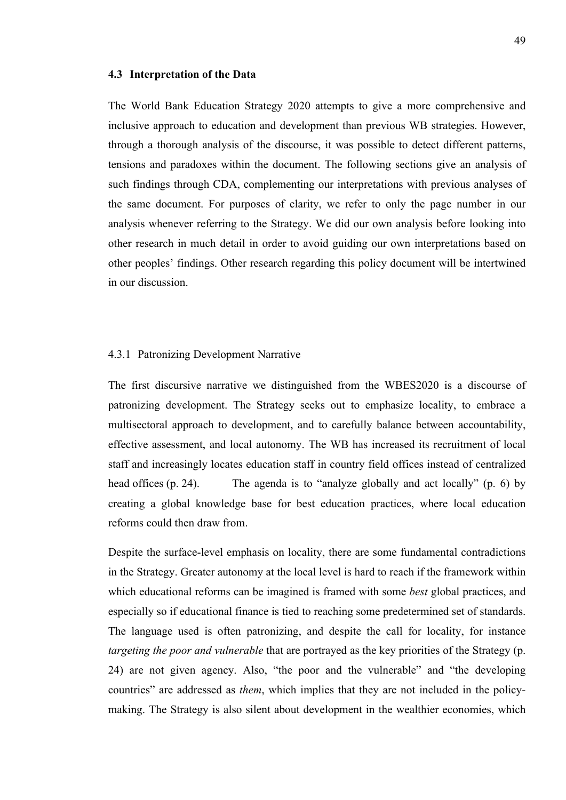#### **4.3 Interpretation of the Data**

The World Bank Education Strategy 2020 attempts to give a more comprehensive and inclusive approach to education and development than previous WB strategies. However, through a thorough analysis of the discourse, it was possible to detect different patterns, tensions and paradoxes within the document. The following sections give an analysis of such findings through CDA, complementing our interpretations with previous analyses of the same document. For purposes of clarity, we refer to only the page number in our analysis whenever referring to the Strategy. We did our own analysis before looking into other research in much detail in order to avoid guiding our own interpretations based on other peoples' findings. Other research regarding this policy document will be intertwined in our discussion.

#### 4.3.1 Patronizing Development Narrative

The first discursive narrative we distinguished from the WBES2020 is a discourse of patronizing development. The Strategy seeks out to emphasize locality, to embrace a multisectoral approach to development, and to carefully balance between accountability, effective assessment, and local autonomy. The WB has increased its recruitment of local staff and increasingly locates education staff in country field offices instead of centralized head offices (p. 24). The agenda is to "analyze globally and act locally" (p. 6) by creating a global knowledge base for best education practices, where local education reforms could then draw from.

Despite the surface-level emphasis on locality, there are some fundamental contradictions in the Strategy. Greater autonomy at the local level is hard to reach if the framework within which educational reforms can be imagined is framed with some *best* global practices, and especially so if educational finance is tied to reaching some predetermined set of standards. The language used is often patronizing, and despite the call for locality, for instance *targeting the poor and vulnerable* that are portrayed as the key priorities of the Strategy (p. 24) are not given agency. Also, "the poor and the vulnerable" and "the developing countries" are addressed as *them*, which implies that they are not included in the policymaking. The Strategy is also silent about development in the wealthier economies, which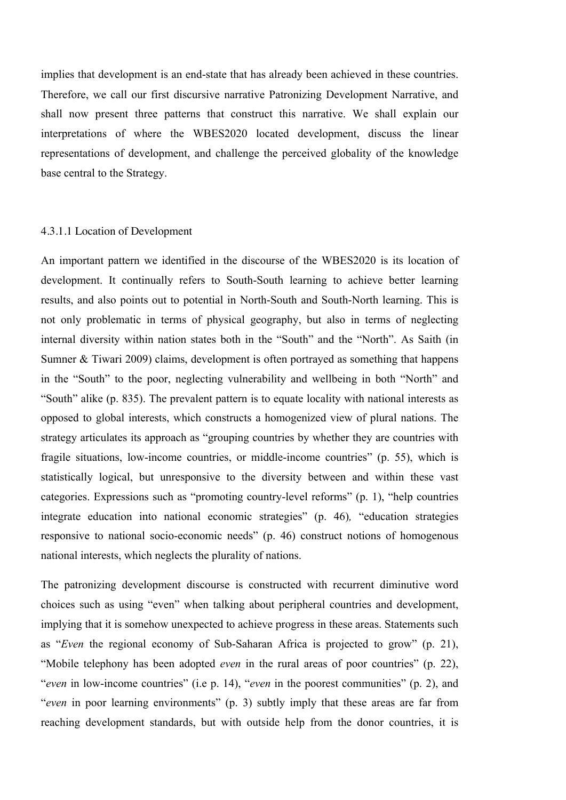implies that development is an end-state that has already been achieved in these countries. Therefore, we call our first discursive narrative Patronizing Development Narrative, and shall now present three patterns that construct this narrative. We shall explain our interpretations of where the WBES2020 located development, discuss the linear representations of development, and challenge the perceived globality of the knowledge base central to the Strategy.

## 4.3.1.1 Location of Development

An important pattern we identified in the discourse of the WBES2020 is its location of development. It continually refers to South-South learning to achieve better learning results, and also points out to potential in North-South and South-North learning. This is not only problematic in terms of physical geography, but also in terms of neglecting internal diversity within nation states both in the "South" and the "North". As Saith (in Sumner & Tiwari 2009) claims, development is often portrayed as something that happens in the "South" to the poor, neglecting vulnerability and wellbeing in both "North" and "South" alike (p. 835). The prevalent pattern is to equate locality with national interests as opposed to global interests, which constructs a homogenized view of plural nations. The strategy articulates its approach as "grouping countries by whether they are countries with fragile situations, low-income countries, or middle-income countries" (p. 55), which is statistically logical, but unresponsive to the diversity between and within these vast categories. Expressions such as "promoting country-level reforms" (p. 1), "help countries integrate education into national economic strategies" (p. 46)*,* "education strategies responsive to national socio-economic needs" (p. 46) construct notions of homogenous national interests, which neglects the plurality of nations.

The patronizing development discourse is constructed with recurrent diminutive word choices such as using "even" when talking about peripheral countries and development, implying that it is somehow unexpected to achieve progress in these areas. Statements such as "*Even* the regional economy of Sub-Saharan Africa is projected to grow" (p. 21), "Mobile telephony has been adopted *even* in the rural areas of poor countries" (p. 22), "*even* in low-income countries" (i.e p. 14), "*even* in the poorest communities" (p. 2), and "*even* in poor learning environments" (p. 3) subtly imply that these areas are far from reaching development standards, but with outside help from the donor countries, it is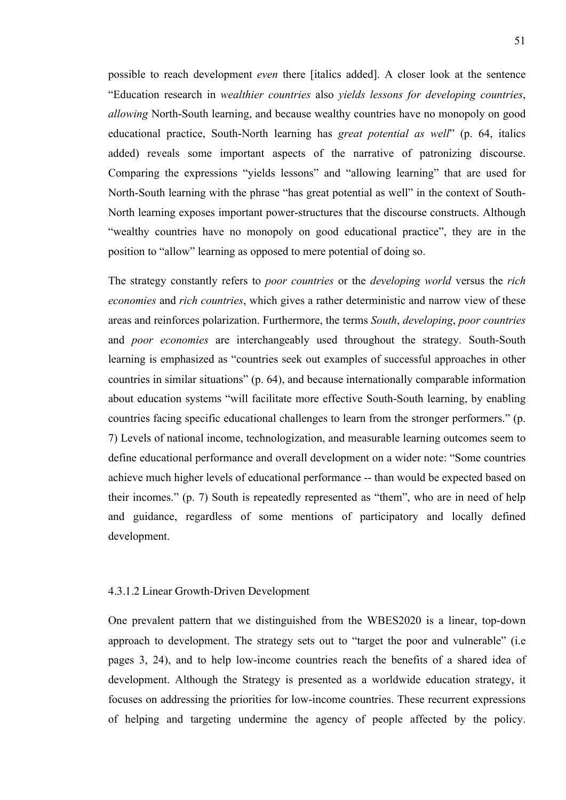possible to reach development *even* there [italics added]. A closer look at the sentence "Education research in *wealthier countries* also *yields lessons for developing countries*, *allowing* North-South learning, and because wealthy countries have no monopoly on good educational practice, South-North learning has *great potential as well*" (p. 64, italics added) reveals some important aspects of the narrative of patronizing discourse. Comparing the expressions "yields lessons" and "allowing learning" that are used for North-South learning with the phrase "has great potential as well" in the context of South-North learning exposes important power-structures that the discourse constructs. Although "wealthy countries have no monopoly on good educational practice", they are in the position to "allow" learning as opposed to mere potential of doing so.

The strategy constantly refers to *poor countries* or the *developing world* versus the *rich economies* and *rich countries*, which gives a rather deterministic and narrow view of these areas and reinforces polarization. Furthermore, the terms *South*, *developing*, *poor countries*  and *poor economies* are interchangeably used throughout the strategy. South-South learning is emphasized as "countries seek out examples of successful approaches in other countries in similar situations" (p. 64), and because internationally comparable information about education systems "will facilitate more effective South-South learning, by enabling countries facing specific educational challenges to learn from the stronger performers." (p. 7) Levels of national income, technologization, and measurable learning outcomes seem to define educational performance and overall development on a wider note: "Some countries achieve much higher levels of educational performance -- than would be expected based on their incomes." (p. 7) South is repeatedly represented as "them", who are in need of help and guidance, regardless of some mentions of participatory and locally defined development.

## 4.3.1.2 Linear Growth-Driven Development

One prevalent pattern that we distinguished from the WBES2020 is a linear, top-down approach to development. The strategy sets out to "target the poor and vulnerable" (i.e pages 3, 24), and to help low-income countries reach the benefits of a shared idea of development. Although the Strategy is presented as a worldwide education strategy, it focuses on addressing the priorities for low-income countries. These recurrent expressions of helping and targeting undermine the agency of people affected by the policy.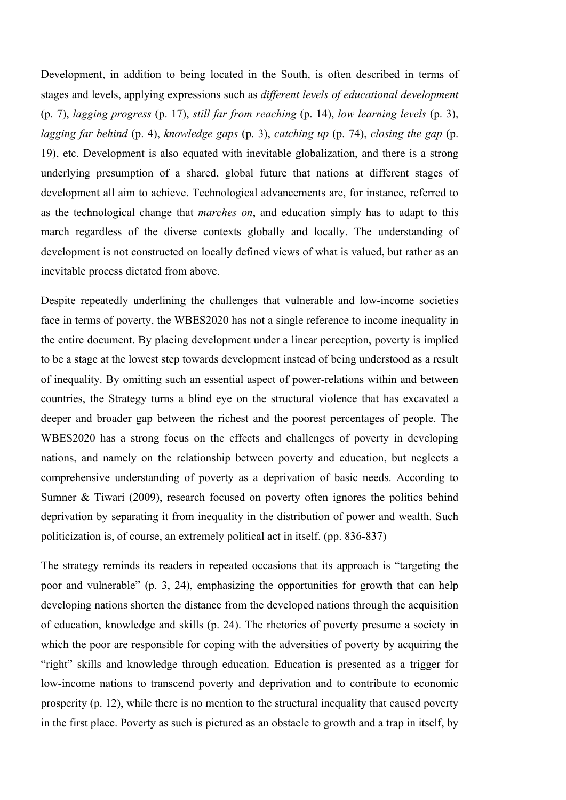Development, in addition to being located in the South, is often described in terms of stages and levels, applying expressions such as *different levels of educational development* (p. 7), *lagging progress* (p. 17), *still far from reaching* (p. 14), *low learning levels* (p. 3), *lagging far behind* (p. 4), *knowledge gaps* (p. 3), *catching up* (p. 74), *closing the gap* (p. 19), etc. Development is also equated with inevitable globalization, and there is a strong underlying presumption of a shared, global future that nations at different stages of development all aim to achieve. Technological advancements are, for instance, referred to as the technological change that *marches on*, and education simply has to adapt to this march regardless of the diverse contexts globally and locally. The understanding of development is not constructed on locally defined views of what is valued, but rather as an inevitable process dictated from above.

Despite repeatedly underlining the challenges that vulnerable and low-income societies face in terms of poverty, the WBES2020 has not a single reference to income inequality in the entire document. By placing development under a linear perception, poverty is implied to be a stage at the lowest step towards development instead of being understood as a result of inequality. By omitting such an essential aspect of power-relations within and between countries, the Strategy turns a blind eye on the structural violence that has excavated a deeper and broader gap between the richest and the poorest percentages of people. The WBES2020 has a strong focus on the effects and challenges of poverty in developing nations, and namely on the relationship between poverty and education, but neglects a comprehensive understanding of poverty as a deprivation of basic needs. According to Sumner & Tiwari (2009), research focused on poverty often ignores the politics behind deprivation by separating it from inequality in the distribution of power and wealth. Such politicization is, of course, an extremely political act in itself. (pp. 836-837)

The strategy reminds its readers in repeated occasions that its approach is "targeting the poor and vulnerable" (p. 3, 24), emphasizing the opportunities for growth that can help developing nations shorten the distance from the developed nations through the acquisition of education, knowledge and skills (p. 24). The rhetorics of poverty presume a society in which the poor are responsible for coping with the adversities of poverty by acquiring the "right" skills and knowledge through education. Education is presented as a trigger for low-income nations to transcend poverty and deprivation and to contribute to economic prosperity (p. 12), while there is no mention to the structural inequality that caused poverty in the first place. Poverty as such is pictured as an obstacle to growth and a trap in itself, by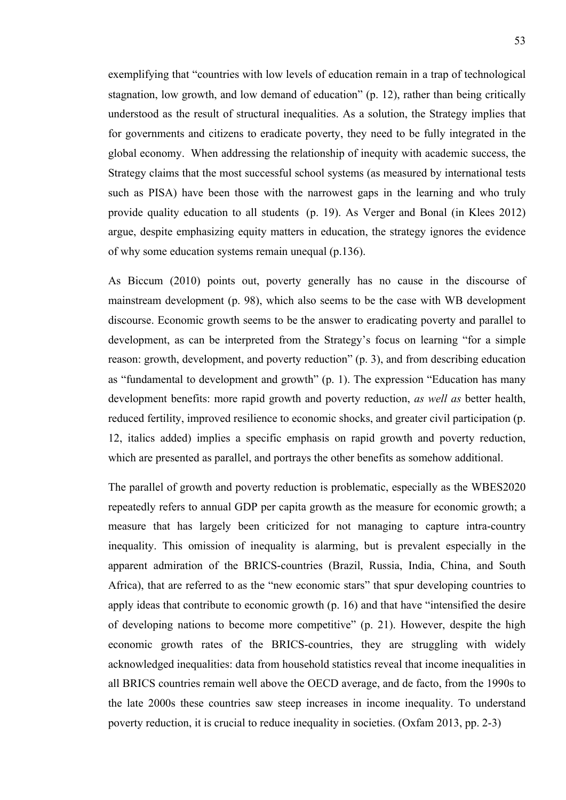exemplifying that "countries with low levels of education remain in a trap of technological stagnation, low growth, and low demand of education" (p. 12), rather than being critically understood as the result of structural inequalities. As a solution, the Strategy implies that for governments and citizens to eradicate poverty, they need to be fully integrated in the global economy. When addressing the relationship of inequity with academic success, the Strategy claims that the most successful school systems (as measured by international tests such as PISA) have been those with the narrowest gaps in the learning and who truly provide quality education to all students (p. 19). As Verger and Bonal (in Klees 2012) argue, despite emphasizing equity matters in education, the strategy ignores the evidence of why some education systems remain unequal (p.136).

As Biccum (2010) points out, poverty generally has no cause in the discourse of mainstream development (p. 98), which also seems to be the case with WB development discourse. Economic growth seems to be the answer to eradicating poverty and parallel to development, as can be interpreted from the Strategy's focus on learning "for a simple reason: growth, development, and poverty reduction" (p. 3), and from describing education as "fundamental to development and growth" (p. 1). The expression "Education has many development benefits: more rapid growth and poverty reduction, *as well as* better health, reduced fertility, improved resilience to economic shocks, and greater civil participation (p. 12, italics added) implies a specific emphasis on rapid growth and poverty reduction, which are presented as parallel, and portrays the other benefits as somehow additional.

The parallel of growth and poverty reduction is problematic, especially as the WBES2020 repeatedly refers to annual GDP per capita growth as the measure for economic growth; a measure that has largely been criticized for not managing to capture intra-country inequality. This omission of inequality is alarming, but is prevalent especially in the apparent admiration of the BRICS-countries (Brazil, Russia, India, China, and South Africa), that are referred to as the "new economic stars" that spur developing countries to apply ideas that contribute to economic growth (p. 16) and that have "intensified the desire of developing nations to become more competitive" (p. 21). However, despite the high economic growth rates of the BRICS-countries, they are struggling with widely acknowledged inequalities: data from household statistics reveal that income inequalities in all BRICS countries remain well above the OECD average, and de facto, from the 1990s to the late 2000s these countries saw steep increases in income inequality. To understand poverty reduction, it is crucial to reduce inequality in societies. (Oxfam 2013, pp. 2-3)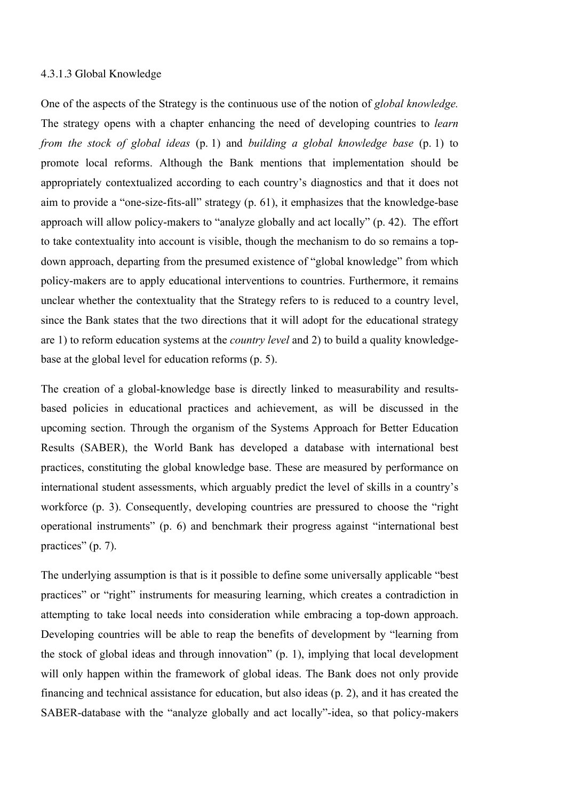## 4.3.1.3 Global Knowledge

One of the aspects of the Strategy is the continuous use of the notion of *global knowledge.*  The strategy opens with a chapter enhancing the need of developing countries to *learn from the stock of global ideas* (p. 1) and *building a global knowledge base* (p. 1) to promote local reforms. Although the Bank mentions that implementation should be appropriately contextualized according to each country's diagnostics and that it does not aim to provide a "one-size-fits-all" strategy (p. 61), it emphasizes that the knowledge-base approach will allow policy-makers to "analyze globally and act locally" (p. 42). The effort to take contextuality into account is visible, though the mechanism to do so remains a topdown approach, departing from the presumed existence of "global knowledge" from which policy-makers are to apply educational interventions to countries. Furthermore, it remains unclear whether the contextuality that the Strategy refers to is reduced to a country level, since the Bank states that the two directions that it will adopt for the educational strategy are 1) to reform education systems at the *country level* and 2) to build a quality knowledgebase at the global level for education reforms (p. 5).

The creation of a global-knowledge base is directly linked to measurability and resultsbased policies in educational practices and achievement, as will be discussed in the upcoming section. Through the organism of the Systems Approach for Better Education Results (SABER), the World Bank has developed a database with international best practices, constituting the global knowledge base. These are measured by performance on international student assessments, which arguably predict the level of skills in a country's workforce (p. 3). Consequently, developing countries are pressured to choose the "right operational instruments" (p. 6) and benchmark their progress against "international best practices" (p. 7).

The underlying assumption is that is it possible to define some universally applicable "best practices" or "right" instruments for measuring learning, which creates a contradiction in attempting to take local needs into consideration while embracing a top-down approach. Developing countries will be able to reap the benefits of development by "learning from the stock of global ideas and through innovation" (p. 1), implying that local development will only happen within the framework of global ideas. The Bank does not only provide financing and technical assistance for education, but also ideas (p. 2), and it has created the SABER-database with the "analyze globally and act locally"-idea, so that policy-makers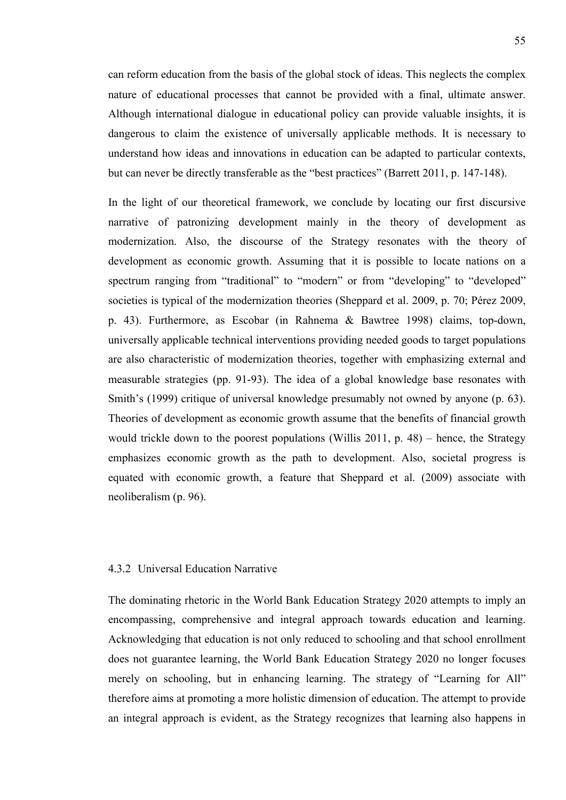can reform education from the basis of the global stock of ideas. This neglects the complex nature of educational processes that cannot be provided with a final, ultimate answer. Although international dialogue in educational policy can provide valuable insights, it is dangerous to claim the existence of universally applicable methods. It is necessary to understand how ideas and innovations in education can be adapted to particular contexts, but can never be directly transferable as the "best practices" (Barrett 2011, p. 147-148).

In the light of our theoretical framework, we conclude by locating our first discursive narrative of patronizing development mainly in the theory of development as modernization. Also, the discourse of the Strategy resonates with the theory of development as economic growth. Assuming that it is possible to locate nations on a spectrum ranging from "traditional" to "modern" or from "developing" to "developed" societies is typical of the modernization theories (Sheppard et al. 2009, p. 70; Pérez 2009, p. 43). Furthermore, as Escobar (in Rahnema & Bawtree 1998) claims, top-down, universally applicable technical interventions providing needed goods to target populations are also characteristic of modernization theories, together with emphasizing external and measurable strategies (pp. 91-93). The idea of a global knowledge base resonates with Smith's (1999) critique of universal knowledge presumably not owned by anyone (p. 63). Theories of development as economic growth assume that the benefits of financial growth would trickle down to the poorest populations (Willis 2011, p. 48) – hence, the Strategy emphasizes economic growth as the path to development. Also, societal progress is equated with economic growth, a feature that Sheppard et al. (2009) associate with neoliberalism (p. 96).

# 4.3.2 Universal Education Narrative

The dominating rhetoric in the World Bank Education Strategy 2020 attempts to imply an encompassing, comprehensive and integral approach towards education and learning. Acknowledging that education is not only reduced to schooling and that school enrollment does not guarantee learning, the World Bank Education Strategy 2020 no longer focuses merely on schooling, but in enhancing learning. The strategy of "Learning for All" therefore aims at promoting a more holistic dimension of education. The attempt to provide an integral approach is evident, as the Strategy recognizes that learning also happens in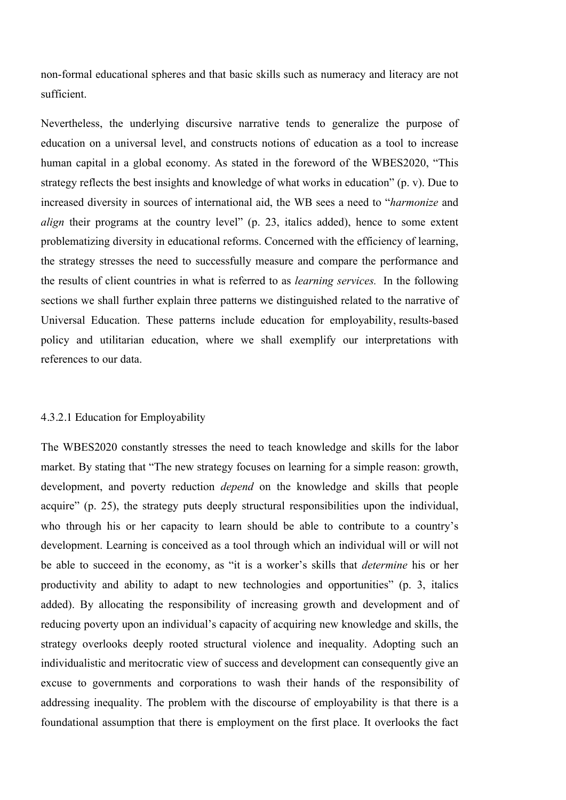non-formal educational spheres and that basic skills such as numeracy and literacy are not sufficient.

Nevertheless, the underlying discursive narrative tends to generalize the purpose of education on a universal level, and constructs notions of education as a tool to increase human capital in a global economy. As stated in the foreword of the WBES2020, "This strategy reflects the best insights and knowledge of what works in education" (p. v). Due to increased diversity in sources of international aid, the WB sees a need to "*harmonize* and *align* their programs at the country level" (p. 23, italics added), hence to some extent problematizing diversity in educational reforms. Concerned with the efficiency of learning, the strategy stresses the need to successfully measure and compare the performance and the results of client countries in what is referred to as *learning services.* In the following sections we shall further explain three patterns we distinguished related to the narrative of Universal Education. These patterns include education for employability, results-based policy and utilitarian education, where we shall exemplify our interpretations with references to our data.

## 4.3.2.1 Education for Employability

The WBES2020 constantly stresses the need to teach knowledge and skills for the labor market. By stating that "The new strategy focuses on learning for a simple reason: growth, development, and poverty reduction *depend* on the knowledge and skills that people acquire" (p. 25), the strategy puts deeply structural responsibilities upon the individual, who through his or her capacity to learn should be able to contribute to a country's development. Learning is conceived as a tool through which an individual will or will not be able to succeed in the economy, as "it is a worker's skills that *determine* his or her productivity and ability to adapt to new technologies and opportunities" (p. 3, italics added). By allocating the responsibility of increasing growth and development and of reducing poverty upon an individual's capacity of acquiring new knowledge and skills, the strategy overlooks deeply rooted structural violence and inequality. Adopting such an individualistic and meritocratic view of success and development can consequently give an excuse to governments and corporations to wash their hands of the responsibility of addressing inequality. The problem with the discourse of employability is that there is a foundational assumption that there is employment on the first place. It overlooks the fact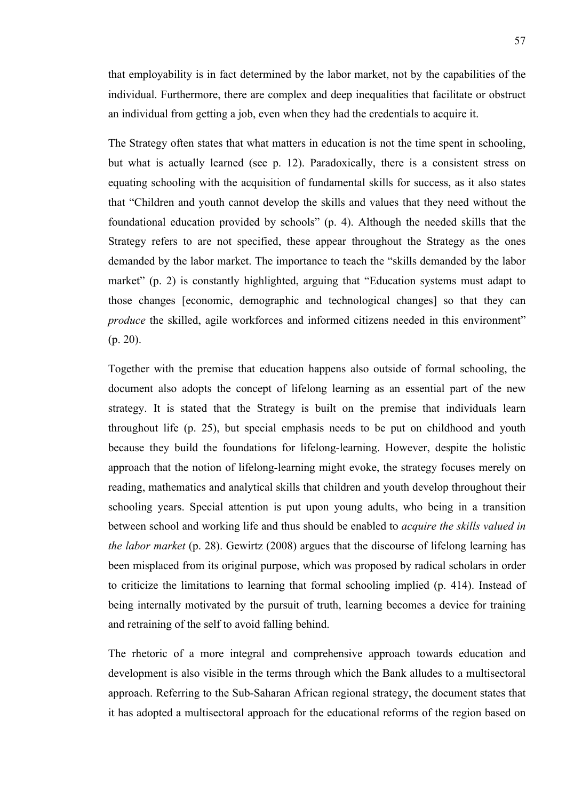that employability is in fact determined by the labor market, not by the capabilities of the individual. Furthermore, there are complex and deep inequalities that facilitate or obstruct an individual from getting a job, even when they had the credentials to acquire it.

The Strategy often states that what matters in education is not the time spent in schooling, but what is actually learned (see p. 12). Paradoxically, there is a consistent stress on equating schooling with the acquisition of fundamental skills for success, as it also states that "Children and youth cannot develop the skills and values that they need without the foundational education provided by schools" (p. 4). Although the needed skills that the Strategy refers to are not specified, these appear throughout the Strategy as the ones demanded by the labor market. The importance to teach the "skills demanded by the labor market" (p. 2) is constantly highlighted, arguing that "Education systems must adapt to those changes [economic, demographic and technological changes] so that they can *produce* the skilled, agile workforces and informed citizens needed in this environment"  $(p. 20)$ .

Together with the premise that education happens also outside of formal schooling, the document also adopts the concept of lifelong learning as an essential part of the new strategy. It is stated that the Strategy is built on the premise that individuals learn throughout life (p. 25), but special emphasis needs to be put on childhood and youth because they build the foundations for lifelong-learning. However, despite the holistic approach that the notion of lifelong-learning might evoke, the strategy focuses merely on reading, mathematics and analytical skills that children and youth develop throughout their schooling years. Special attention is put upon young adults, who being in a transition between school and working life and thus should be enabled to *acquire the skills valued in the labor market* (p. 28). Gewirtz (2008) argues that the discourse of lifelong learning has been misplaced from its original purpose, which was proposed by radical scholars in order to criticize the limitations to learning that formal schooling implied (p. 414). Instead of being internally motivated by the pursuit of truth, learning becomes a device for training and retraining of the self to avoid falling behind.

The rhetoric of a more integral and comprehensive approach towards education and development is also visible in the terms through which the Bank alludes to a multisectoral approach. Referring to the Sub-Saharan African regional strategy, the document states that it has adopted a multisectoral approach for the educational reforms of the region based on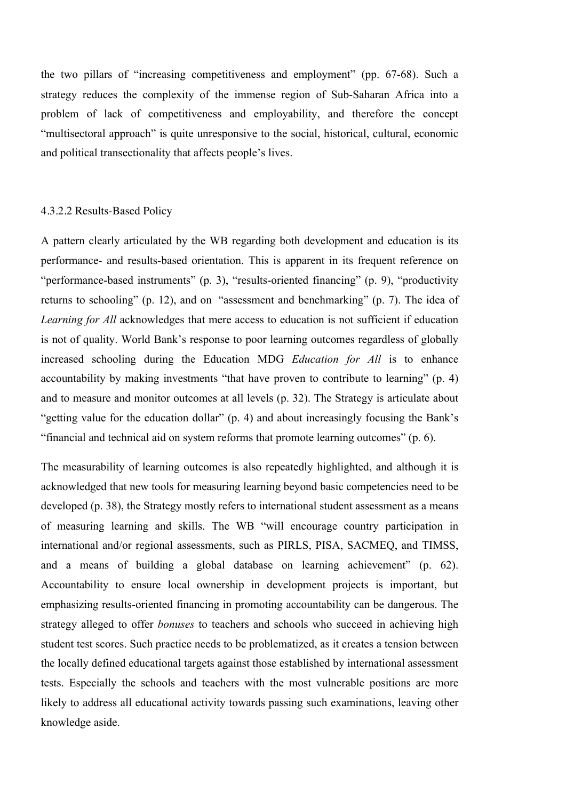the two pillars of "increasing competitiveness and employment" (pp. 67-68). Such a strategy reduces the complexity of the immense region of Sub-Saharan Africa into a problem of lack of competitiveness and employability, and therefore the concept "multisectoral approach" is quite unresponsive to the social, historical, cultural, economic and political transectionality that affects people's lives.

#### 4.3.2.2 Results-Based Policy

A pattern clearly articulated by the WB regarding both development and education is its performance- and results-based orientation. This is apparent in its frequent reference on "performance-based instruments" (p. 3), "results-oriented financing" (p. 9), "productivity returns to schooling" (p. 12), and on "assessment and benchmarking" (p. 7). The idea of *Learning for All* acknowledges that mere access to education is not sufficient if education is not of quality. World Bank's response to poor learning outcomes regardless of globally increased schooling during the Education MDG *Education for All* is to enhance accountability by making investments "that have proven to contribute to learning" (p. 4) and to measure and monitor outcomes at all levels (p. 32). The Strategy is articulate about "getting value for the education dollar" (p. 4) and about increasingly focusing the Bank's "financial and technical aid on system reforms that promote learning outcomes" (p. 6).

The measurability of learning outcomes is also repeatedly highlighted, and although it is acknowledged that new tools for measuring learning beyond basic competencies need to be developed (p. 38), the Strategy mostly refers to international student assessment as a means of measuring learning and skills. The WB "will encourage country participation in international and/or regional assessments, such as PIRLS, PISA, SACMEQ, and TIMSS, and a means of building a global database on learning achievement" (p. 62). Accountability to ensure local ownership in development projects is important, but emphasizing results-oriented financing in promoting accountability can be dangerous. The strategy alleged to offer *bonuses* to teachers and schools who succeed in achieving high student test scores. Such practice needs to be problematized, as it creates a tension between the locally defined educational targets against those established by international assessment tests. Especially the schools and teachers with the most vulnerable positions are more likely to address all educational activity towards passing such examinations, leaving other knowledge aside.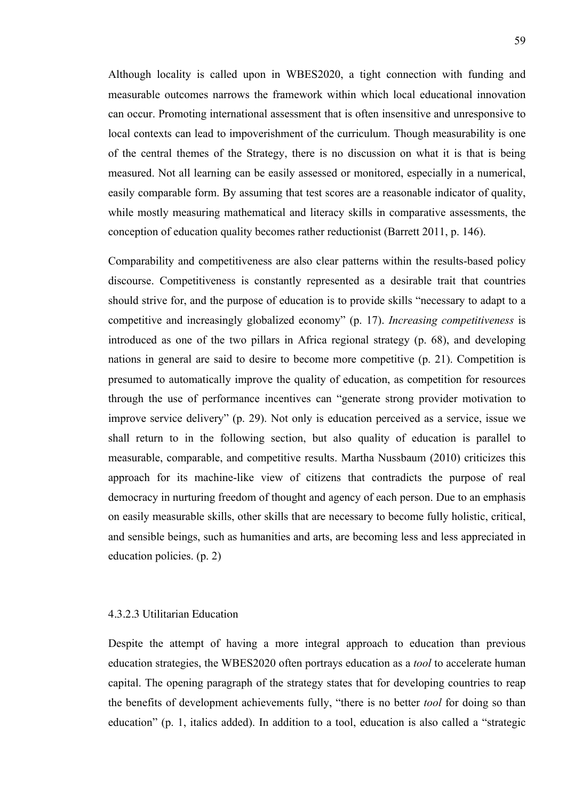Although locality is called upon in WBES2020, a tight connection with funding and measurable outcomes narrows the framework within which local educational innovation can occur. Promoting international assessment that is often insensitive and unresponsive to local contexts can lead to impoverishment of the curriculum. Though measurability is one of the central themes of the Strategy, there is no discussion on what it is that is being measured. Not all learning can be easily assessed or monitored, especially in a numerical, easily comparable form. By assuming that test scores are a reasonable indicator of quality, while mostly measuring mathematical and literacy skills in comparative assessments, the conception of education quality becomes rather reductionist (Barrett 2011, p. 146).

Comparability and competitiveness are also clear patterns within the results-based policy discourse. Competitiveness is constantly represented as a desirable trait that countries should strive for, and the purpose of education is to provide skills "necessary to adapt to a competitive and increasingly globalized economy" (p. 17). *Increasing competitiveness* is introduced as one of the two pillars in Africa regional strategy (p. 68), and developing nations in general are said to desire to become more competitive (p. 21). Competition is presumed to automatically improve the quality of education, as competition for resources through the use of performance incentives can "generate strong provider motivation to improve service delivery" (p. 29). Not only is education perceived as a service, issue we shall return to in the following section, but also quality of education is parallel to measurable, comparable, and competitive results. Martha Nussbaum (2010) criticizes this approach for its machine-like view of citizens that contradicts the purpose of real democracy in nurturing freedom of thought and agency of each person. Due to an emphasis on easily measurable skills, other skills that are necessary to become fully holistic, critical, and sensible beings, such as humanities and arts, are becoming less and less appreciated in education policies. (p. 2)

### 4.3.2.3 Utilitarian Education

Despite the attempt of having a more integral approach to education than previous education strategies, the WBES2020 often portrays education as a *tool* to accelerate human capital. The opening paragraph of the strategy states that for developing countries to reap the benefits of development achievements fully, "there is no better *tool* for doing so than education" (p. 1, italics added). In addition to a tool, education is also called a "strategic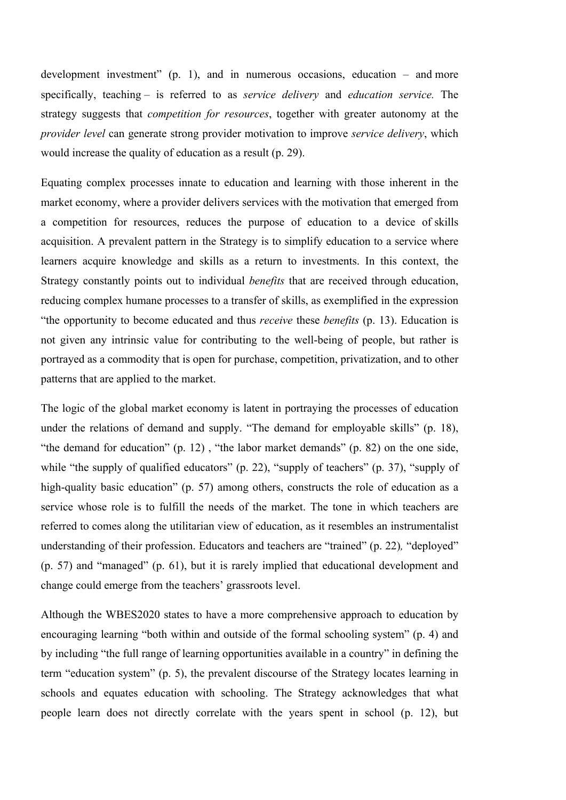development investment"  $(p, 1)$ , and in numerous occasions, education – and more specifically, teaching – is referred to as *service delivery* and *education service.* The strategy suggests that *competition for resources*, together with greater autonomy at the *provider level* can generate strong provider motivation to improve *service delivery*, which would increase the quality of education as a result (p. 29).

Equating complex processes innate to education and learning with those inherent in the market economy, where a provider delivers services with the motivation that emerged from a competition for resources, reduces the purpose of education to a device of skills acquisition. A prevalent pattern in the Strategy is to simplify education to a service where learners acquire knowledge and skills as a return to investments. In this context, the Strategy constantly points out to individual *benefits* that are received through education, reducing complex humane processes to a transfer of skills, as exemplified in the expression "the opportunity to become educated and thus *receive* these *benefits* (p. 13). Education is not given any intrinsic value for contributing to the well-being of people, but rather is portrayed as a commodity that is open for purchase, competition, privatization, and to other patterns that are applied to the market.

The logic of the global market economy is latent in portraying the processes of education under the relations of demand and supply. "The demand for employable skills" (p. 18), "the demand for education" (p. 12) , "the labor market demands" (p. 82) on the one side, while "the supply of qualified educators" (p. 22), "supply of teachers" (p. 37), "supply of high-quality basic education" (p. 57) among others, constructs the role of education as a service whose role is to fulfill the needs of the market. The tone in which teachers are referred to comes along the utilitarian view of education, as it resembles an instrumentalist understanding of their profession. Educators and teachers are "trained" (p. 22)*,* "deployed" (p. 57) and "managed" (p. 61), but it is rarely implied that educational development and change could emerge from the teachers' grassroots level.

Although the WBES2020 states to have a more comprehensive approach to education by encouraging learning "both within and outside of the formal schooling system" (p. 4) and by including "the full range of learning opportunities available in a country" in defining the term "education system" (p. 5), the prevalent discourse of the Strategy locates learning in schools and equates education with schooling. The Strategy acknowledges that what people learn does not directly correlate with the years spent in school (p. 12), but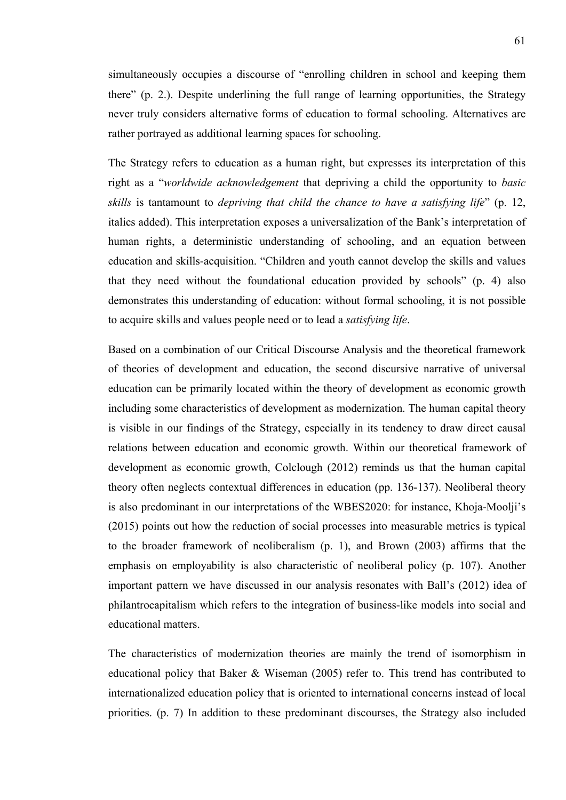simultaneously occupies a discourse of "enrolling children in school and keeping them there" (p. 2.). Despite underlining the full range of learning opportunities, the Strategy never truly considers alternative forms of education to formal schooling. Alternatives are rather portrayed as additional learning spaces for schooling.

The Strategy refers to education as a human right, but expresses its interpretation of this right as a "*worldwide acknowledgement* that depriving a child the opportunity to *basic skills* is tantamount to *depriving that child the chance to have a satisfying life*" (p. 12, italics added). This interpretation exposes a universalization of the Bank's interpretation of human rights, a deterministic understanding of schooling, and an equation between education and skills-acquisition. "Children and youth cannot develop the skills and values that they need without the foundational education provided by schools" (p. 4) also demonstrates this understanding of education: without formal schooling, it is not possible to acquire skills and values people need or to lead a *satisfying life*.

Based on a combination of our Critical Discourse Analysis and the theoretical framework of theories of development and education, the second discursive narrative of universal education can be primarily located within the theory of development as economic growth including some characteristics of development as modernization. The human capital theory is visible in our findings of the Strategy, especially in its tendency to draw direct causal relations between education and economic growth. Within our theoretical framework of development as economic growth, Colclough (2012) reminds us that the human capital theory often neglects contextual differences in education (pp. 136-137). Neoliberal theory is also predominant in our interpretations of the WBES2020: for instance, Khoja-Moolji's (2015) points out how the reduction of social processes into measurable metrics is typical to the broader framework of neoliberalism (p. 1), and Brown (2003) affirms that the emphasis on employability is also characteristic of neoliberal policy (p. 107). Another important pattern we have discussed in our analysis resonates with Ball's (2012) idea of philantrocapitalism which refers to the integration of business-like models into social and educational matters.

The characteristics of modernization theories are mainly the trend of isomorphism in educational policy that Baker & Wiseman (2005) refer to. This trend has contributed to internationalized education policy that is oriented to international concerns instead of local priorities. (p. 7) In addition to these predominant discourses, the Strategy also included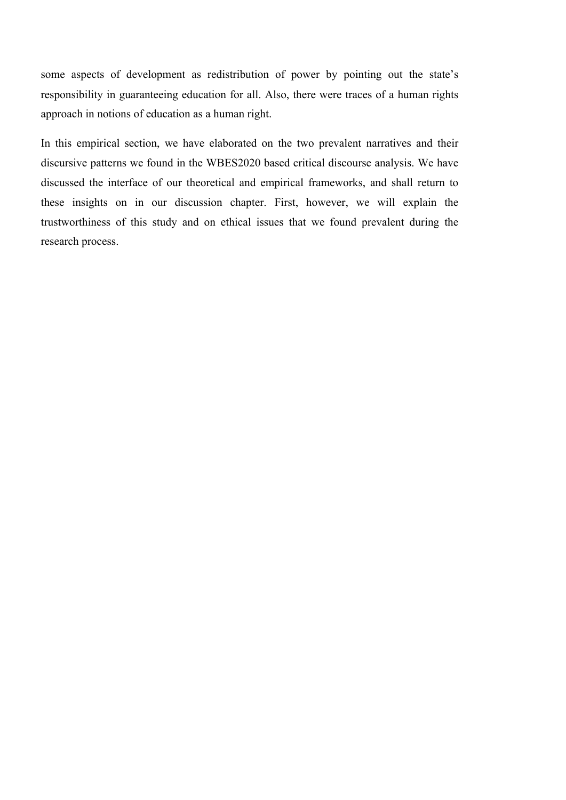some aspects of development as redistribution of power by pointing out the state's responsibility in guaranteeing education for all. Also, there were traces of a human rights approach in notions of education as a human right.

In this empirical section, we have elaborated on the two prevalent narratives and their discursive patterns we found in the WBES2020 based critical discourse analysis. We have discussed the interface of our theoretical and empirical frameworks, and shall return to these insights on in our discussion chapter. First, however, we will explain the trustworthiness of this study and on ethical issues that we found prevalent during the research process.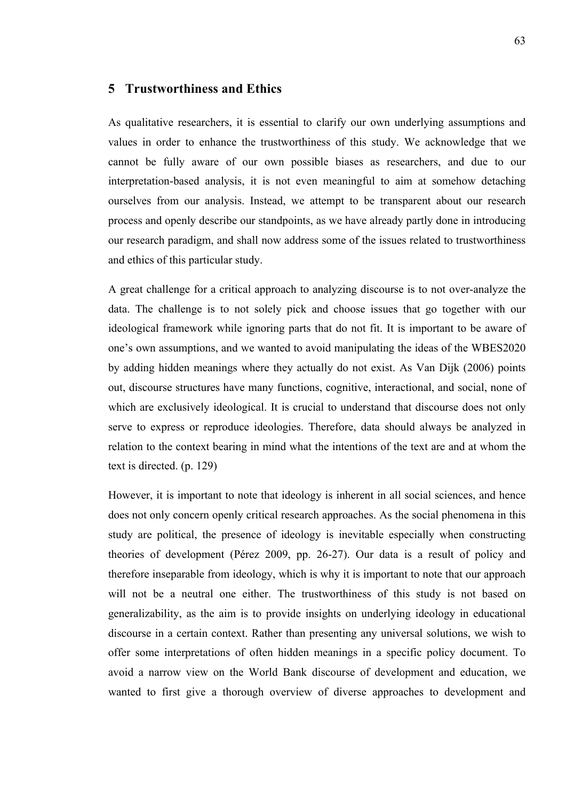# **5 Trustworthiness and Ethics**

As qualitative researchers, it is essential to clarify our own underlying assumptions and values in order to enhance the trustworthiness of this study. We acknowledge that we cannot be fully aware of our own possible biases as researchers, and due to our interpretation-based analysis, it is not even meaningful to aim at somehow detaching ourselves from our analysis. Instead, we attempt to be transparent about our research process and openly describe our standpoints, as we have already partly done in introducing our research paradigm, and shall now address some of the issues related to trustworthiness and ethics of this particular study.

A great challenge for a critical approach to analyzing discourse is to not over-analyze the data. The challenge is to not solely pick and choose issues that go together with our ideological framework while ignoring parts that do not fit. It is important to be aware of one's own assumptions, and we wanted to avoid manipulating the ideas of the WBES2020 by adding hidden meanings where they actually do not exist. As Van Dijk (2006) points out, discourse structures have many functions, cognitive, interactional, and social, none of which are exclusively ideological. It is crucial to understand that discourse does not only serve to express or reproduce ideologies. Therefore, data should always be analyzed in relation to the context bearing in mind what the intentions of the text are and at whom the text is directed. (p. 129)

However, it is important to note that ideology is inherent in all social sciences, and hence does not only concern openly critical research approaches. As the social phenomena in this study are political, the presence of ideology is inevitable especially when constructing theories of development (Pérez 2009, pp. 26-27). Our data is a result of policy and therefore inseparable from ideology, which is why it is important to note that our approach will not be a neutral one either. The trustworthiness of this study is not based on generalizability, as the aim is to provide insights on underlying ideology in educational discourse in a certain context. Rather than presenting any universal solutions, we wish to offer some interpretations of often hidden meanings in a specific policy document. To avoid a narrow view on the World Bank discourse of development and education, we wanted to first give a thorough overview of diverse approaches to development and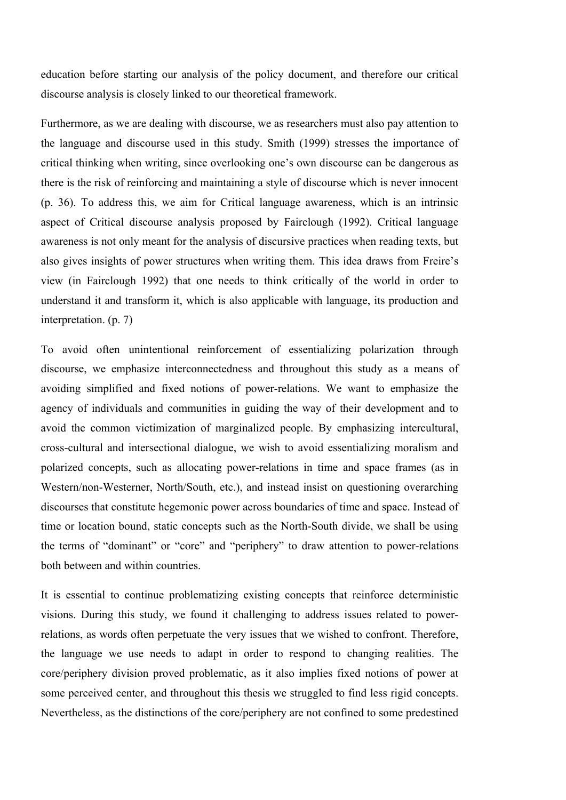education before starting our analysis of the policy document, and therefore our critical discourse analysis is closely linked to our theoretical framework.

Furthermore, as we are dealing with discourse, we as researchers must also pay attention to the language and discourse used in this study. Smith (1999) stresses the importance of critical thinking when writing, since overlooking one's own discourse can be dangerous as there is the risk of reinforcing and maintaining a style of discourse which is never innocent (p. 36). To address this, we aim for Critical language awareness, which is an intrinsic aspect of Critical discourse analysis proposed by Fairclough (1992). Critical language awareness is not only meant for the analysis of discursive practices when reading texts, but also gives insights of power structures when writing them. This idea draws from Freire's view (in Fairclough 1992) that one needs to think critically of the world in order to understand it and transform it, which is also applicable with language, its production and interpretation. (p. 7)

To avoid often unintentional reinforcement of essentializing polarization through discourse, we emphasize interconnectedness and throughout this study as a means of avoiding simplified and fixed notions of power-relations. We want to emphasize the agency of individuals and communities in guiding the way of their development and to avoid the common victimization of marginalized people. By emphasizing intercultural, cross-cultural and intersectional dialogue, we wish to avoid essentializing moralism and polarized concepts, such as allocating power-relations in time and space frames (as in Western/non-Westerner, North/South, etc.), and instead insist on questioning overarching discourses that constitute hegemonic power across boundaries of time and space. Instead of time or location bound, static concepts such as the North-South divide, we shall be using the terms of "dominant" or "core" and "periphery" to draw attention to power-relations both between and within countries.

It is essential to continue problematizing existing concepts that reinforce deterministic visions. During this study, we found it challenging to address issues related to powerrelations, as words often perpetuate the very issues that we wished to confront. Therefore, the language we use needs to adapt in order to respond to changing realities. The core/periphery division proved problematic, as it also implies fixed notions of power at some perceived center, and throughout this thesis we struggled to find less rigid concepts. Nevertheless, as the distinctions of the core/periphery are not confined to some predestined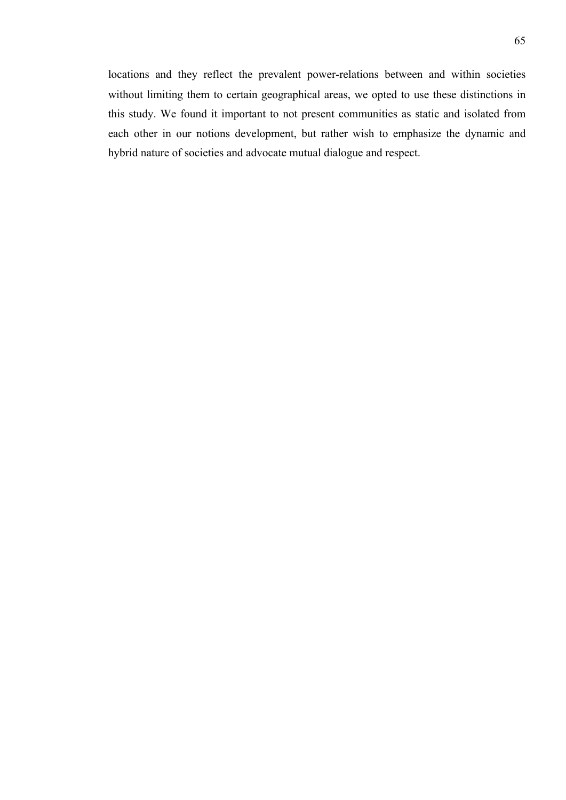locations and they reflect the prevalent power-relations between and within societies without limiting them to certain geographical areas, we opted to use these distinctions in this study. We found it important to not present communities as static and isolated from each other in our notions development, but rather wish to emphasize the dynamic and hybrid nature of societies and advocate mutual dialogue and respect.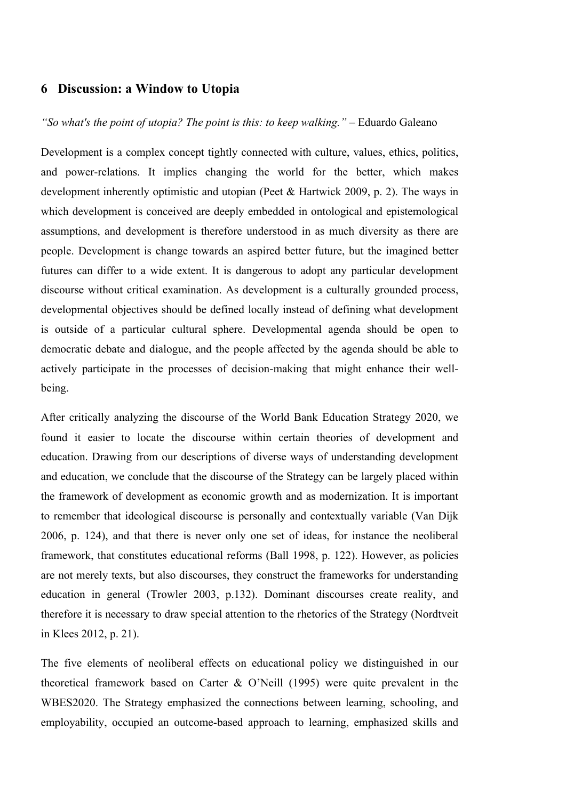# **6 Discussion: a Window to Utopia**

## *"So what's the point of utopia? The point is this: to keep walking."* – Eduardo Galeano

Development is a complex concept tightly connected with culture, values, ethics, politics, and power-relations. It implies changing the world for the better, which makes development inherently optimistic and utopian (Peet & Hartwick 2009, p. 2). The ways in which development is conceived are deeply embedded in ontological and epistemological assumptions, and development is therefore understood in as much diversity as there are people. Development is change towards an aspired better future, but the imagined better futures can differ to a wide extent. It is dangerous to adopt any particular development discourse without critical examination. As development is a culturally grounded process, developmental objectives should be defined locally instead of defining what development is outside of a particular cultural sphere. Developmental agenda should be open to democratic debate and dialogue, and the people affected by the agenda should be able to actively participate in the processes of decision-making that might enhance their wellbeing.

After critically analyzing the discourse of the World Bank Education Strategy 2020, we found it easier to locate the discourse within certain theories of development and education. Drawing from our descriptions of diverse ways of understanding development and education, we conclude that the discourse of the Strategy can be largely placed within the framework of development as economic growth and as modernization. It is important to remember that ideological discourse is personally and contextually variable (Van Dijk 2006, p. 124), and that there is never only one set of ideas, for instance the neoliberal framework, that constitutes educational reforms (Ball 1998, p. 122). However, as policies are not merely texts, but also discourses, they construct the frameworks for understanding education in general (Trowler 2003, p.132). Dominant discourses create reality, and therefore it is necessary to draw special attention to the rhetorics of the Strategy (Nordtveit in Klees 2012, p. 21).

The five elements of neoliberal effects on educational policy we distinguished in our theoretical framework based on Carter & O'Neill (1995) were quite prevalent in the WBES2020. The Strategy emphasized the connections between learning, schooling, and employability, occupied an outcome-based approach to learning, emphasized skills and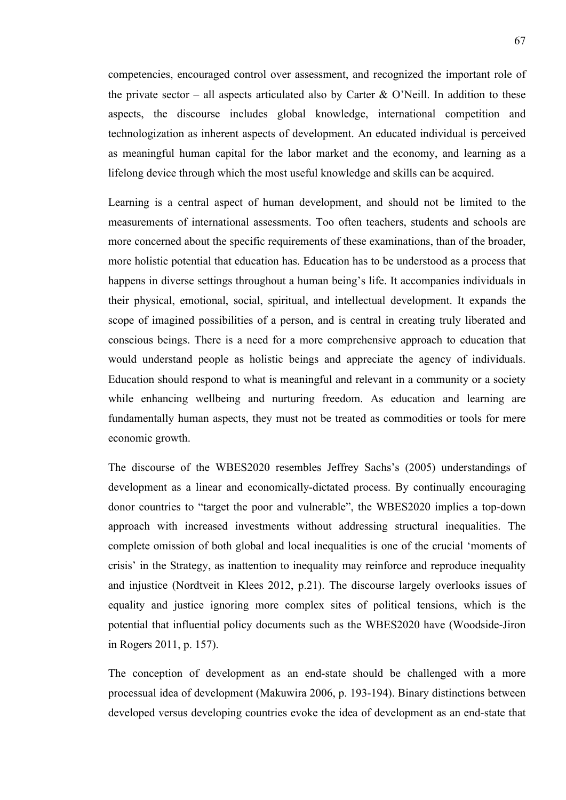competencies, encouraged control over assessment, and recognized the important role of the private sector – all aspects articulated also by Carter  $\&$  O'Neill. In addition to these aspects, the discourse includes global knowledge, international competition and technologization as inherent aspects of development. An educated individual is perceived as meaningful human capital for the labor market and the economy, and learning as a lifelong device through which the most useful knowledge and skills can be acquired.

Learning is a central aspect of human development, and should not be limited to the measurements of international assessments. Too often teachers, students and schools are more concerned about the specific requirements of these examinations, than of the broader, more holistic potential that education has. Education has to be understood as a process that happens in diverse settings throughout a human being's life. It accompanies individuals in their physical, emotional, social, spiritual, and intellectual development. It expands the scope of imagined possibilities of a person, and is central in creating truly liberated and conscious beings. There is a need for a more comprehensive approach to education that would understand people as holistic beings and appreciate the agency of individuals. Education should respond to what is meaningful and relevant in a community or a society while enhancing wellbeing and nurturing freedom. As education and learning are fundamentally human aspects, they must not be treated as commodities or tools for mere economic growth.

The discourse of the WBES2020 resembles Jeffrey Sachs's (2005) understandings of development as a linear and economically-dictated process. By continually encouraging donor countries to "target the poor and vulnerable", the WBES2020 implies a top-down approach with increased investments without addressing structural inequalities. The complete omission of both global and local inequalities is one of the crucial 'moments of crisis' in the Strategy, as inattention to inequality may reinforce and reproduce inequality and injustice (Nordtveit in Klees 2012, p.21). The discourse largely overlooks issues of equality and justice ignoring more complex sites of political tensions, which is the potential that influential policy documents such as the WBES2020 have (Woodside-Jiron in Rogers 2011, p. 157).

The conception of development as an end-state should be challenged with a more processual idea of development (Makuwira 2006, p. 193-194). Binary distinctions between developed versus developing countries evoke the idea of development as an end-state that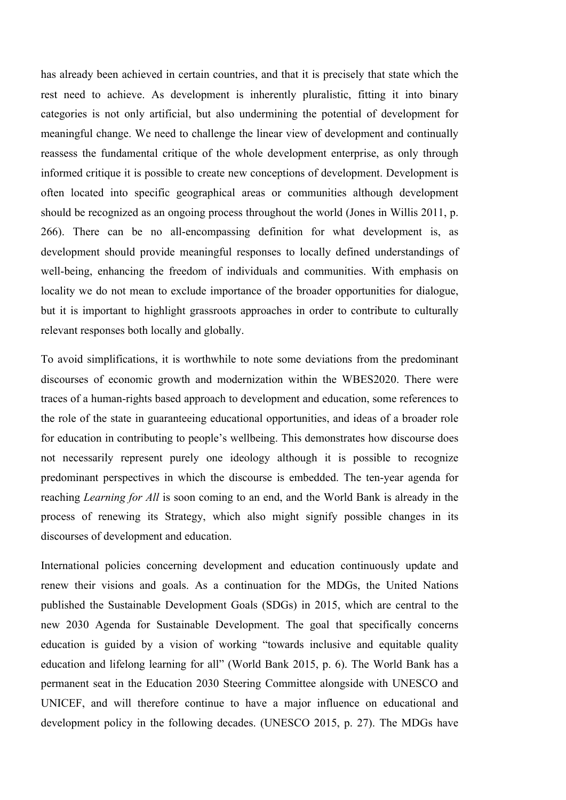has already been achieved in certain countries, and that it is precisely that state which the rest need to achieve. As development is inherently pluralistic, fitting it into binary categories is not only artificial, but also undermining the potential of development for meaningful change. We need to challenge the linear view of development and continually reassess the fundamental critique of the whole development enterprise, as only through informed critique it is possible to create new conceptions of development. Development is often located into specific geographical areas or communities although development should be recognized as an ongoing process throughout the world (Jones in Willis 2011, p. 266). There can be no all-encompassing definition for what development is, as development should provide meaningful responses to locally defined understandings of well-being, enhancing the freedom of individuals and communities. With emphasis on locality we do not mean to exclude importance of the broader opportunities for dialogue, but it is important to highlight grassroots approaches in order to contribute to culturally relevant responses both locally and globally.

To avoid simplifications, it is worthwhile to note some deviations from the predominant discourses of economic growth and modernization within the WBES2020. There were traces of a human-rights based approach to development and education, some references to the role of the state in guaranteeing educational opportunities, and ideas of a broader role for education in contributing to people's wellbeing. This demonstrates how discourse does not necessarily represent purely one ideology although it is possible to recognize predominant perspectives in which the discourse is embedded. The ten-year agenda for reaching *Learning for All* is soon coming to an end, and the World Bank is already in the process of renewing its Strategy, which also might signify possible changes in its discourses of development and education.

International policies concerning development and education continuously update and renew their visions and goals. As a continuation for the MDGs, the United Nations published the Sustainable Development Goals (SDGs) in 2015, which are central to the new 2030 Agenda for Sustainable Development. The goal that specifically concerns education is guided by a vision of working "towards inclusive and equitable quality education and lifelong learning for all" (World Bank 2015, p. 6). The World Bank has a permanent seat in the Education 2030 Steering Committee alongside with UNESCO and UNICEF, and will therefore continue to have a major influence on educational and development policy in the following decades. (UNESCO 2015, p. 27). The MDGs have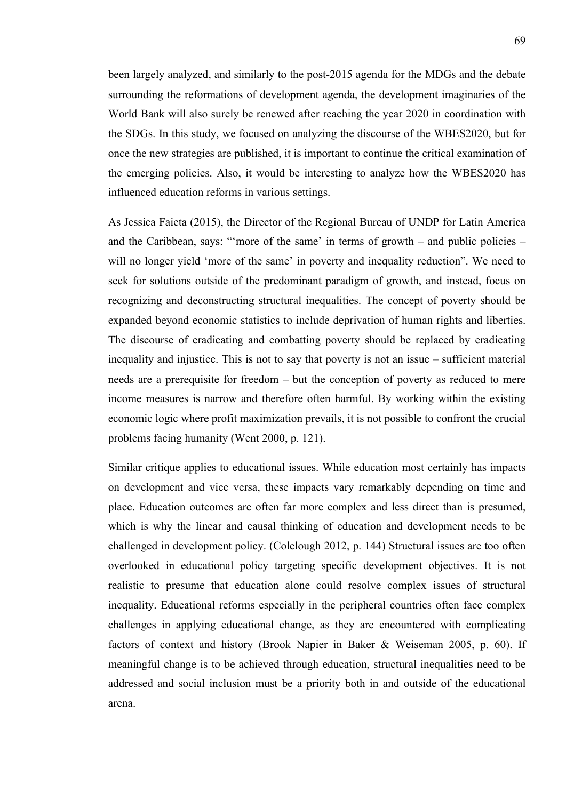been largely analyzed, and similarly to the post-2015 agenda for the MDGs and the debate surrounding the reformations of development agenda, the development imaginaries of the World Bank will also surely be renewed after reaching the year 2020 in coordination with the SDGs. In this study, we focused on analyzing the discourse of the WBES2020, but for once the new strategies are published, it is important to continue the critical examination of the emerging policies. Also, it would be interesting to analyze how the WBES2020 has influenced education reforms in various settings.

As Jessica Faieta (2015), the Director of the Regional Bureau of UNDP for Latin America and the Caribbean, says: "'more of the same' in terms of growth – and public policies – will no longer yield 'more of the same' in poverty and inequality reduction". We need to seek for solutions outside of the predominant paradigm of growth, and instead, focus on recognizing and deconstructing structural inequalities. The concept of poverty should be expanded beyond economic statistics to include deprivation of human rights and liberties. The discourse of eradicating and combatting poverty should be replaced by eradicating inequality and injustice. This is not to say that poverty is not an issue – sufficient material needs are a prerequisite for freedom – but the conception of poverty as reduced to mere income measures is narrow and therefore often harmful. By working within the existing economic logic where profit maximization prevails, it is not possible to confront the crucial problems facing humanity (Went 2000, p. 121).

Similar critique applies to educational issues. While education most certainly has impacts on development and vice versa, these impacts vary remarkably depending on time and place. Education outcomes are often far more complex and less direct than is presumed, which is why the linear and causal thinking of education and development needs to be challenged in development policy. (Colclough 2012, p. 144) Structural issues are too often overlooked in educational policy targeting specific development objectives. It is not realistic to presume that education alone could resolve complex issues of structural inequality. Educational reforms especially in the peripheral countries often face complex challenges in applying educational change, as they are encountered with complicating factors of context and history (Brook Napier in Baker & Weiseman 2005, p. 60). If meaningful change is to be achieved through education, structural inequalities need to be addressed and social inclusion must be a priority both in and outside of the educational arena.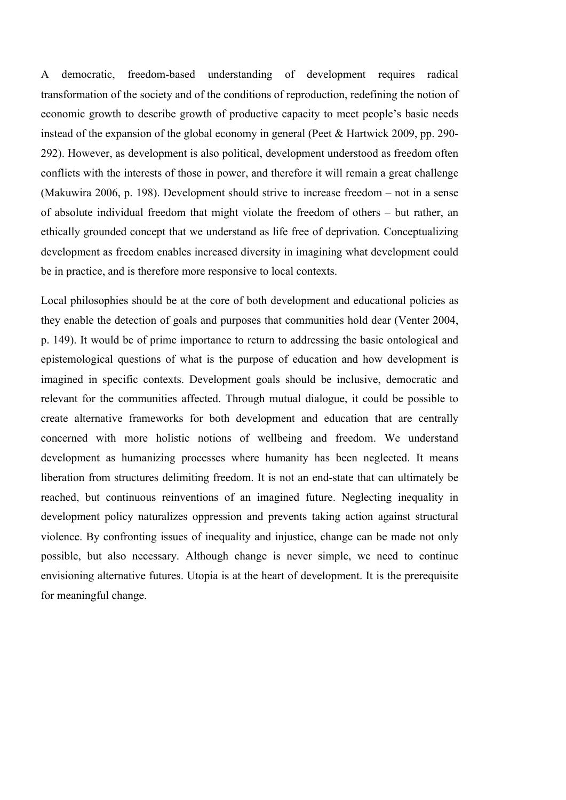A democratic, freedom-based understanding of development requires radical transformation of the society and of the conditions of reproduction, redefining the notion of economic growth to describe growth of productive capacity to meet people's basic needs instead of the expansion of the global economy in general (Peet & Hartwick 2009, pp. 290- 292). However, as development is also political, development understood as freedom often conflicts with the interests of those in power, and therefore it will remain a great challenge (Makuwira 2006, p. 198). Development should strive to increase freedom – not in a sense of absolute individual freedom that might violate the freedom of others – but rather, an ethically grounded concept that we understand as life free of deprivation. Conceptualizing development as freedom enables increased diversity in imagining what development could be in practice, and is therefore more responsive to local contexts.

Local philosophies should be at the core of both development and educational policies as they enable the detection of goals and purposes that communities hold dear (Venter 2004, p. 149). It would be of prime importance to return to addressing the basic ontological and epistemological questions of what is the purpose of education and how development is imagined in specific contexts. Development goals should be inclusive, democratic and relevant for the communities affected. Through mutual dialogue, it could be possible to create alternative frameworks for both development and education that are centrally concerned with more holistic notions of wellbeing and freedom. We understand development as humanizing processes where humanity has been neglected. It means liberation from structures delimiting freedom. It is not an end-state that can ultimately be reached, but continuous reinventions of an imagined future. Neglecting inequality in development policy naturalizes oppression and prevents taking action against structural violence. By confronting issues of inequality and injustice, change can be made not only possible, but also necessary. Although change is never simple, we need to continue envisioning alternative futures. Utopia is at the heart of development. It is the prerequisite for meaningful change.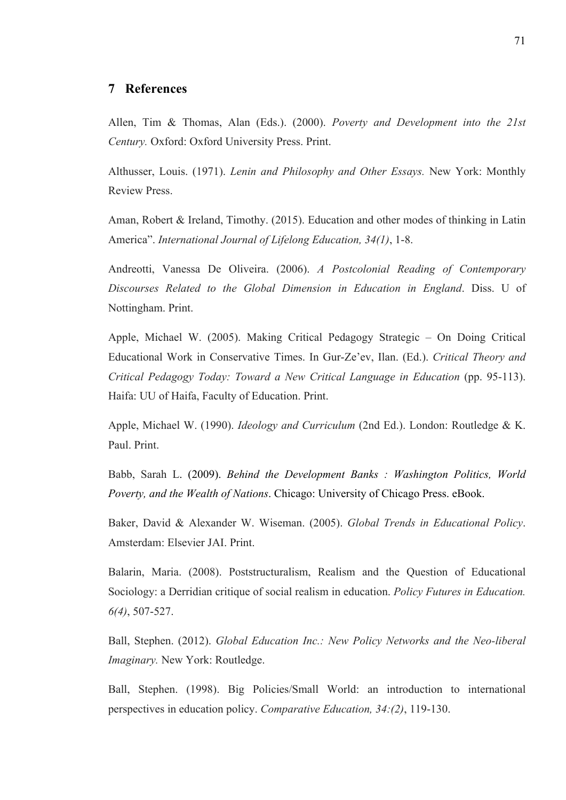## **7 References**

Allen, Tim & Thomas, Alan (Eds.). (2000). *Poverty and Development into the 21st Century.* Oxford: Oxford University Press. Print.

Althusser, Louis. (1971). *Lenin and Philosophy and Other Essays.* New York: Monthly Review Press.

Aman, Robert & Ireland, Timothy. (2015). Education and other modes of thinking in Latin America". *International Journal of Lifelong Education, 34(1)*, 1-8.

Andreotti, Vanessa De Oliveira. (2006). *A Postcolonial Reading of Contemporary Discourses Related to the Global Dimension in Education in England*. Diss. U of Nottingham. Print.

Apple, Michael W. (2005). Making Critical Pedagogy Strategic – On Doing Critical Educational Work in Conservative Times. In Gur-Ze'ev, Ilan. (Ed.). *Critical Theory and Critical Pedagogy Today: Toward a New Critical Language in Education* (pp. 95-113). Haifa: UU of Haifa, Faculty of Education. Print.

Apple, Michael W. (1990). *Ideology and Curriculum* (2nd Ed.). London: Routledge & K. Paul. Print.

Babb, Sarah L. (2009). *Behind the Development Banks : Washington Politics, World Poverty, and the Wealth of Nations*. Chicago: University of Chicago Press. eBook.

Baker, David & Alexander W. Wiseman. (2005). *Global Trends in Educational Policy*. Amsterdam: Elsevier JAI. Print.

Balarin, Maria. (2008). Poststructuralism, Realism and the Question of Educational Sociology: a Derridian critique of social realism in education. *Policy Futures in Education. 6(4)*, 507-527.

Ball, Stephen. (2012). *Global Education Inc.: New Policy Networks and the Neo-liberal Imaginary.* New York: Routledge.

Ball, Stephen. (1998). Big Policies/Small World: an introduction to international perspectives in education policy. *Comparative Education, 34:(2)*, 119-130.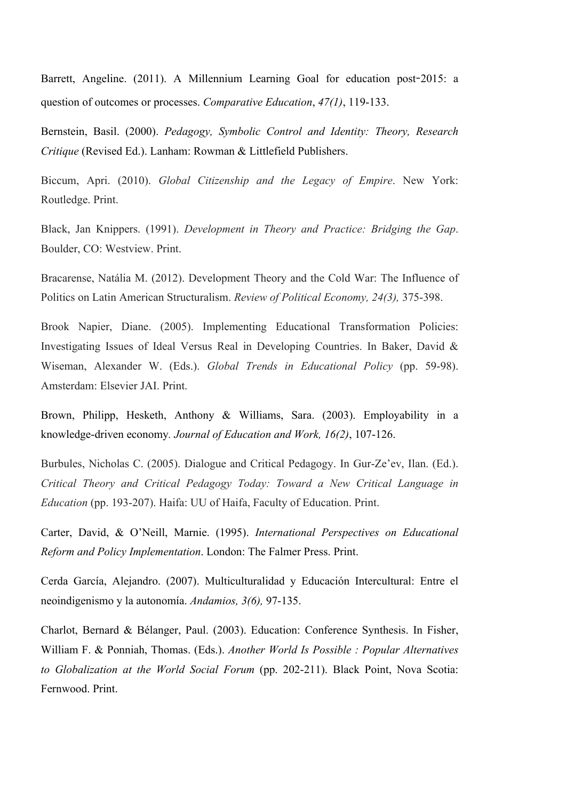Barrett, Angeline. (2011). A Millennium Learning Goal for education post**-**2015: a question of outcomes or processes. *Comparative Education*, *47(1)*, 119-133.

Bernstein, Basil. (2000). *Pedagogy, Symbolic Control and Identity: Theory, Research Critique* (Revised Ed.). Lanham: Rowman & Littlefield Publishers.

Biccum, Apri. (2010). *Global Citizenship and the Legacy of Empire*. New York: Routledge. Print.

Black, Jan Knippers. (1991). *Development in Theory and Practice: Bridging the Gap*. Boulder, CO: Westview. Print.

Bracarense, Natália M. (2012). Development Theory and the Cold War: The Influence of Politics on Latin American Structuralism. *Review of Political Economy, 24(3),* 375-398.

Brook Napier, Diane. (2005). Implementing Educational Transformation Policies: Investigating Issues of Ideal Versus Real in Developing Countries. In Baker, David & Wiseman, Alexander W. (Eds.). *Global Trends in Educational Policy* (pp. 59-98). Amsterdam: Elsevier JAI. Print.

Brown, Philipp, Hesketh, Anthony & Williams, Sara. (2003). Employability in a knowledge-driven economy*. Journal of Education and Work, 16(2)*, 107-126.

Burbules, Nicholas C. (2005). Dialogue and Critical Pedagogy. In Gur-Ze'ev, Ilan. (Ed.). *Critical Theory and Critical Pedagogy Today: Toward a New Critical Language in Education* (pp. 193-207). Haifa: UU of Haifa, Faculty of Education. Print.

Carter, David, & O'Neill, Marnie. (1995). *International Perspectives on Educational Reform and Policy Implementation*. London: The Falmer Press. Print.

Cerda García, Alejandro. (2007). Multiculturalidad y Educación Intercultural: Entre el neoindigenismo y la autonomía. *Andamios, 3(6),* 97-135.

Charlot, Bernard & Bélanger, Paul. (2003). Education: Conference Synthesis. In Fisher, William F. & Ponniah, Thomas. (Eds.). *Another World Is Possible : Popular Alternatives to Globalization at the World Social Forum* (pp. 202-211). Black Point, Nova Scotia: Fernwood. Print.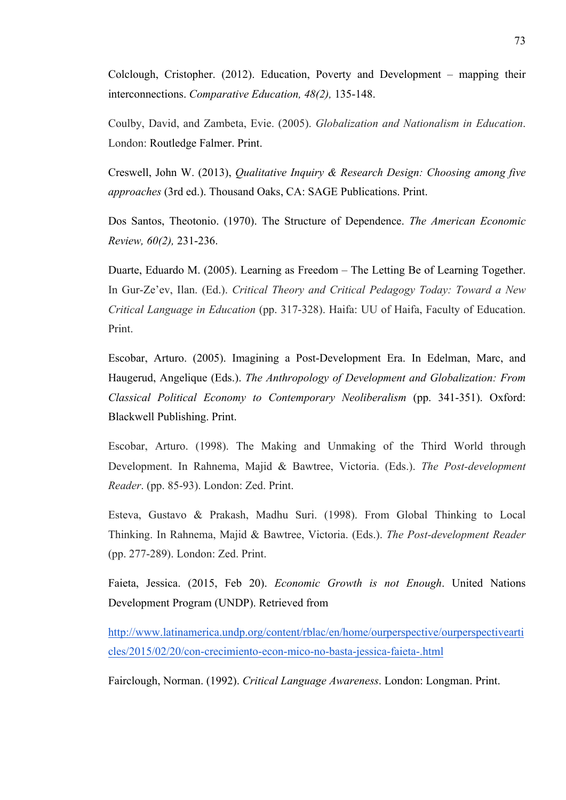Colclough, Cristopher. (2012). Education, Poverty and Development – mapping their interconnections. *Comparative Education, 48(2),* 135-148.

Coulby, David, and Zambeta, Evie. (2005). *Globalization and Nationalism in Education*. London: Routledge Falmer. Print.

Creswell, John W. (2013), *Qualitative Inquiry & Research Design: Choosing among five approaches* (3rd ed.). Thousand Oaks, CA: SAGE Publications. Print.

Dos Santos, Theotonio. (1970). The Structure of Dependence. *The American Economic Review, 60(2),* 231-236.

Duarte, Eduardo M. (2005). Learning as Freedom – The Letting Be of Learning Together. In Gur-Ze'ev, Ilan. (Ed.). *Critical Theory and Critical Pedagogy Today: Toward a New Critical Language in Education* (pp. 317-328). Haifa: UU of Haifa, Faculty of Education. Print.

Escobar, Arturo. (2005). Imagining a Post-Development Era. In Edelman, Marc, and Haugerud, Angelique (Eds.). *The Anthropology of Development and Globalization: From Classical Political Economy to Contemporary Neoliberalism* (pp. 341-351). Oxford: Blackwell Publishing. Print.

Escobar, Arturo. (1998). The Making and Unmaking of the Third World through Development. In Rahnema, Majid & Bawtree, Victoria. (Eds.). *The Post-development Reader*. (pp. 85-93). London: Zed. Print.

Esteva, Gustavo & Prakash, Madhu Suri. (1998). From Global Thinking to Local Thinking. In Rahnema, Majid & Bawtree, Victoria. (Eds.). *The Post-development Reader*  (pp. 277-289). London: Zed. Print.

Faieta, Jessica. (2015, Feb 20). *Economic Growth is not Enough*. United Nations Development Program (UNDP). Retrieved from

http://www.latinamerica.undp.org/content/rblac/en/home/ourperspective/ourperspectivearti cles/2015/02/20/con-crecimiento-econ-mico-no-basta-jessica-faieta-.html

Fairclough, Norman. (1992). *Critical Language Awareness*. London: Longman. Print.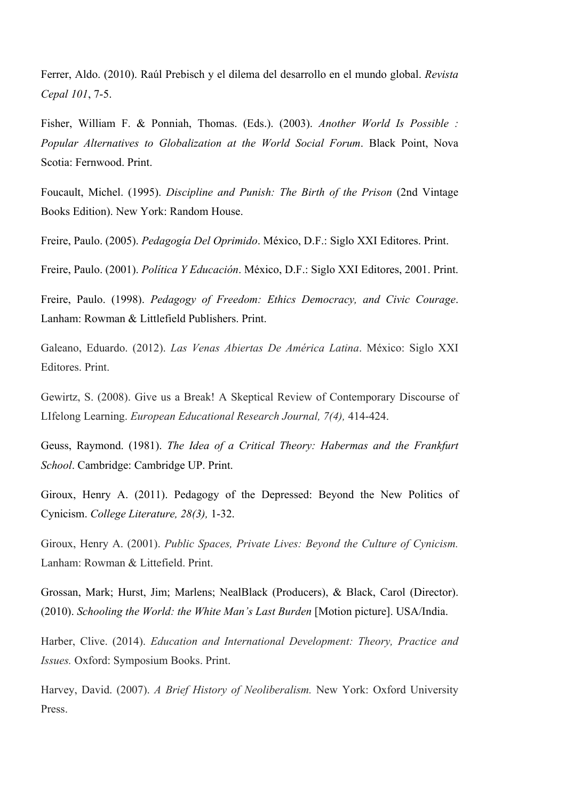Ferrer, Aldo. (2010). Raúl Prebisch y el dilema del desarrollo en el mundo global. *Revista Cepal 101*, 7-5.

Fisher, William F. & Ponniah, Thomas. (Eds.). (2003). *Another World Is Possible : Popular Alternatives to Globalization at the World Social Forum*. Black Point, Nova Scotia: Fernwood. Print.

Foucault, Michel. (1995). *Discipline and Punish: The Birth of the Prison* (2nd Vintage Books Edition). New York: Random House.

Freire, Paulo. (2005). *Pedagogía Del Oprimido*. México, D.F.: Siglo XXI Editores. Print.

Freire, Paulo. (2001). *Política Y Educación*. México, D.F.: Siglo XXI Editores, 2001. Print.

Freire, Paulo. (1998). *Pedagogy of Freedom: Ethics Democracy, and Civic Courage*. Lanham: Rowman & Littlefield Publishers. Print.

Galeano, Eduardo. (2012). *Las Venas Abiertas De América Latina*. México: Siglo XXI Editores. Print.

Gewirtz, S. (2008). Give us a Break! A Skeptical Review of Contemporary Discourse of LIfelong Learning. *European Educational Research Journal, 7(4),* 414-424.

Geuss, Raymond. (1981). *The Idea of a Critical Theory: Habermas and the Frankfurt School*. Cambridge: Cambridge UP. Print.

Giroux, Henry A. (2011). Pedagogy of the Depressed: Beyond the New Politics of Cynicism. *College Literature, 28(3),* 1-32.

Giroux, Henry A. (2001). *Public Spaces, Private Lives: Beyond the Culture of Cynicism.* Lanham: Rowman & Littefield. Print.

Grossan, Mark; Hurst, Jim; Marlens; NealBlack (Producers), & Black, Carol (Director). (2010). *Schooling the World: the White Man's Last Burden* [Motion picture]. USA/India.

Harber, Clive. (2014). *Education and International Development: Theory, Practice and Issues.* Oxford: Symposium Books. Print.

Harvey, David. (2007). *A Brief History of Neoliberalism.* New York: Oxford University Press.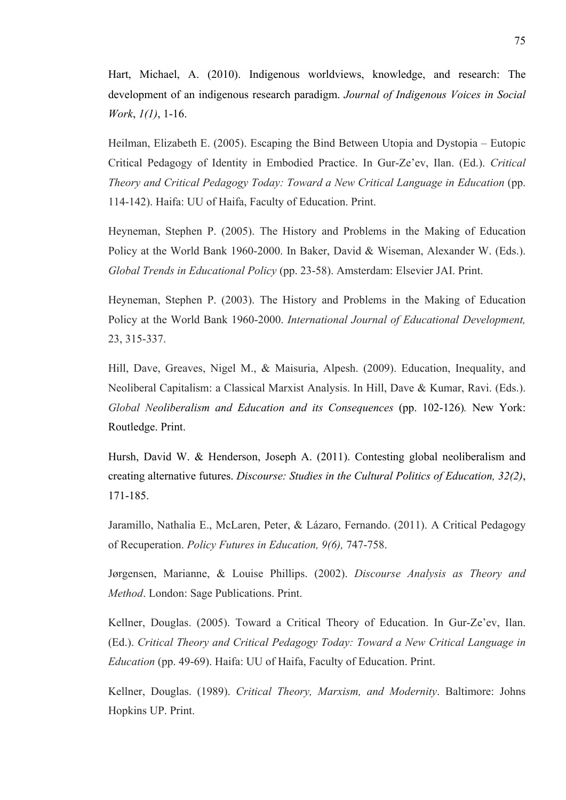Hart, Michael, A. (2010). Indigenous worldviews, knowledge, and research: The development of an indigenous research paradigm. *Journal of Indigenous Voices in Social Work*, *1(1)*, 1-16.

Heilman, Elizabeth E. (2005). Escaping the Bind Between Utopia and Dystopia – Eutopic Critical Pedagogy of Identity in Embodied Practice. In Gur-Ze'ev, Ilan. (Ed.). *Critical Theory and Critical Pedagogy Today: Toward a New Critical Language in Education* (pp. 114-142). Haifa: UU of Haifa, Faculty of Education. Print.

Heyneman, Stephen P. (2005). The History and Problems in the Making of Education Policy at the World Bank 1960-2000. In Baker, David & Wiseman, Alexander W. (Eds.). *Global Trends in Educational Policy* (pp. 23-58). Amsterdam: Elsevier JAI. Print.

Heyneman, Stephen P. (2003). The History and Problems in the Making of Education Policy at the World Bank 1960-2000. *International Journal of Educational Development,* 23, 315-337.

Hill, Dave, Greaves, Nigel M., & Maisuria, Alpesh. (2009). Education, Inequality, and Neoliberal Capitalism: a Classical Marxist Analysis. In Hill, Dave & Kumar, Ravi. (Eds.). *Global Neoliberalism and Education and its Consequences* (pp. 102-126)*.* New York: Routledge. Print.

Hursh, David W. & Henderson, Joseph A. (2011). Contesting global neoliberalism and creating alternative futures. *Discourse: Studies in the Cultural Politics of Education, 32(2)*, 171-185.

Jaramillo, Nathalia E., McLaren, Peter, & Lázaro, Fernando. (2011). A Critical Pedagogy of Recuperation. *Policy Futures in Education, 9(6),* 747-758.

Jørgensen, Marianne, & Louise Phillips. (2002). *Discourse Analysis as Theory and Method*. London: Sage Publications. Print.

Kellner, Douglas. (2005). Toward a Critical Theory of Education. In Gur-Ze'ev, Ilan. (Ed.). *Critical Theory and Critical Pedagogy Today: Toward a New Critical Language in Education* (pp. 49-69). Haifa: UU of Haifa, Faculty of Education. Print.

Kellner, Douglas. (1989). *Critical Theory, Marxism, and Modernity*. Baltimore: Johns Hopkins UP. Print.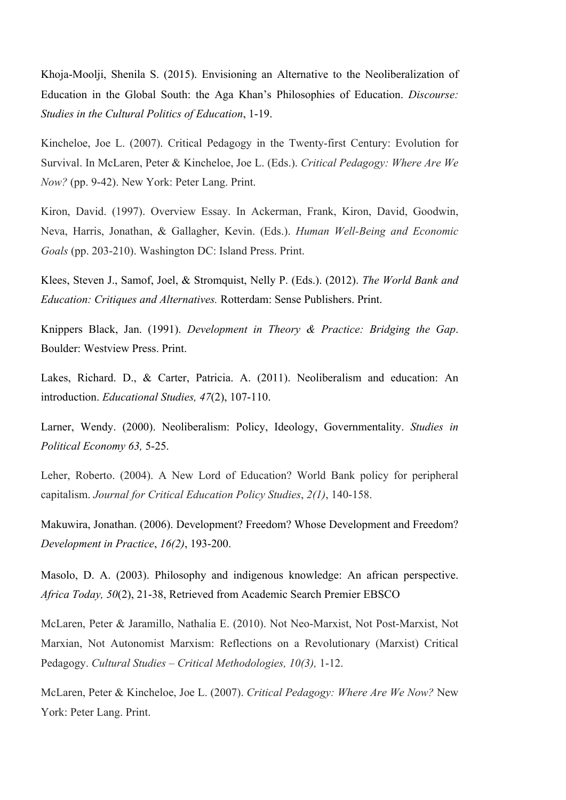Khoja-Moolji, Shenila S. (2015). Envisioning an Alternative to the Neoliberalization of Education in the Global South: the Aga Khan's Philosophies of Education. *Discourse: Studies in the Cultural Politics of Education*, 1-19.

Kincheloe, Joe L. (2007). Critical Pedagogy in the Twenty-first Century: Evolution for Survival. In McLaren, Peter & Kincheloe, Joe L. (Eds.). *Critical Pedagogy: Where Are We Now?* (pp. 9-42). New York: Peter Lang. Print.

Kiron, David. (1997). Overview Essay. In Ackerman, Frank, Kiron, David, Goodwin, Neva, Harris, Jonathan, & Gallagher, Kevin. (Eds.). *Human Well-Being and Economic Goals* (pp. 203-210). Washington DC: Island Press. Print.

Klees, Steven J., Samof, Joel, & Stromquist, Nelly P. (Eds.). (2012). *The World Bank and Education: Critiques and Alternatives.* Rotterdam: Sense Publishers. Print.

Knippers Black, Jan. (1991). *Development in Theory & Practice: Bridging the Gap*. Boulder: Westview Press. Print.

Lakes, Richard. D., & Carter, Patricia. A. (2011). Neoliberalism and education: An introduction. *Educational Studies, 47*(2), 107-110.

Larner, Wendy. (2000). Neoliberalism: Policy, Ideology, Governmentality. *Studies in Political Economy 63,* 5-25.

Leher, Roberto. (2004). A New Lord of Education? World Bank policy for peripheral capitalism. *Journal for Critical Education Policy Studies*, *2(1)*, 140-158.

Makuwira, Jonathan. (2006). Development? Freedom? Whose Development and Freedom? *Development in Practice*, *16(2)*, 193-200.

Masolo, D. A. (2003). Philosophy and indigenous knowledge: An african perspective. *Africa Today, 50*(2), 21-38, Retrieved from Academic Search Premier EBSCO

McLaren, Peter & Jaramillo, Nathalia E. (2010). Not Neo-Marxist, Not Post-Marxist, Not Marxian, Not Autonomist Marxism: Reflections on a Revolutionary (Marxist) Critical Pedagogy. *Cultural Studies – Critical Methodologies, 10(3),* 1-12.

McLaren, Peter & Kincheloe, Joe L. (2007). *Critical Pedagogy: Where Are We Now?* New York: Peter Lang. Print.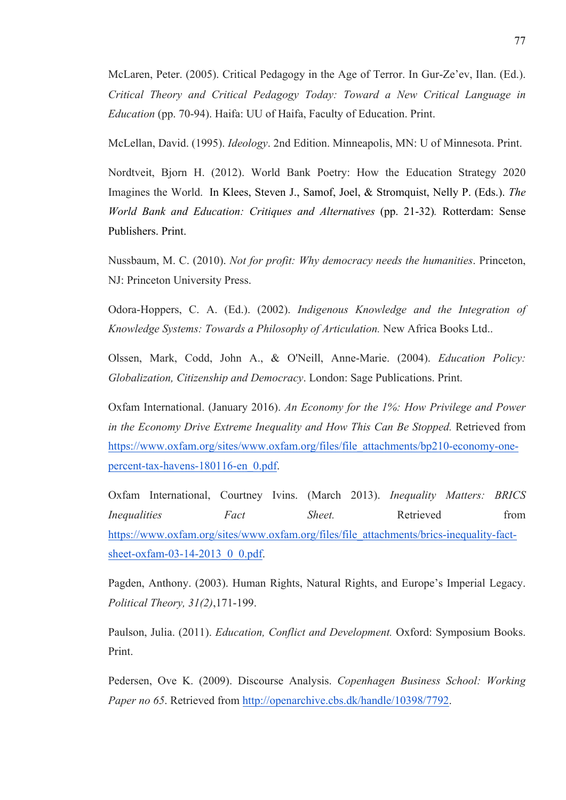McLaren, Peter. (2005). Critical Pedagogy in the Age of Terror. In Gur-Ze'ev, Ilan. (Ed.). *Critical Theory and Critical Pedagogy Today: Toward a New Critical Language in Education* (pp. 70-94). Haifa: UU of Haifa, Faculty of Education. Print.

McLellan, David. (1995). *Ideology*. 2nd Edition. Minneapolis, MN: U of Minnesota. Print.

Nordtveit, Bjorn H. (2012). World Bank Poetry: How the Education Strategy 2020 Imagines the World. In Klees, Steven J., Samof, Joel, & Stromquist, Nelly P. (Eds.). *The World Bank and Education: Critiques and Alternatives* (pp. 21-32)*.* Rotterdam: Sense Publishers. Print.

Nussbaum, M. C. (2010). *Not for profit: Why democracy needs the humanities*. Princeton, NJ: Princeton University Press.

Odora-Hoppers, C. A. (Ed.). (2002). *Indigenous Knowledge and the Integration of Knowledge Systems: Towards a Philosophy of Articulation.* New Africa Books Ltd..

Olssen, Mark, Codd, John A., & O'Neill, Anne-Marie. (2004). *Education Policy: Globalization, Citizenship and Democracy*. London: Sage Publications. Print.

Oxfam International. (January 2016). *An Economy for the 1%: How Privilege and Power in the Economy Drive Extreme Inequality and How This Can Be Stopped.* Retrieved from https://www.oxfam.org/sites/www.oxfam.org/files/file\_attachments/bp210-economy-onepercent-tax-havens-180116-en\_0.pdf.

Oxfam International, Courtney Ivins. (March 2013). *Inequality Matters: BRICS Inequalities* Fact Sheet. Retrieved from https://www.oxfam.org/sites/www.oxfam.org/files/file\_attachments/brics-inequality-factsheet-oxfam-03-14-2013 0 0.pdf.

Pagden, Anthony. (2003). Human Rights, Natural Rights, and Europe's Imperial Legacy. *Political Theory, 31(2)*,171-199.

Paulson, Julia. (2011). *Education, Conflict and Development.* Oxford: Symposium Books. Print.

Pedersen, Ove K. (2009). Discourse Analysis. *Copenhagen Business School: Working Paper no 65*. Retrieved from http://openarchive.cbs.dk/handle/10398/7792.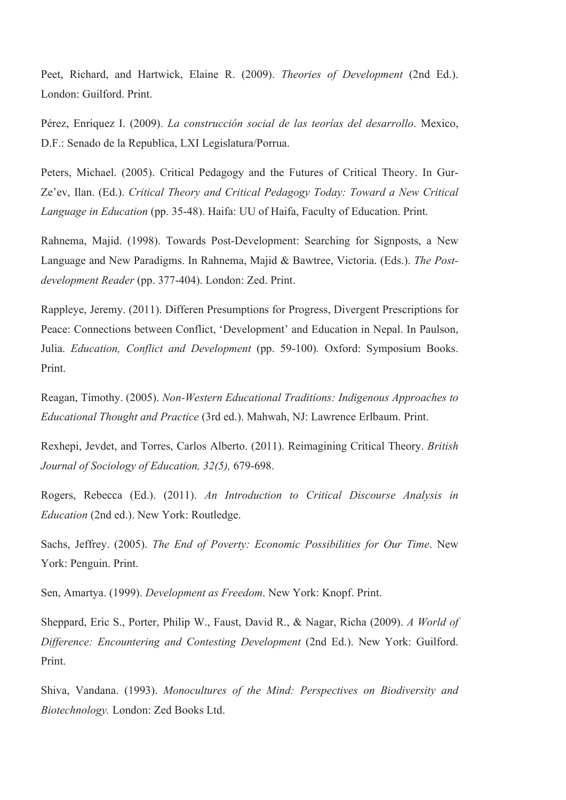Peet, Richard, and Hartwick, Elaine R. (2009). *Theories of Development* (2nd Ed.). London: Guilford. Print.

Pérez, Enriquez I. (2009). *La construcción social de las teorías del desarrollo*. Mexico, D.F.: Senado de la Republica, LXI Legislatura/Porrua.

Peters, Michael. (2005). Critical Pedagogy and the Futures of Critical Theory. In Gur-Ze'ev, Ilan. (Ed.). *Critical Theory and Critical Pedagogy Today: Toward a New Critical Language in Education* (pp. 35-48). Haifa: UU of Haifa, Faculty of Education. Print.

Rahnema, Majid. (1998). Towards Post-Development: Searching for Signposts, a New Language and New Paradigms. In Rahnema, Majid & Bawtree, Victoria. (Eds.). *The Postdevelopment Reader* (pp. 377-404). London: Zed. Print.

Rappleye, Jeremy. (2011). Differen Presumptions for Progress, Divergent Prescriptions for Peace: Connections between Conflict, 'Development' and Education in Nepal. In Paulson, Julia. *Education, Conflict and Development* (pp. 59-100)*.* Oxford: Symposium Books. Print.

Reagan, Timothy. (2005). *Non-Western Educational Traditions: Indigenous Approaches to Educational Thought and Practice* (3rd ed.). Mahwah, NJ: Lawrence Erlbaum. Print.

Rexhepi, Jevdet, and Torres, Carlos Alberto. (2011). Reimagining Critical Theory. *British Journal of Sociology of Education, 32(5),* 679-698.

Rogers, Rebecca (Ed.). (2011). *An Introduction to Critical Discourse Analysis in Education* (2nd ed.). New York: Routledge.

Sachs, Jeffrey. (2005). *The End of Poverty: Economic Possibilities for Our Time*. New York: Penguin. Print.

Sen, Amartya. (1999). *Development as Freedom*. New York: Knopf. Print.

Sheppard, Eric S., Porter, Philip W., Faust, David R., & Nagar, Richa (2009). *A World of Difference: Encountering and Contesting Development* (2nd Ed.). New York: Guilford. Print.

Shiva, Vandana. (1993). *Monocultures of the Mind: Perspectives on Biodiversity and Biotechnology.* London: Zed Books Ltd.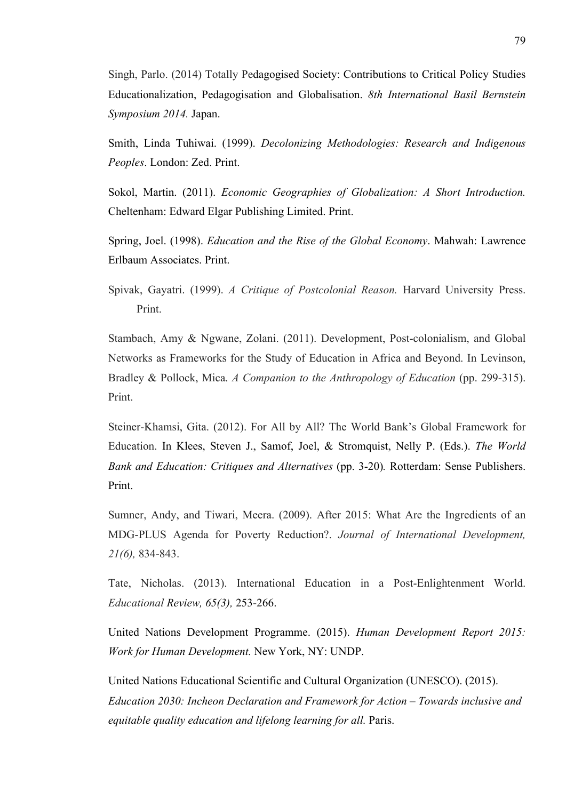Singh, Parlo. (2014) Totally Pedagogised Society: Contributions to Critical Policy Studies Educationalization, Pedagogisation and Globalisation. *8th International Basil Bernstein Symposium 2014.* Japan.

Smith, Linda Tuhiwai. (1999). *Decolonizing Methodologies: Research and Indigenous Peoples*. London: Zed. Print.

Sokol, Martin. (2011). *Economic Geographies of Globalization: A Short Introduction.* Cheltenham: Edward Elgar Publishing Limited. Print.

Spring, Joel. (1998). *Education and the Rise of the Global Economy*. Mahwah: Lawrence Erlbaum Associates. Print.

Spivak, Gayatri. (1999). *A Critique of Postcolonial Reason.* Harvard University Press. Print.

Stambach, Amy & Ngwane, Zolani. (2011). Development, Post-colonialism, and Global Networks as Frameworks for the Study of Education in Africa and Beyond. In Levinson, Bradley & Pollock, Mica. *A Companion to the Anthropology of Education* (pp. 299-315). Print.

Steiner-Khamsi, Gita. (2012). For All by All? The World Bank's Global Framework for Education. In Klees, Steven J., Samof, Joel, & Stromquist, Nelly P. (Eds.). *The World Bank and Education: Critiques and Alternatives* (pp. 3-20)*.* Rotterdam: Sense Publishers. Print.

Sumner, Andy, and Tiwari, Meera. (2009). After 2015: What Are the Ingredients of an MDG-PLUS Agenda for Poverty Reduction?. *Journal of International Development, 21(6),* 834-843.

Tate, Nicholas. (2013). International Education in a Post-Enlightenment World. *Educational Review, 65(3),* 253-266.

United Nations Development Programme. (2015). *Human Development Report 2015: Work for Human Development.* New York, NY: UNDP.

United Nations Educational Scientific and Cultural Organization (UNESCO). (2015). *Education 2030: Incheon Declaration and Framework for Action – Towards inclusive and equitable quality education and lifelong learning for all.* Paris.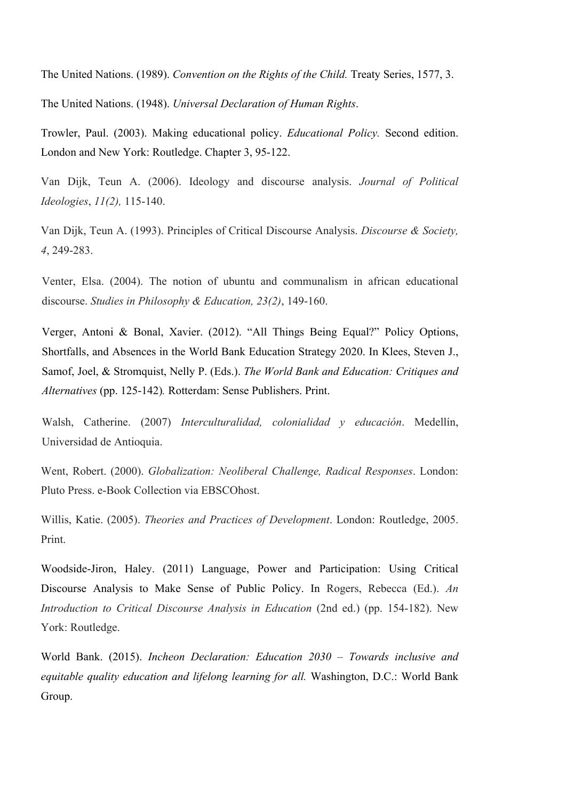The United Nations. (1989). *Convention on the Rights of the Child.* Treaty Series, 1577, 3.

The United Nations. (1948). *Universal Declaration of Human Rights*.

Trowler, Paul. (2003). Making educational policy. *Educational Policy.* Second edition. London and New York: Routledge. Chapter 3, 95-122.

Van Dijk, Teun A. (2006). Ideology and discourse analysis. *Journal of Political Ideologies*, *11(2),* 115-140.

Van Dijk, Teun A. (1993). Principles of Critical Discourse Analysis. *Discourse & Society, 4*, 249-283.

Venter, Elsa. (2004). The notion of ubuntu and communalism in african educational discourse. *Studies in Philosophy & Education, 23(2)*, 149-160.

Verger, Antoni & Bonal, Xavier. (2012). "All Things Being Equal?" Policy Options, Shortfalls, and Absences in the World Bank Education Strategy 2020. In Klees, Steven J., Samof, Joel, & Stromquist, Nelly P. (Eds.). *The World Bank and Education: Critiques and Alternatives* (pp. 125-142)*.* Rotterdam: Sense Publishers. Print.

Walsh, Catherine. (2007) *Interculturalidad, colonialidad y educación*. Medellín, Universidad de Antioquia.

Went, Robert. (2000). *Globalization: Neoliberal Challenge, Radical Responses*. London: Pluto Press. e-Book Collection via EBSCOhost.

Willis, Katie. (2005). *Theories and Practices of Development*. London: Routledge, 2005. Print.

Woodside-Jiron, Haley. (2011) Language, Power and Participation: Using Critical Discourse Analysis to Make Sense of Public Policy. In Rogers, Rebecca (Ed.). *An Introduction to Critical Discourse Analysis in Education (2nd ed.) (pp. 154-182). New* York: Routledge.

World Bank. (2015). *Incheon Declaration: Education 2030 – Towards inclusive and equitable quality education and lifelong learning for all.* Washington, D.C.: World Bank Group.